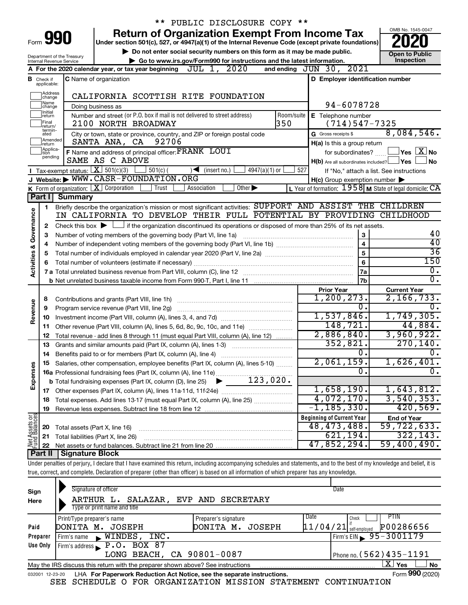|                         |                                                                                                    |                                | ** PUBLIC DISCLOSURE COPY **                                                                                                                                               |                                                                        |                                                 |
|-------------------------|----------------------------------------------------------------------------------------------------|--------------------------------|----------------------------------------------------------------------------------------------------------------------------------------------------------------------------|------------------------------------------------------------------------|-------------------------------------------------|
|                         |                                                                                                    | Form 990                       | <b>Return of Organization Exempt From Income Tax</b>                                                                                                                       |                                                                        | OMB No. 1545-0047                               |
|                         | Under section 501(c), 527, or 4947(a)(1) of the Internal Revenue Code (except private foundations) |                                |                                                                                                                                                                            |                                                                        |                                                 |
|                         |                                                                                                    | Department of the Treasury     | Do not enter social security numbers on this form as it may be made public.                                                                                                |                                                                        | <b>Open to Public</b>                           |
|                         |                                                                                                    | Internal Revenue Service       | Go to www.irs.gov/Form990 for instructions and the latest information.                                                                                                     |                                                                        | Inspection                                      |
|                         |                                                                                                    |                                | JUL 1, 2020<br>A For the 2020 calendar year, or tax year beginning                                                                                                         | and ending JUN 30, 2021                                                |                                                 |
|                         | <b>B</b> Check if applicable:                                                                      |                                | <b>C</b> Name of organization                                                                                                                                              | D Employer identification number                                       |                                                 |
|                         | Address<br>change                                                                                  |                                | CALIFORNIA SCOTTISH RITE FOUNDATION                                                                                                                                        |                                                                        |                                                 |
|                         | Name<br>change                                                                                     |                                | Doing business as                                                                                                                                                          | 94-6078728                                                             |                                                 |
|                         | Ilnitial<br>∣return                                                                                |                                | Number and street (or P.O. box if mail is not delivered to street address)<br>Room/suite                                                                                   | E Telephone number                                                     |                                                 |
|                         | Final<br>return/                                                                                   |                                | 350<br>2100 NORTH BROADWAY                                                                                                                                                 | $(714)547 - 7325$                                                      |                                                 |
|                         | termin-<br>ated                                                                                    |                                | City or town, state or province, country, and ZIP or foreign postal code                                                                                                   | G Gross receipts \$                                                    | 8,084,546.                                      |
|                         | Amended<br>Ireturn                                                                                 |                                | 92706<br>SANTA ANA, CA                                                                                                                                                     | H(a) Is this a group return                                            |                                                 |
|                         | Applica-<br>ltion                                                                                  |                                | F Name and address of principal officer: FRANK LOUI                                                                                                                        | for subordinates?                                                      | $ {\mathsf Y}$ es $ \overline{{\mathsf X}} $ No |
|                         | pending                                                                                            |                                | SAME AS C ABOVE                                                                                                                                                            | $H(b)$ Are all subordinates included? $\Box$ Yes                       | No.                                             |
|                         |                                                                                                    |                                | Tax-exempt status: $X \over 301(c)(3)$<br>$\frac{1}{2}$ 501(c) (<br>$\sqrt{\bullet}$ (insert no.)<br>4947(a)(1) or                                                         | 527<br>If "No," attach a list. See instructions                        |                                                 |
|                         |                                                                                                    |                                | J Website: WWW.CASR-FOUNDATION.ORG                                                                                                                                         | $H(c)$ Group exemption number $\blacktriangleright$                    |                                                 |
|                         |                                                                                                    |                                | <b>K</b> Form of organization: $\boxed{\textbf{X}}$ Corporation<br>Other $\blacktriangleright$<br>Trust<br>Association                                                     | L Year of formation: $1958$ M State of legal domicile: $\overline{CA}$ |                                                 |
|                         | Part I                                                                                             | <b>Summary</b>                 |                                                                                                                                                                            |                                                                        |                                                 |
|                         | 1                                                                                                  |                                | Briefly describe the organization's mission or most significant activities: SUPPORT AND ASSIST THE CHILDREN                                                                |                                                                        |                                                 |
|                         |                                                                                                    |                                | IN CALIFORNIA TO DEVELOP THEIR FULL POTENTIAL BY PROVIDING CHILDHOOD                                                                                                       |                                                                        |                                                 |
| Governance              | 2                                                                                                  |                                | Check this box $\blacktriangleright$ $\Box$ if the organization discontinued its operations or disposed of more than 25% of its net assets.                                |                                                                        | 40                                              |
|                         | 3                                                                                                  |                                | Number of voting members of the governing body (Part VI, line 1a)                                                                                                          | 3                                                                      | 40                                              |
|                         | 4                                                                                                  |                                |                                                                                                                                                                            | $\overline{\mathbf{4}}$                                                | $\overline{36}$                                 |
|                         | 5                                                                                                  |                                |                                                                                                                                                                            | 5<br>6                                                                 | 150                                             |
| <b>Activities &amp;</b> | 6                                                                                                  |                                |                                                                                                                                                                            | <b>7a</b>                                                              | $\overline{0}$ .                                |
|                         |                                                                                                    |                                |                                                                                                                                                                            | 7b                                                                     | $\overline{0}$ .                                |
|                         |                                                                                                    |                                |                                                                                                                                                                            | <b>Prior Year</b>                                                      | <b>Current Year</b>                             |
|                         | 8                                                                                                  |                                |                                                                                                                                                                            | 1, 200, 273.                                                           | 2,166,733.                                      |
| Revenue                 | 9                                                                                                  |                                | Program service revenue (Part VIII, line 2g)                                                                                                                               | 0.                                                                     | $\overline{0}$ .                                |
|                         | 10                                                                                                 |                                |                                                                                                                                                                            | 1,537,846.                                                             | 1,749,305.                                      |
|                         | 11                                                                                                 |                                | Other revenue (Part VIII, column (A), lines 5, 6d, 8c, 9c, 10c, and 11e)                                                                                                   | 148, 721.                                                              | 44,884.                                         |
|                         | 12                                                                                                 |                                | Total revenue - add lines 8 through 11 (must equal Part VIII, column (A), line 12)                                                                                         | 2,886,840.                                                             | 3,960,922.                                      |
|                         | 13                                                                                                 |                                | Grants and similar amounts paid (Part IX, column (A), lines 1-3)                                                                                                           | 352,821.                                                               | 270, 140.                                       |
|                         |                                                                                                    |                                |                                                                                                                                                                            | $\mathbf{0}$ .                                                         | $0$ .                                           |
|                         |                                                                                                    |                                | Salaries, other compensation, employee benefits (Part IX, column (A), lines 5-10)                                                                                          | 2,061,159.                                                             | 1,626,401.                                      |
|                         |                                                                                                    |                                |                                                                                                                                                                            | $\overline{0}$ .                                                       | σ.                                              |
| Expenses                |                                                                                                    |                                |                                                                                                                                                                            |                                                                        |                                                 |
|                         |                                                                                                    |                                |                                                                                                                                                                            | 1,658,190.                                                             | 1,643,812.                                      |
|                         | 18                                                                                                 |                                | Total expenses. Add lines 13-17 (must equal Part IX, column (A), line 25)                                                                                                  | 4,072,170.                                                             | 3,540,353.                                      |
|                         | 19                                                                                                 |                                |                                                                                                                                                                            | $-1, 185, 330.$                                                        | 420,569.                                        |
| Net Assets or           |                                                                                                    |                                |                                                                                                                                                                            | <b>Beginning of Current Year</b>                                       | <b>End of Year</b>                              |
|                         | 20                                                                                                 | Total assets (Part X, line 16) |                                                                                                                                                                            | 48, 473, 488.                                                          | 59,722,633.                                     |
|                         | 21                                                                                                 |                                | Total liabilities (Part X, line 26)                                                                                                                                        | 621, 194.                                                              | 322, 143.<br>59,400,490.                        |
|                         | 22                                                                                                 |                                |                                                                                                                                                                            | 47,852,294.                                                            |                                                 |
|                         | <b>Part II</b>                                                                                     | <b>Signature Block</b>         | Under penalties of perjury, I declare that I have examined this return, including accompanying schedules and statements, and to the best of my knowledge and belief, it is |                                                                        |                                                 |
|                         |                                                                                                    |                                | true, correct, and complete. Declaration of preparer (other than officer) is based on all information of which preparer has any knowledge.                                 |                                                                        |                                                 |
|                         |                                                                                                    |                                |                                                                                                                                                                            |                                                                        |                                                 |
|                         |                                                                                                    |                                |                                                                                                                                                                            |                                                                        |                                                 |

| Sign<br>Here    | Signature of officer<br>ARTHUR L. SALAZAR, EVP AND SECRETARY<br>Type or print name and title                     | Date                                  |  |  |  |  |  |
|-----------------|------------------------------------------------------------------------------------------------------------------|---------------------------------------|--|--|--|--|--|
|                 |                                                                                                                  |                                       |  |  |  |  |  |
|                 | Print/Type preparer's name<br>Preparer's signature                                                               | <b>PTIN</b><br>Date<br>Check          |  |  |  |  |  |
| Paid            | JOSEPH<br>DONITA M. JOSEPH<br>DONITA M.                                                                          | P00286656<br>$11/04/21$ self-employed |  |  |  |  |  |
| Preparer        | Firm's name WINDES,<br>INC.                                                                                      | Firm's EIN 95-3001179                 |  |  |  |  |  |
| Use Only        | Firm's address $\blacktriangleright$ P.O. BOX 87                                                                 |                                       |  |  |  |  |  |
|                 | LONG BEACH, CA 90801-0087                                                                                        | Phone no. $(562)$ 435 – 1191          |  |  |  |  |  |
|                 | $\mathbf{X}$ Yes<br><b>No</b><br>May the IRS discuss this return with the preparer shown above? See instructions |                                       |  |  |  |  |  |
| 032001 12-23-20 | LHA For Paperwork Reduction Act Notice, see the separate instructions.                                           | Form 990 (2020)                       |  |  |  |  |  |

SEE SCHEDULE O FOR ORGANIZATION MISSION STATEMENT CONTINUATION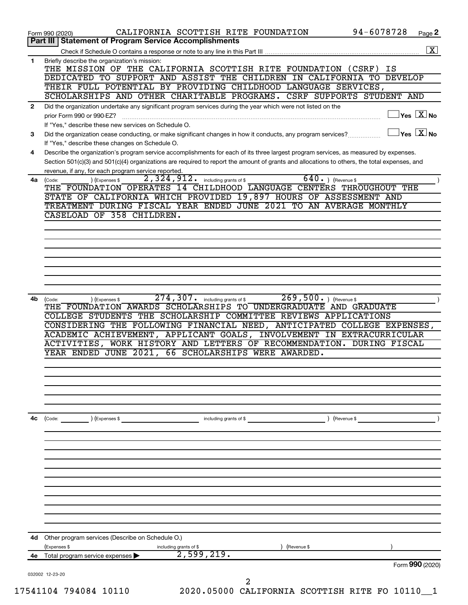| THE MISSION OF THE CALIFORNIA SCOTTISH RITE FOUNDATION (CSRF) IS<br>DEDICATED TO SUPPORT AND ASSIST THE CHILDREN IN CALIFORNIA TO DEVELOP<br>THEIR FULL POTENTIAL BY PROVIDING CHILDHOOD LANGUAGE SERVICES,<br>SCHOLARSHIPS AND OTHER CHARITABLE PROGRAMS. CSRF SUPPORTS STUDENT AND<br>Did the organization undertake any significant program services during the year which were not listed on the<br>$\mathbf{2}$<br>prior Form 990 or 990-EZ?<br>If "Yes," describe these new services on Schedule O.<br>Did the organization cease conducting, or make significant changes in how it conducts, any program services?<br>3<br>If "Yes," describe these changes on Schedule O.<br>Describe the organization's program service accomplishments for each of its three largest program services, as measured by expenses.<br>4<br>Section 501(c)(3) and 501(c)(4) organizations are required to report the amount of grants and allocations to others, the total expenses, and<br>revenue, if any, for each program service reported.<br>$640.$ (Revenue \$<br>2,324,912.<br>including grants of \$<br>4a<br>(Code:<br>(Expenses \$<br>THE FOUNDATION OPERATES 14 CHILDHOOD LANGUAGE CENTERS THROUGHOUT THE<br>STATE OF CALIFORNIA WHICH PROVIDED 19,897 HOURS OF ASSESSMENT AND<br>TREATMENT DURING FISCAL YEAR ENDED JUNE 2021 TO AN AVERAGE MONTHLY<br>CASELOAD OF 358 CHILDREN.<br>269,500.<br>274,307.<br>including grants of \$<br>4b<br>) (Revenue \$<br>(Code:<br>) (Expenses \$<br>THE FOUNDATION AWARDS SCHOLARSHIPS TO UNDERGRADUATE AND GRADUATE<br>COLLEGE STUDENTS THE SCHOLARSHIP COMMITTEE REVIEWS APPLICATIONS<br>CONSIDERING THE FOLLOWING FINANCIAL NEED, ANTICIPATED COLLEGE EXPENSES,<br>ACADEMIC ACHIEVEMENT, APPLICANT GOALS, INVOLVEMENT IN EXTRACURRICULAR<br>ACTIVITIES, WORK HISTORY AND LETTERS OF RECOMMENDATION. DURING FISCAL<br>YEAR ENDED JUNE 2021, 66 SCHOLARSHIPS WERE AWARDED.<br>4c<br>(Code:<br>) (Expenses \$<br>including grants of \$<br>(Revenue \$<br>Other program services (Describe on Schedule O.)<br>4d<br>(Expenses \$<br>including grants of \$<br>(Revenue \$<br>2,599,219.<br>Total program service expenses<br>4e | 032002 12-23-20 | 2 |  |                                                        |
|-------------------------------------------------------------------------------------------------------------------------------------------------------------------------------------------------------------------------------------------------------------------------------------------------------------------------------------------------------------------------------------------------------------------------------------------------------------------------------------------------------------------------------------------------------------------------------------------------------------------------------------------------------------------------------------------------------------------------------------------------------------------------------------------------------------------------------------------------------------------------------------------------------------------------------------------------------------------------------------------------------------------------------------------------------------------------------------------------------------------------------------------------------------------------------------------------------------------------------------------------------------------------------------------------------------------------------------------------------------------------------------------------------------------------------------------------------------------------------------------------------------------------------------------------------------------------------------------------------------------------------------------------------------------------------------------------------------------------------------------------------------------------------------------------------------------------------------------------------------------------------------------------------------------------------------------------------------------------------------------------------------------------------------------------------------------------------------------------------------------------------------------------------------------------|-----------------|---|--|--------------------------------------------------------|
|                                                                                                                                                                                                                                                                                                                                                                                                                                                                                                                                                                                                                                                                                                                                                                                                                                                                                                                                                                                                                                                                                                                                                                                                                                                                                                                                                                                                                                                                                                                                                                                                                                                                                                                                                                                                                                                                                                                                                                                                                                                                                                                                                                         |                 |   |  | Form 990 (2020)                                        |
|                                                                                                                                                                                                                                                                                                                                                                                                                                                                                                                                                                                                                                                                                                                                                                                                                                                                                                                                                                                                                                                                                                                                                                                                                                                                                                                                                                                                                                                                                                                                                                                                                                                                                                                                                                                                                                                                                                                                                                                                                                                                                                                                                                         |                 |   |  |                                                        |
|                                                                                                                                                                                                                                                                                                                                                                                                                                                                                                                                                                                                                                                                                                                                                                                                                                                                                                                                                                                                                                                                                                                                                                                                                                                                                                                                                                                                                                                                                                                                                                                                                                                                                                                                                                                                                                                                                                                                                                                                                                                                                                                                                                         |                 |   |  |                                                        |
|                                                                                                                                                                                                                                                                                                                                                                                                                                                                                                                                                                                                                                                                                                                                                                                                                                                                                                                                                                                                                                                                                                                                                                                                                                                                                                                                                                                                                                                                                                                                                                                                                                                                                                                                                                                                                                                                                                                                                                                                                                                                                                                                                                         |                 |   |  |                                                        |
|                                                                                                                                                                                                                                                                                                                                                                                                                                                                                                                                                                                                                                                                                                                                                                                                                                                                                                                                                                                                                                                                                                                                                                                                                                                                                                                                                                                                                                                                                                                                                                                                                                                                                                                                                                                                                                                                                                                                                                                                                                                                                                                                                                         |                 |   |  |                                                        |
|                                                                                                                                                                                                                                                                                                                                                                                                                                                                                                                                                                                                                                                                                                                                                                                                                                                                                                                                                                                                                                                                                                                                                                                                                                                                                                                                                                                                                                                                                                                                                                                                                                                                                                                                                                                                                                                                                                                                                                                                                                                                                                                                                                         |                 |   |  |                                                        |
|                                                                                                                                                                                                                                                                                                                                                                                                                                                                                                                                                                                                                                                                                                                                                                                                                                                                                                                                                                                                                                                                                                                                                                                                                                                                                                                                                                                                                                                                                                                                                                                                                                                                                                                                                                                                                                                                                                                                                                                                                                                                                                                                                                         |                 |   |  |                                                        |
|                                                                                                                                                                                                                                                                                                                                                                                                                                                                                                                                                                                                                                                                                                                                                                                                                                                                                                                                                                                                                                                                                                                                                                                                                                                                                                                                                                                                                                                                                                                                                                                                                                                                                                                                                                                                                                                                                                                                                                                                                                                                                                                                                                         |                 |   |  |                                                        |
|                                                                                                                                                                                                                                                                                                                                                                                                                                                                                                                                                                                                                                                                                                                                                                                                                                                                                                                                                                                                                                                                                                                                                                                                                                                                                                                                                                                                                                                                                                                                                                                                                                                                                                                                                                                                                                                                                                                                                                                                                                                                                                                                                                         |                 |   |  |                                                        |
|                                                                                                                                                                                                                                                                                                                                                                                                                                                                                                                                                                                                                                                                                                                                                                                                                                                                                                                                                                                                                                                                                                                                                                                                                                                                                                                                                                                                                                                                                                                                                                                                                                                                                                                                                                                                                                                                                                                                                                                                                                                                                                                                                                         |                 |   |  |                                                        |
|                                                                                                                                                                                                                                                                                                                                                                                                                                                                                                                                                                                                                                                                                                                                                                                                                                                                                                                                                                                                                                                                                                                                                                                                                                                                                                                                                                                                                                                                                                                                                                                                                                                                                                                                                                                                                                                                                                                                                                                                                                                                                                                                                                         |                 |   |  |                                                        |
|                                                                                                                                                                                                                                                                                                                                                                                                                                                                                                                                                                                                                                                                                                                                                                                                                                                                                                                                                                                                                                                                                                                                                                                                                                                                                                                                                                                                                                                                                                                                                                                                                                                                                                                                                                                                                                                                                                                                                                                                                                                                                                                                                                         |                 |   |  |                                                        |
|                                                                                                                                                                                                                                                                                                                                                                                                                                                                                                                                                                                                                                                                                                                                                                                                                                                                                                                                                                                                                                                                                                                                                                                                                                                                                                                                                                                                                                                                                                                                                                                                                                                                                                                                                                                                                                                                                                                                                                                                                                                                                                                                                                         |                 |   |  |                                                        |
|                                                                                                                                                                                                                                                                                                                                                                                                                                                                                                                                                                                                                                                                                                                                                                                                                                                                                                                                                                                                                                                                                                                                                                                                                                                                                                                                                                                                                                                                                                                                                                                                                                                                                                                                                                                                                                                                                                                                                                                                                                                                                                                                                                         |                 |   |  |                                                        |
|                                                                                                                                                                                                                                                                                                                                                                                                                                                                                                                                                                                                                                                                                                                                                                                                                                                                                                                                                                                                                                                                                                                                                                                                                                                                                                                                                                                                                                                                                                                                                                                                                                                                                                                                                                                                                                                                                                                                                                                                                                                                                                                                                                         |                 |   |  |                                                        |
|                                                                                                                                                                                                                                                                                                                                                                                                                                                                                                                                                                                                                                                                                                                                                                                                                                                                                                                                                                                                                                                                                                                                                                                                                                                                                                                                                                                                                                                                                                                                                                                                                                                                                                                                                                                                                                                                                                                                                                                                                                                                                                                                                                         |                 |   |  |                                                        |
|                                                                                                                                                                                                                                                                                                                                                                                                                                                                                                                                                                                                                                                                                                                                                                                                                                                                                                                                                                                                                                                                                                                                                                                                                                                                                                                                                                                                                                                                                                                                                                                                                                                                                                                                                                                                                                                                                                                                                                                                                                                                                                                                                                         |                 |   |  |                                                        |
|                                                                                                                                                                                                                                                                                                                                                                                                                                                                                                                                                                                                                                                                                                                                                                                                                                                                                                                                                                                                                                                                                                                                                                                                                                                                                                                                                                                                                                                                                                                                                                                                                                                                                                                                                                                                                                                                                                                                                                                                                                                                                                                                                                         |                 |   |  |                                                        |
|                                                                                                                                                                                                                                                                                                                                                                                                                                                                                                                                                                                                                                                                                                                                                                                                                                                                                                                                                                                                                                                                                                                                                                                                                                                                                                                                                                                                                                                                                                                                                                                                                                                                                                                                                                                                                                                                                                                                                                                                                                                                                                                                                                         |                 |   |  |                                                        |
|                                                                                                                                                                                                                                                                                                                                                                                                                                                                                                                                                                                                                                                                                                                                                                                                                                                                                                                                                                                                                                                                                                                                                                                                                                                                                                                                                                                                                                                                                                                                                                                                                                                                                                                                                                                                                                                                                                                                                                                                                                                                                                                                                                         |                 |   |  |                                                        |
|                                                                                                                                                                                                                                                                                                                                                                                                                                                                                                                                                                                                                                                                                                                                                                                                                                                                                                                                                                                                                                                                                                                                                                                                                                                                                                                                                                                                                                                                                                                                                                                                                                                                                                                                                                                                                                                                                                                                                                                                                                                                                                                                                                         |                 |   |  |                                                        |
|                                                                                                                                                                                                                                                                                                                                                                                                                                                                                                                                                                                                                                                                                                                                                                                                                                                                                                                                                                                                                                                                                                                                                                                                                                                                                                                                                                                                                                                                                                                                                                                                                                                                                                                                                                                                                                                                                                                                                                                                                                                                                                                                                                         |                 |   |  |                                                        |
|                                                                                                                                                                                                                                                                                                                                                                                                                                                                                                                                                                                                                                                                                                                                                                                                                                                                                                                                                                                                                                                                                                                                                                                                                                                                                                                                                                                                                                                                                                                                                                                                                                                                                                                                                                                                                                                                                                                                                                                                                                                                                                                                                                         |                 |   |  |                                                        |
|                                                                                                                                                                                                                                                                                                                                                                                                                                                                                                                                                                                                                                                                                                                                                                                                                                                                                                                                                                                                                                                                                                                                                                                                                                                                                                                                                                                                                                                                                                                                                                                                                                                                                                                                                                                                                                                                                                                                                                                                                                                                                                                                                                         |                 |   |  | $\vert$ Yes $\vert$ $\overline{\mathrm{X}}$ $\vert$ No |
|                                                                                                                                                                                                                                                                                                                                                                                                                                                                                                                                                                                                                                                                                                                                                                                                                                                                                                                                                                                                                                                                                                                                                                                                                                                                                                                                                                                                                                                                                                                                                                                                                                                                                                                                                                                                                                                                                                                                                                                                                                                                                                                                                                         |                 |   |  | $\overline{\ }$ Yes $\overline{\phantom{a}X}$ No       |
|                                                                                                                                                                                                                                                                                                                                                                                                                                                                                                                                                                                                                                                                                                                                                                                                                                                                                                                                                                                                                                                                                                                                                                                                                                                                                                                                                                                                                                                                                                                                                                                                                                                                                                                                                                                                                                                                                                                                                                                                                                                                                                                                                                         |                 |   |  |                                                        |
|                                                                                                                                                                                                                                                                                                                                                                                                                                                                                                                                                                                                                                                                                                                                                                                                                                                                                                                                                                                                                                                                                                                                                                                                                                                                                                                                                                                                                                                                                                                                                                                                                                                                                                                                                                                                                                                                                                                                                                                                                                                                                                                                                                         |                 |   |  |                                                        |
| Briefly describe the organization's mission:<br>$\mathbf 1$                                                                                                                                                                                                                                                                                                                                                                                                                                                                                                                                                                                                                                                                                                                                                                                                                                                                                                                                                                                                                                                                                                                                                                                                                                                                                                                                                                                                                                                                                                                                                                                                                                                                                                                                                                                                                                                                                                                                                                                                                                                                                                             |                 |   |  |                                                        |
| Part III   Statement of Program Service Accomplishments                                                                                                                                                                                                                                                                                                                                                                                                                                                                                                                                                                                                                                                                                                                                                                                                                                                                                                                                                                                                                                                                                                                                                                                                                                                                                                                                                                                                                                                                                                                                                                                                                                                                                                                                                                                                                                                                                                                                                                                                                                                                                                                 |                 |   |  |                                                        |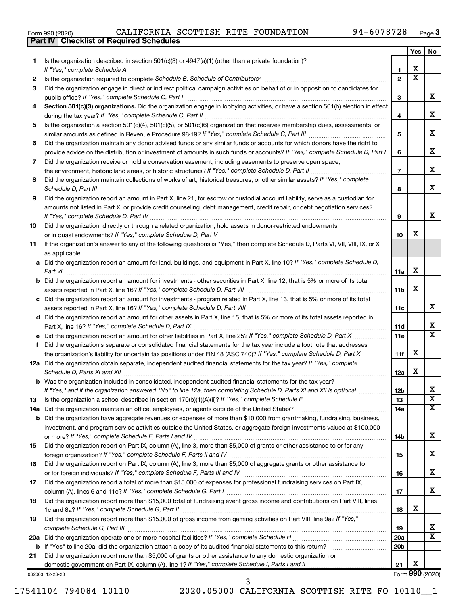|  | Form 990 (2020) |
|--|-----------------|
|  |                 |

**Part IV Checklist of Required Schedules**

|     |                                                                                                                                          |                 | Yes                     | No                    |
|-----|------------------------------------------------------------------------------------------------------------------------------------------|-----------------|-------------------------|-----------------------|
| 1.  | Is the organization described in section $501(c)(3)$ or $4947(a)(1)$ (other than a private foundation)?                                  |                 |                         |                       |
|     | If "Yes," complete Schedule A                                                                                                            | 1               | x                       |                       |
| 2   |                                                                                                                                          | $\mathbf{2}$    | $\overline{\textbf{x}}$ |                       |
| 3   | Did the organization engage in direct or indirect political campaign activities on behalf of or in opposition to candidates for          |                 |                         |                       |
|     | public office? If "Yes," complete Schedule C, Part I                                                                                     | З               |                         | x.                    |
| 4   | Section 501(c)(3) organizations. Did the organization engage in lobbying activities, or have a section 501(h) election in effect         |                 |                         | x                     |
| 5   | Is the organization a section 501(c)(4), 501(c)(5), or 501(c)(6) organization that receives membership dues, assessments, or             | 4               |                         |                       |
|     |                                                                                                                                          | 5               |                         | x                     |
| 6   | Did the organization maintain any donor advised funds or any similar funds or accounts for which donors have the right to                |                 |                         |                       |
|     | provide advice on the distribution or investment of amounts in such funds or accounts? If "Yes," complete Schedule D, Part I             | 6               |                         | x                     |
| 7   | Did the organization receive or hold a conservation easement, including easements to preserve open space,                                |                 |                         |                       |
|     |                                                                                                                                          | $\overline{7}$  |                         | x                     |
| 8   | Did the organization maintain collections of works of art, historical treasures, or other similar assets? If "Yes," complete             |                 |                         |                       |
|     |                                                                                                                                          | 8               |                         | x.                    |
| 9   | Did the organization report an amount in Part X, line 21, for escrow or custodial account liability, serve as a custodian for            |                 |                         |                       |
|     | amounts not listed in Part X; or provide credit counseling, debt management, credit repair, or debt negotiation services?                |                 |                         |                       |
|     |                                                                                                                                          | 9               |                         | x                     |
| 10  | Did the organization, directly or through a related organization, hold assets in donor-restricted endowments                             |                 |                         |                       |
|     |                                                                                                                                          | 10              | x                       |                       |
| 11  | If the organization's answer to any of the following questions is "Yes," then complete Schedule D, Parts VI, VII, VIII, IX, or X         |                 |                         |                       |
|     | as applicable.                                                                                                                           |                 |                         |                       |
|     | a Did the organization report an amount for land, buildings, and equipment in Part X, line 10? If "Yes," complete Schedule D,<br>Part VI | 11a             | х                       |                       |
|     | <b>b</b> Did the organization report an amount for investments - other securities in Part X, line 12, that is 5% or more of its total    |                 |                         |                       |
|     |                                                                                                                                          | 11b             | x                       |                       |
|     | c Did the organization report an amount for investments - program related in Part X, line 13, that is 5% or more of its total            |                 |                         |                       |
|     |                                                                                                                                          | 11c             |                         | x                     |
|     | d Did the organization report an amount for other assets in Part X, line 15, that is 5% or more of its total assets reported in          |                 |                         |                       |
|     |                                                                                                                                          | 11d             |                         | x                     |
|     |                                                                                                                                          | 11e             |                         | X                     |
| f.  | Did the organization's separate or consolidated financial statements for the tax year include a footnote that addresses                  |                 |                         |                       |
|     | the organization's liability for uncertain tax positions under FIN 48 (ASC 740)? If "Yes," complete Schedule D, Part X                   | 11f             | x                       |                       |
|     | 12a Did the organization obtain separate, independent audited financial statements for the tax year? If "Yes," complete                  | 12a             | x                       |                       |
|     | b Was the organization included in consolidated, independent audited financial statements for the tax year?                              |                 |                         |                       |
|     | If "Yes," and if the organization answered "No" to line 12a, then completing Schedule D, Parts XI and XII is optional                    | 12 <sub>b</sub> |                         | Χ                     |
| 13  | Is the organization a school described in section $170(b)(1)(A)(ii)$ ? If "Yes," complete Schedule E                                     | 13              |                         | $\overline{\text{x}}$ |
| 14a | Did the organization maintain an office, employees, or agents outside of the United States?                                              | 14a             |                         | x                     |
|     | <b>b</b> Did the organization have aggregate revenues or expenses of more than \$10,000 from grantmaking, fundraising, business,         |                 |                         |                       |
|     | investment, and program service activities outside the United States, or aggregate foreign investments valued at \$100,000               |                 |                         |                       |
|     |                                                                                                                                          | 14b             |                         | x                     |
| 15  | Did the organization report on Part IX, column (A), line 3, more than \$5,000 of grants or other assistance to or for any                |                 |                         |                       |
|     |                                                                                                                                          | 15              |                         | x                     |
| 16  | Did the organization report on Part IX, column (A), line 3, more than \$5,000 of aggregate grants or other assistance to                 |                 |                         | x                     |
| 17  | Did the organization report a total of more than \$15,000 of expenses for professional fundraising services on Part IX,                  | 16              |                         |                       |
|     |                                                                                                                                          | 17              |                         | x                     |
| 18  | Did the organization report more than \$15,000 total of fundraising event gross income and contributions on Part VIII, lines             |                 |                         |                       |
|     |                                                                                                                                          | 18              | x                       |                       |
| 19  | Did the organization report more than \$15,000 of gross income from gaming activities on Part VIII, line 9a? If "Yes,"                   |                 |                         |                       |
|     |                                                                                                                                          | 19              |                         | x                     |
| 20a |                                                                                                                                          | 20a             |                         | х                     |
|     |                                                                                                                                          | 20 <sub>b</sub> |                         |                       |
| 21  | Did the organization report more than \$5,000 of grants or other assistance to any domestic organization or                              |                 |                         |                       |
|     | domestic government on Part IX, column (A), line 1? If "Yes," complete Schedule I, Parts I and II                                        | 21              | х                       | Form 990 (2020)       |
|     | 032003 12-23-20                                                                                                                          |                 |                         |                       |

032003 12-23-20

17541104 794084 10110 2020.05000 CALIFORNIA SCOTTISH RITE FO 10110\_\_1

3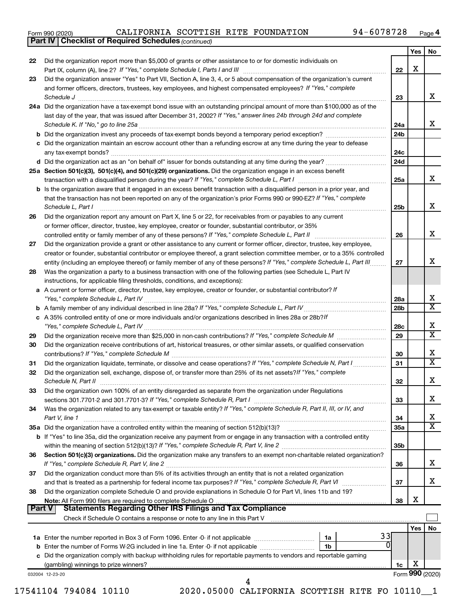| Form 990 (2020) |  |  |  |
|-----------------|--|--|--|
|-----------------|--|--|--|

*(continued)* **Part IV Checklist of Required Schedules**

|               |                                                                                                                                                                 |                 | <b>Yes</b>      | No                      |
|---------------|-----------------------------------------------------------------------------------------------------------------------------------------------------------------|-----------------|-----------------|-------------------------|
| 22            | Did the organization report more than \$5,000 of grants or other assistance to or for domestic individuals on                                                   |                 |                 |                         |
|               |                                                                                                                                                                 | 22              | x               |                         |
| 23            | Did the organization answer "Yes" to Part VII, Section A, line 3, 4, or 5 about compensation of the organization's current                                      |                 |                 |                         |
|               | and former officers, directors, trustees, key employees, and highest compensated employees? If "Yes," complete                                                  |                 |                 |                         |
|               | Schedule J <b>Execute Schedule J Execute Schedule J</b>                                                                                                         | 23              |                 | x                       |
|               | 24a Did the organization have a tax-exempt bond issue with an outstanding principal amount of more than \$100,000 as of the                                     |                 |                 |                         |
|               | last day of the year, that was issued after December 31, 2002? If "Yes," answer lines 24b through 24d and complete                                              |                 |                 |                         |
|               |                                                                                                                                                                 | 24a             |                 | x                       |
|               |                                                                                                                                                                 | 24 <sub>b</sub> |                 |                         |
|               | c Did the organization maintain an escrow account other than a refunding escrow at any time during the year to defease                                          |                 |                 |                         |
|               |                                                                                                                                                                 | 24c             |                 |                         |
|               |                                                                                                                                                                 | 24d             |                 |                         |
|               | 25a Section 501(c)(3), 501(c)(4), and 501(c)(29) organizations. Did the organization engage in an excess benefit                                                |                 |                 | x                       |
|               | b Is the organization aware that it engaged in an excess benefit transaction with a disqualified person in a prior year, and                                    | 25a             |                 |                         |
|               | that the transaction has not been reported on any of the organization's prior Forms 990 or 990-EZ? If "Yes," complete                                           |                 |                 |                         |
|               | Schedule L, Part I                                                                                                                                              | 25b             |                 | x                       |
| 26            | Did the organization report any amount on Part X, line 5 or 22, for receivables from or payables to any current                                                 |                 |                 |                         |
|               | or former officer, director, trustee, key employee, creator or founder, substantial contributor, or 35%                                                         |                 |                 |                         |
|               |                                                                                                                                                                 | 26              |                 | x                       |
| 27            | Did the organization provide a grant or other assistance to any current or former officer, director, trustee, key employee,                                     |                 |                 |                         |
|               | creator or founder, substantial contributor or employee thereof, a grant selection committee member, or to a 35% controlled                                     |                 |                 |                         |
|               | entity (including an employee thereof) or family member of any of these persons? If "Yes," complete Schedule L, Part III                                        | 27              |                 | x                       |
| 28            | Was the organization a party to a business transaction with one of the following parties (see Schedule L, Part IV                                               |                 |                 |                         |
|               | instructions, for applicable filing thresholds, conditions, and exceptions):                                                                                    |                 |                 |                         |
|               | a A current or former officer, director, trustee, key employee, creator or founder, or substantial contributor? If                                              |                 |                 |                         |
|               |                                                                                                                                                                 | 28a             |                 | х                       |
|               |                                                                                                                                                                 | 28b             |                 | $\overline{\textbf{x}}$ |
|               | c A 35% controlled entity of one or more individuals and/or organizations described in lines 28a or 28b?If                                                      |                 |                 | x                       |
|               |                                                                                                                                                                 | 28c             |                 | $\overline{\textbf{x}}$ |
| 29<br>30      | Did the organization receive contributions of art, historical treasures, or other similar assets, or qualified conservation                                     | 29              |                 |                         |
|               |                                                                                                                                                                 | 30              |                 | x                       |
| 31            |                                                                                                                                                                 | 31              |                 | $\overline{\textbf{x}}$ |
| 32            | Did the organization sell, exchange, dispose of, or transfer more than 25% of its net assets? If "Yes," complete                                                |                 |                 |                         |
|               |                                                                                                                                                                 | 32              |                 | x                       |
| 33            | Did the organization own 100% of an entity disregarded as separate from the organization under Regulations                                                      |                 |                 |                         |
|               | sections 301.7701-2 and 301.7701-3? If "Yes," complete Schedule R, Part I                                                                                       | 33              |                 | x                       |
| 34            | Was the organization related to any tax-exempt or taxable entity? If "Yes," complete Schedule R, Part II, III, or IV, and                                       |                 |                 |                         |
|               | Part V, line 1                                                                                                                                                  | 34              |                 | x                       |
|               | 35a Did the organization have a controlled entity within the meaning of section 512(b)(13)?                                                                     | <b>35a</b>      |                 | $\overline{\textbf{x}}$ |
|               | b If "Yes" to line 35a, did the organization receive any payment from or engage in any transaction with a controlled entity                                     |                 |                 |                         |
|               |                                                                                                                                                                 | 35b             |                 |                         |
| 36            | Section 501(c)(3) organizations. Did the organization make any transfers to an exempt non-charitable related organization?                                      |                 |                 |                         |
|               | If "Yes," complete Schedule R, Part V, line 2                                                                                                                   | 36              |                 | х                       |
| 37            | Did the organization conduct more than 5% of its activities through an entity that is not a related organization                                                |                 |                 |                         |
|               |                                                                                                                                                                 | 37              |                 | x                       |
| 38            | Did the organization complete Schedule O and provide explanations in Schedule O for Part VI, lines 11b and 19?                                                  | 38              | х               |                         |
| <b>Part V</b> |                                                                                                                                                                 |                 |                 |                         |
|               | Check if Schedule O contains a response or note to any line in this Part V [11] [12] Check if Schedule O contains a response or note to any line in this Part V |                 |                 |                         |
|               |                                                                                                                                                                 |                 | Yes             | No                      |
|               | 33<br>1a                                                                                                                                                        |                 |                 |                         |
|               | 0<br>1b                                                                                                                                                         |                 |                 |                         |
|               | c Did the organization comply with backup withholding rules for reportable payments to vendors and reportable gaming                                            |                 |                 |                         |
|               |                                                                                                                                                                 | 1c              | x               |                         |
|               | 032004 12-23-20                                                                                                                                                 |                 | Form 990 (2020) |                         |
|               | 4                                                                                                                                                               |                 |                 |                         |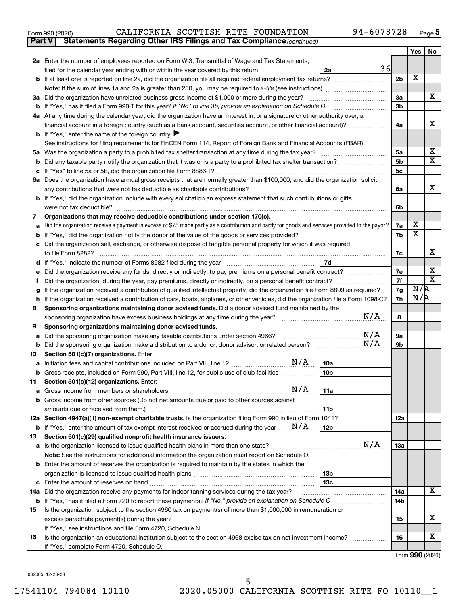| 94-6078728<br>CALIFORNIA SCOTTISH RITE FOUNDATION<br>Form 990 (2020) |  | Page |
|----------------------------------------------------------------------|--|------|
|----------------------------------------------------------------------|--|------|

**Part V** Statements Regarding Other IRS Filings and Tax Compliance (continued)

|         |                                                                                                                                                 |                      | Yes        | No                           |  |  |
|---------|-------------------------------------------------------------------------------------------------------------------------------------------------|----------------------|------------|------------------------------|--|--|
|         | 2a Enter the number of employees reported on Form W-3, Transmittal of Wage and Tax Statements,                                                  |                      |            |                              |  |  |
|         | 36<br>filed for the calendar year ending with or within the year covered by this return<br>2a                                                   |                      |            |                              |  |  |
|         |                                                                                                                                                 | 2 <sub>b</sub>       | X          |                              |  |  |
|         |                                                                                                                                                 |                      |            |                              |  |  |
|         | 3a Did the organization have unrelated business gross income of \$1,000 or more during the year?                                                |                      |            |                              |  |  |
|         |                                                                                                                                                 |                      |            |                              |  |  |
|         | 4a At any time during the calendar year, did the organization have an interest in, or a signature or other authority over, a                    |                      |            |                              |  |  |
|         | financial account in a foreign country (such as a bank account, securities account, or other financial account)?                                |                      |            |                              |  |  |
|         | <b>b</b> If "Yes," enter the name of the foreign country $\blacktriangleright$                                                                  |                      |            |                              |  |  |
|         | See instructions for filing requirements for FinCEN Form 114, Report of Foreign Bank and Financial Accounts (FBAR).                             |                      |            |                              |  |  |
| 5а<br>b |                                                                                                                                                 | 5a<br>5 <sub>b</sub> |            | х<br>X                       |  |  |
|         |                                                                                                                                                 | 5c                   |            |                              |  |  |
|         | 6a Does the organization have annual gross receipts that are normally greater than \$100,000, and did the organization solicit                  |                      |            |                              |  |  |
|         |                                                                                                                                                 | 6а                   |            | х                            |  |  |
|         | <b>b</b> If "Yes," did the organization include with every solicitation an express statement that such contributions or gifts                   |                      |            |                              |  |  |
|         | were not tax deductible?                                                                                                                        | 6b                   |            |                              |  |  |
| 7       | Organizations that may receive deductible contributions under section 170(c).                                                                   |                      |            |                              |  |  |
| a       | Did the organization receive a payment in excess of \$75 made partly as a contribution and partly for goods and services provided to the payor? | 7a                   | х          |                              |  |  |
| b       | If "Yes," did the organization notify the donor of the value of the goods or services provided?                                                 | 7b                   | X          |                              |  |  |
|         | Did the organization sell, exchange, or otherwise dispose of tangible personal property for which it was required                               |                      |            |                              |  |  |
|         |                                                                                                                                                 | 7c                   |            | x                            |  |  |
| d       | 7d                                                                                                                                              |                      |            |                              |  |  |
| е       | Did the organization receive any funds, directly or indirectly, to pay premiums on a personal benefit contract?                                 | 7е<br>7f             |            | х<br>$\overline{\textbf{x}}$ |  |  |
|         |                                                                                                                                                 |                      |            |                              |  |  |
| g       | If the organization received a contribution of qualified intellectual property, did the organization file Form 8899 as required?                | 7g<br>7h             | N/R<br>N/R |                              |  |  |
|         | If the organization received a contribution of cars, boats, airplanes, or other vehicles, did the organization file a Form 1098-C?<br>h         |                      |            |                              |  |  |
| 8       | Sponsoring organizations maintaining donor advised funds. Did a donor advised fund maintained by the<br>N/A                                     |                      |            |                              |  |  |
| 9       | sponsoring organization have excess business holdings at any time during the year?<br>Sponsoring organizations maintaining donor advised funds. | 8                    |            |                              |  |  |
| а       | N/A<br>Did the sponsoring organization make any taxable distributions under section 4966?                                                       | 9а                   |            |                              |  |  |
| b       | N/A                                                                                                                                             | 9b                   |            |                              |  |  |
| 10      | Section 501(c)(7) organizations. Enter:                                                                                                         |                      |            |                              |  |  |
| а       | $\mathrm{N}/\mathrm{A}$<br>10a<br>Initiation fees and capital contributions included on Part VIII, line 12 <i></i>                              |                      |            |                              |  |  |
| b       | 10 <sub>b</sub><br>Gross receipts, included on Form 990, Part VIII, line 12, for public use of club facilities                                  |                      |            |                              |  |  |
| 11      | Section 501(c)(12) organizations. Enter:                                                                                                        |                      |            |                              |  |  |
|         | $N/A$   11a                                                                                                                                     |                      |            |                              |  |  |
|         | b Gross income from other sources (Do not net amounts due or paid to other sources against                                                      |                      |            |                              |  |  |
|         | 11b                                                                                                                                             |                      |            |                              |  |  |
|         | 12a Section 4947(a)(1) non-exempt charitable trusts. Is the organization filing Form 990 in lieu of Form 1041?                                  | 12a                  |            |                              |  |  |
|         | <b>b</b> If "Yes," enter the amount of tax-exempt interest received or accrued during the year $\ldots$ $\mathbf{N}/\mathbf{A}$ .<br>12b        |                      |            |                              |  |  |
| 13      | Section 501(c)(29) qualified nonprofit health insurance issuers.<br>N/A                                                                         |                      |            |                              |  |  |
|         | a Is the organization licensed to issue qualified health plans in more than one state?                                                          | 13a                  |            |                              |  |  |
|         | Note: See the instructions for additional information the organization must report on Schedule O.                                               |                      |            |                              |  |  |
|         | <b>b</b> Enter the amount of reserves the organization is required to maintain by the states in which the<br>13b                                |                      |            |                              |  |  |
|         | 13 <sub>c</sub>                                                                                                                                 |                      |            |                              |  |  |
|         | 14a Did the organization receive any payments for indoor tanning services during the tax year?                                                  | 14a                  |            | х                            |  |  |
|         | <b>b</b> If "Yes," has it filed a Form 720 to report these payments? If "No," provide an explanation on Schedule O                              | 14b                  |            |                              |  |  |
| 15      | Is the organization subject to the section 4960 tax on payment(s) of more than \$1,000,000 in remuneration or                                   |                      |            |                              |  |  |
|         | excess parachute payment(s) during the year?                                                                                                    | 15                   |            | х                            |  |  |
|         | If "Yes," see instructions and file Form 4720, Schedule N.                                                                                      |                      |            |                              |  |  |
| 16      | Is the organization an educational institution subject to the section 4968 excise tax on net investment income?                                 | 16                   |            | х                            |  |  |
|         | If "Yes," complete Form 4720, Schedule O.                                                                                                       |                      |            |                              |  |  |

Form (2020) **990**

032005 12-23-20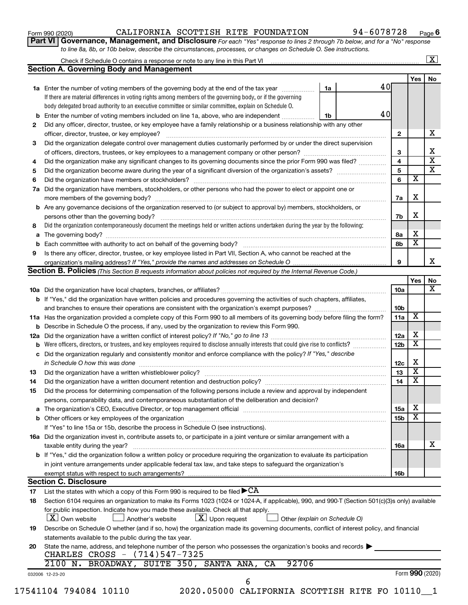| Form 990 (2020) |  |
|-----------------|--|
|-----------------|--|

#### Form 990 (2020) CALIFORNIA SCOTTISH RITE FOUNDATION 94-6078728 Page

**Part VI** Governance, Management, and Disclosure For each "Yes" response to lines 2 through 7b below, and for a "No" response *to line 8a, 8b, or 10b below, describe the circumstances, processes, or changes on Schedule O. See instructions.*

|     | Check if Schedule O contains a response or note to any line in this Part VI [11] [12] [12] Check if Schedule O contains a response or note to any line in this Part VI                                           |                               |                 |                         | $\mathbf{X}$            |
|-----|------------------------------------------------------------------------------------------------------------------------------------------------------------------------------------------------------------------|-------------------------------|-----------------|-------------------------|-------------------------|
|     | <b>Section A. Governing Body and Management</b>                                                                                                                                                                  |                               |                 |                         |                         |
|     |                                                                                                                                                                                                                  |                               |                 | Yes                     | No                      |
|     | 1a Enter the number of voting members of the governing body at the end of the tax year                                                                                                                           | 1a                            | 40              |                         |                         |
|     | If there are material differences in voting rights among members of the governing body, or if the governing                                                                                                      |                               |                 |                         |                         |
|     | body delegated broad authority to an executive committee or similar committee, explain on Schedule O.                                                                                                            |                               |                 |                         |                         |
| b   | Enter the number of voting members included on line 1a, above, who are independent                                                                                                                               | 1b                            | 40              |                         |                         |
| 2   | Did any officer, director, trustee, or key employee have a family relationship or a business relationship with any other                                                                                         |                               |                 |                         |                         |
|     | officer, director, trustee, or key employee?                                                                                                                                                                     |                               | $\mathbf{2}$    |                         | х                       |
| 3   | Did the organization delegate control over management duties customarily performed by or under the direct supervision                                                                                            |                               |                 |                         |                         |
|     |                                                                                                                                                                                                                  |                               | 3               |                         | х                       |
| 4   | Did the organization make any significant changes to its governing documents since the prior Form 990 was filed?                                                                                                 |                               | 4               |                         | $\overline{\mathbf{x}}$ |
| 5   |                                                                                                                                                                                                                  |                               | 5               |                         | $\overline{\mathbf{x}}$ |
| 6   |                                                                                                                                                                                                                  |                               | 6               | х                       |                         |
| 7a  | Did the organization have members, stockholders, or other persons who had the power to elect or appoint one or                                                                                                   |                               |                 |                         |                         |
|     |                                                                                                                                                                                                                  |                               | 7a              | X                       |                         |
| b   | Are any governance decisions of the organization reserved to (or subject to approval by) members, stockholders, or                                                                                               |                               |                 |                         |                         |
|     |                                                                                                                                                                                                                  |                               | 7b              | X                       |                         |
| 8   | Did the organization contemporaneously document the meetings held or written actions undertaken during the year by the following:                                                                                |                               |                 |                         |                         |
| а   |                                                                                                                                                                                                                  |                               | 8a              | х                       |                         |
|     |                                                                                                                                                                                                                  |                               | 8b              | $\overline{\textbf{x}}$ |                         |
| 9   | Is there any officer, director, trustee, or key employee listed in Part VII, Section A, who cannot be reached at the                                                                                             |                               |                 |                         |                         |
|     |                                                                                                                                                                                                                  |                               | 9               |                         | х                       |
|     | <b>Section B. Policies</b> (This Section B requests information about policies not required by the Internal Revenue Code.)                                                                                       |                               |                 |                         |                         |
|     |                                                                                                                                                                                                                  |                               |                 | Yes                     | No                      |
|     |                                                                                                                                                                                                                  |                               | 10a             |                         | х                       |
|     | <b>b</b> If "Yes," did the organization have written policies and procedures governing the activities of such chapters, affiliates,                                                                              |                               |                 |                         |                         |
|     |                                                                                                                                                                                                                  |                               | 10b             |                         |                         |
|     | 11a Has the organization provided a complete copy of this Form 990 to all members of its governing body before filing the form?                                                                                  |                               | 11a             | X                       |                         |
|     | Describe in Schedule O the process, if any, used by the organization to review this Form 990.                                                                                                                    |                               |                 |                         |                         |
| 12a |                                                                                                                                                                                                                  |                               | 12a             | х                       |                         |
|     | Were officers, directors, or trustees, and key employees required to disclose annually interests that could give rise to conflicts?                                                                              |                               | 12 <sub>b</sub> | X                       |                         |
| с   | Did the organization regularly and consistently monitor and enforce compliance with the policy? If "Yes," describe                                                                                               |                               |                 |                         |                         |
|     | in Schedule O how this was done manufactured and continuum and contact the was done manufactured and contact t                                                                                                   |                               | 12c             | X                       |                         |
| 13  |                                                                                                                                                                                                                  |                               | 13              | $\overline{\mathbf{x}}$ |                         |
| 14  |                                                                                                                                                                                                                  |                               | 14              | X                       |                         |
| 15  | Did the process for determining compensation of the following persons include a review and approval by independent                                                                                               |                               |                 |                         |                         |
|     | persons, comparability data, and contemporaneous substantiation of the deliberation and decision?                                                                                                                |                               |                 |                         |                         |
| а   | The organization's CEO, Executive Director, or top management official [111] [11] manument content in the organization's CEO, Executive Director, or top management official [11] manument in the organization's |                               | 15a             | х                       |                         |
|     |                                                                                                                                                                                                                  |                               | 15b             | х                       |                         |
|     | If "Yes" to line 15a or 15b, describe the process in Schedule O (see instructions).                                                                                                                              |                               |                 |                         |                         |
|     | 16a Did the organization invest in, contribute assets to, or participate in a joint venture or similar arrangement with a                                                                                        |                               |                 |                         |                         |
|     | taxable entity during the year?                                                                                                                                                                                  |                               | 16a             |                         | x                       |
|     | b If "Yes," did the organization follow a written policy or procedure requiring the organization to evaluate its participation                                                                                   |                               |                 |                         |                         |
|     | in joint venture arrangements under applicable federal tax law, and take steps to safeguard the organization's                                                                                                   |                               |                 |                         |                         |
|     | exempt status with respect to such arrangements?                                                                                                                                                                 |                               | 16b             |                         |                         |
|     | <b>Section C. Disclosure</b>                                                                                                                                                                                     |                               |                 |                         |                         |
| 17  | List the states with which a copy of this Form 990 is required to be filed $\blacktriangleright$ CA                                                                                                              |                               |                 |                         |                         |
| 18  | Section 6104 requires an organization to make its Forms 1023 (1024 or 1024-A, if applicable), 990, and 990-T (Section 501(c)(3)s only) available                                                                 |                               |                 |                         |                         |
|     | for public inspection. Indicate how you made these available. Check all that apply.                                                                                                                              |                               |                 |                         |                         |
|     | $\lfloor x \rfloor$ Upon request<br>  X   Own website<br>Another's website                                                                                                                                       | Other (explain on Schedule O) |                 |                         |                         |
| 19  | Describe on Schedule O whether (and if so, how) the organization made its governing documents, conflict of interest policy, and financial                                                                        |                               |                 |                         |                         |
|     | statements available to the public during the tax year.                                                                                                                                                          |                               |                 |                         |                         |
|     | State the name, address, and telephone number of the person who possesses the organization's books and records $\blacktriangleright$                                                                             |                               |                 |                         |                         |
| 20  | CHARLES CROSS - (714)547-7325                                                                                                                                                                                    |                               |                 |                         |                         |
|     | 2100 N. BROADWAY, SUITE 350, SANTA ANA,<br>92706<br>CA                                                                                                                                                           |                               |                 |                         |                         |
|     |                                                                                                                                                                                                                  |                               |                 | Form 990 (2020)         |                         |
|     | 032006 12-23-20<br>6                                                                                                                                                                                             |                               |                 |                         |                         |
|     | 17541104 794084 10110<br>2020.05000 CALIFORNIA SCOTTISH RITE FO 10110 1                                                                                                                                          |                               |                 |                         |                         |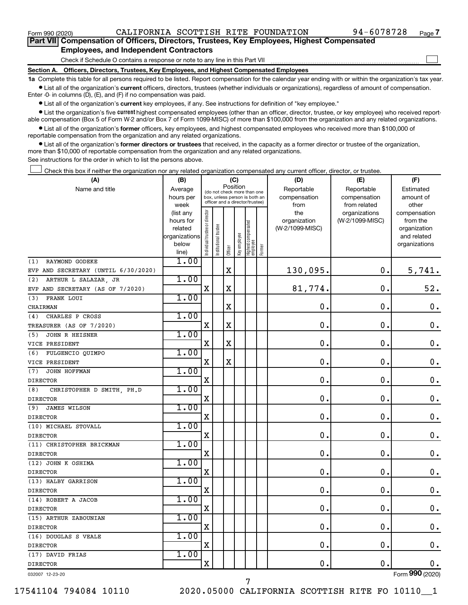$\Box$ 

| Part VII Compensation of Officers, Directors, Trustees, Key Employees, Highest Compensated |
|--------------------------------------------------------------------------------------------|
| <b>Employees, and Independent Contractors</b>                                              |

Check if Schedule O contains a response or note to any line in this Part VII

**Section A. Officers, Directors, Trustees, Key Employees, and Highest Compensated Employees**

**1a**  Complete this table for all persons required to be listed. Report compensation for the calendar year ending with or within the organization's tax year.  $\bullet$  List all of the organization's current officers, directors, trustees (whether individuals or organizations), regardless of amount of compensation.

Enter -0- in columns (D), (E), and (F) if no compensation was paid.

**•** List all of the organization's current key employees, if any. See instructions for definition of "key employee."

• List the organization's five *current* highest compensated employees (other than an officer, director, trustee, or key employee) who received reportable compensation (Box 5 of Form W-2 and/or Box 7 of Form 1099-MISC) of more than \$100,000 from the organization and any related organizations.

 $\bullet$  List all of the organization's former officers, key employees, and highest compensated employees who received more than \$100,000 of reportable compensation from the organization and any related organizations.

**•** List all of the organization's former directors or trustees that received, in the capacity as a former director or trustee of the organization, more than \$10,000 of reportable compensation from the organization and any related organizations.

See instructions for the order in which to list the persons above.

Check this box if neither the organization nor any related organization compensated any current officer, director, or trustee.  $\Box$ 

| (A)                                 | (B)                  |                                |                                                                  | (C)                     |              |                                   |        | (D)                             | (E)             | (F)                      |
|-------------------------------------|----------------------|--------------------------------|------------------------------------------------------------------|-------------------------|--------------|-----------------------------------|--------|---------------------------------|-----------------|--------------------------|
| Name and title                      | Average              |                                | (do not check more than one                                      |                         | Position     |                                   |        | Reportable                      | Reportable      | Estimated                |
|                                     | hours per            |                                | box, unless person is both an<br>officer and a director/trustee) |                         |              |                                   |        | compensation                    | compensation    | amount of                |
|                                     | week                 |                                |                                                                  |                         |              |                                   |        | from                            | from related    | other                    |
|                                     | (list any            | Individual trustee or director |                                                                  |                         |              |                                   |        | the                             | organizations   | compensation             |
|                                     | hours for<br>related |                                |                                                                  |                         |              |                                   |        | organization<br>(W-2/1099-MISC) | (W-2/1099-MISC) | from the<br>organization |
|                                     | organizations        |                                |                                                                  |                         |              |                                   |        |                                 |                 | and related              |
|                                     | below                |                                | Institutional trustee                                            |                         | Key employee |                                   |        |                                 |                 | organizations            |
|                                     | line)                |                                |                                                                  | Officer                 |              | Highest compensated<br>  employee | Former |                                 |                 |                          |
| RAYMOND GODEKE<br>(1)               | 1.00                 |                                |                                                                  |                         |              |                                   |        |                                 |                 |                          |
| EVP AND SECRETARY (UNTIL 6/30/2020) |                      |                                |                                                                  | $\mathbf X$             |              |                                   |        | 130,095.                        | $\mathbf 0$ .   | 5,741.                   |
| ARTHUR L SALAZAR, JR<br>(2)         | 1.00                 |                                |                                                                  |                         |              |                                   |        |                                 |                 |                          |
| EVP AND SECRETARY (AS OF 7/2020)    |                      | X                              |                                                                  | $\mathbf X$             |              |                                   |        | 81,774.                         | $\mathbf 0$ .   | 52.                      |
| (3)<br>FRANK LOUI                   | 1.00                 |                                |                                                                  |                         |              |                                   |        |                                 |                 |                          |
| CHAIRMAN                            |                      |                                |                                                                  | X                       |              |                                   |        | $\mathbf 0$                     | 0.              | 0.                       |
| CHARLES P CROSS<br>(4)              | 1.00                 |                                |                                                                  |                         |              |                                   |        |                                 |                 |                          |
| TREASURER (AS OF 7/2020)            |                      | X                              |                                                                  | $\mathbf X$             |              |                                   |        | 0.                              | $\mathbf 0$ .   | $\mathbf 0$ .            |
| (5)<br><b>JOHN R HEISNER</b>        | 1.00                 |                                |                                                                  |                         |              |                                   |        |                                 |                 |                          |
| VICE PRESIDENT                      |                      | X                              |                                                                  | X                       |              |                                   |        | 0                               | $\mathbf 0$ .   | $\mathbf 0$ .            |
| FULGENCIO QUIMPO<br>(6)             | 1.00                 |                                |                                                                  |                         |              |                                   |        |                                 |                 |                          |
| VICE PRESIDENT                      |                      | $\mathbf X$                    |                                                                  | $\overline{\mathbf{X}}$ |              |                                   |        | $\mathbf 0$                     | $\mathbf 0$ .   | $\mathbf 0$ .            |
| JOHN HOFFMAN<br>(7)                 | 1.00                 |                                |                                                                  |                         |              |                                   |        |                                 |                 |                          |
| <b>DIRECTOR</b>                     |                      | X                              |                                                                  |                         |              |                                   |        | $\mathbf 0$ .                   | $\mathbf 0$ .   | $\mathbf 0$ .            |
| (8)<br>CHRISTOPHER D SMITH, PH.D    | 1.00                 |                                |                                                                  |                         |              |                                   |        |                                 |                 |                          |
| <b>DIRECTOR</b>                     |                      | X                              |                                                                  |                         |              |                                   |        | $\mathbf 0$ .                   | $\mathbf 0$ .   | $\mathbf 0$ .            |
| <b>JAMES WILSON</b><br>(9)          | 1.00                 |                                |                                                                  |                         |              |                                   |        |                                 |                 |                          |
| <b>DIRECTOR</b>                     |                      | $\mathbf X$                    |                                                                  |                         |              |                                   |        | $\mathbf 0$ .                   | $\mathbf 0$ .   | $0$ .                    |
| (10) MICHAEL STOVALL                | 1.00                 |                                |                                                                  |                         |              |                                   |        |                                 |                 |                          |
| <b>DIRECTOR</b>                     |                      | $\mathbf X$                    |                                                                  |                         |              |                                   |        | $\mathbf 0$ .                   | $\mathbf 0$ .   | 0.                       |
| (11) CHRISTOPHER BRICKMAN           | 1.00                 |                                |                                                                  |                         |              |                                   |        |                                 |                 |                          |
| <b>DIRECTOR</b>                     |                      | $\mathbf X$                    |                                                                  |                         |              |                                   |        | $\mathbf 0$                     | $\mathbf 0$ .   | $\mathbf 0$ .            |
| (12) JOHN K OSHIMA                  | 1.00                 |                                |                                                                  |                         |              |                                   |        |                                 |                 |                          |
| <b>DIRECTOR</b>                     |                      | $\mathbf X$                    |                                                                  |                         |              |                                   |        | 0                               | $\mathbf 0$ .   | 0.                       |
| (13) HALBY GARRISON                 | 1.00                 |                                |                                                                  |                         |              |                                   |        |                                 |                 |                          |
| <b>DIRECTOR</b>                     |                      | X                              |                                                                  |                         |              |                                   |        | $\mathbf 0$                     | $\mathbf 0$ .   | $\mathbf 0$ .            |
| (14) ROBERT A JACOB                 | 1.00                 |                                |                                                                  |                         |              |                                   |        |                                 |                 |                          |
| <b>DIRECTOR</b>                     |                      | $\mathbf X$                    |                                                                  |                         |              |                                   |        | $\mathbf 0$ .                   | $\mathbf 0$ .   | $\mathbf 0$ .            |
| (15) ARTHUR ZABOUNIAN               | 1.00                 |                                |                                                                  |                         |              |                                   |        |                                 |                 |                          |
| <b>DIRECTOR</b>                     |                      | $\mathbf X$                    |                                                                  |                         |              |                                   |        | 0                               | $\mathbf 0$ .   | $\mathbf 0$ .            |
| (16) DOUGLAS S VEALE                | 1.00                 |                                |                                                                  |                         |              |                                   |        |                                 |                 |                          |
| <b>DIRECTOR</b>                     |                      | X                              |                                                                  |                         |              |                                   |        | $\mathbf{0}$ .                  | $\mathbf 0$ .   | $\mathbf 0$ .            |
| (17) DAVID FRIAS                    | 1.00                 |                                |                                                                  |                         |              |                                   |        |                                 |                 |                          |
| <b>DIRECTOR</b>                     |                      | $\mathbf X$                    |                                                                  |                         |              |                                   |        | 0.                              | $\mathbf 0$ .   | $0$ .                    |
| 032007 12-23-20                     |                      |                                |                                                                  |                         |              |                                   |        |                                 |                 | Form 990 (2020)          |

7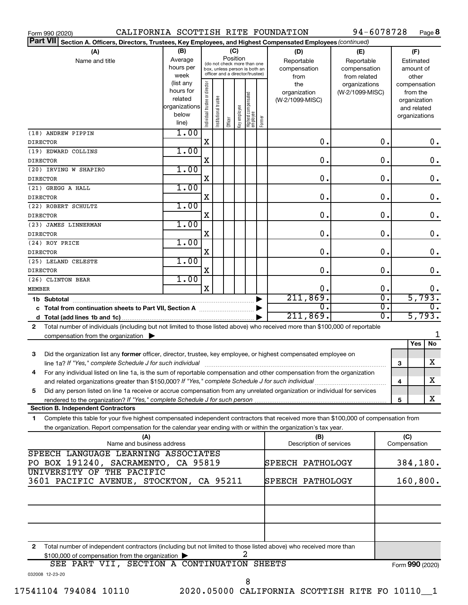| Form 990 (2020)                                                                                                                              |               |                                |                       |                                                              |              |                                 |                       | CALIFORNIA SCOTTISH RITE FOUNDATION | 94-6078728      |                  |                 |               | Page 8             |
|----------------------------------------------------------------------------------------------------------------------------------------------|---------------|--------------------------------|-----------------------|--------------------------------------------------------------|--------------|---------------------------------|-----------------------|-------------------------------------|-----------------|------------------|-----------------|---------------|--------------------|
| <b>Part VII</b><br>Section A. Officers, Directors, Trustees, Key Employees, and Highest Compensated Employees (continued)                    |               |                                |                       |                                                              |              |                                 |                       |                                     |                 |                  |                 |               |                    |
| (A)                                                                                                                                          | (B)           |                                |                       | (C)                                                          |              |                                 |                       | (D)                                 | (E)             |                  |                 | (F)           |                    |
| Name and title                                                                                                                               | Average       |                                |                       | Position                                                     |              |                                 |                       | Reportable                          | Reportable      |                  |                 | Estimated     |                    |
|                                                                                                                                              | hours per     |                                |                       | (do not check more than one<br>box, unless person is both an |              |                                 |                       | compensation                        | compensation    |                  |                 | amount of     |                    |
|                                                                                                                                              | week          |                                |                       | officer and a director/trustee)                              |              |                                 |                       | from                                | from related    |                  |                 | other         |                    |
|                                                                                                                                              | (list any     |                                |                       |                                                              |              |                                 |                       | the                                 | organizations   |                  |                 | compensation  |                    |
|                                                                                                                                              | hours for     |                                |                       |                                                              |              |                                 |                       | organization                        | (W-2/1099-MISC) |                  |                 | from the      |                    |
|                                                                                                                                              | related       |                                |                       |                                                              |              |                                 |                       | (W-2/1099-MISC)                     |                 |                  |                 | organization  |                    |
|                                                                                                                                              | organizations |                                |                       |                                                              |              |                                 |                       |                                     |                 |                  |                 | and related   |                    |
|                                                                                                                                              | below         | Individual trustee or director | Institutional trustee |                                                              | Key employee | Highest compensated<br>employee | Former                |                                     |                 |                  |                 | organizations |                    |
|                                                                                                                                              | line)         |                                |                       | Officer                                                      |              |                                 |                       |                                     |                 |                  |                 |               |                    |
| (18) ANDREW PIPPIN                                                                                                                           | 1.00          |                                |                       |                                                              |              |                                 |                       |                                     |                 |                  |                 |               |                    |
| <b>DIRECTOR</b>                                                                                                                              |               | X                              |                       |                                                              |              |                                 |                       | $\mathbf 0$ .                       |                 | 0.               |                 |               | $0$ .              |
| (19) EDWARD COLLINS                                                                                                                          | 1.00          |                                |                       |                                                              |              |                                 |                       |                                     |                 |                  |                 |               |                    |
| <b>DIRECTOR</b>                                                                                                                              |               | Χ                              |                       |                                                              |              |                                 |                       | $\mathbf 0$ .                       |                 | 0.               |                 |               | $\boldsymbol{0}$ . |
| (20) IRVING W SHAPIRO                                                                                                                        | 1.00          |                                |                       |                                                              |              |                                 |                       |                                     |                 |                  |                 |               |                    |
| <b>DIRECTOR</b>                                                                                                                              |               | Χ                              |                       |                                                              |              |                                 |                       | $\mathbf 0$ .                       |                 | 0.               |                 |               | $\boldsymbol{0}$ . |
| (21) GREGG A HALL                                                                                                                            | 1.00          |                                |                       |                                                              |              |                                 |                       |                                     |                 |                  |                 |               |                    |
| <b>DIRECTOR</b>                                                                                                                              |               | Χ                              |                       |                                                              |              |                                 |                       | $\mathbf 0$ .                       |                 | 0.               |                 |               | $\boldsymbol{0}$ . |
| (22) ROBERT SCHULTZ                                                                                                                          | 1.00          |                                |                       |                                                              |              |                                 |                       |                                     |                 |                  |                 |               |                    |
|                                                                                                                                              |               | Χ                              |                       |                                                              |              |                                 |                       | $\mathbf 0$ .                       |                 | 0.               |                 |               | $\boldsymbol{0}$ . |
| <b>DIRECTOR</b>                                                                                                                              |               |                                |                       |                                                              |              |                                 |                       |                                     |                 |                  |                 |               |                    |
| (23) JAMES LINNERMAN                                                                                                                         | 1.00          |                                |                       |                                                              |              |                                 |                       |                                     |                 |                  |                 |               |                    |
| <b>DIRECTOR</b>                                                                                                                              |               | Χ                              |                       |                                                              |              |                                 |                       | $\mathbf 0$ .                       |                 | $\mathbf 0$ .    |                 |               | $\boldsymbol{0}$ . |
| (24) ROY PRICE                                                                                                                               | 1.00          |                                |                       |                                                              |              |                                 |                       |                                     |                 |                  |                 |               |                    |
| <b>DIRECTOR</b>                                                                                                                              |               | Χ                              |                       |                                                              |              |                                 |                       | $\mathbf 0$ .                       |                 | $\mathbf 0$ .    |                 |               | $\boldsymbol{0}$ . |
| (25) LELAND CELESTE                                                                                                                          | 1.00          |                                |                       |                                                              |              |                                 |                       |                                     |                 |                  |                 |               |                    |
| <b>DIRECTOR</b>                                                                                                                              |               | Χ                              |                       |                                                              |              |                                 |                       | $\mathbf 0$ .                       |                 | $\mathbf 0$ .    |                 |               | $\boldsymbol{0}$ . |
| (26) CLINTON BEAR                                                                                                                            | 1.00          |                                |                       |                                                              |              |                                 |                       |                                     |                 |                  |                 |               |                    |
| MEMBER                                                                                                                                       |               | X                              |                       |                                                              |              |                                 |                       | 0.                                  |                 | 0.               |                 |               | $\mathbf 0$ .      |
|                                                                                                                                              |               |                                |                       |                                                              |              |                                 | $\blacktriangleright$ | 211,869.                            |                 | $\overline{0}$ . |                 |               | 5,793.             |
| c Total from continuation sheets to Part VII, Section A manuscription                                                                        |               |                                |                       |                                                              |              |                                 | ▶                     | σ.                                  |                 | $\overline{0}$ . |                 |               | $\overline{0}$ .   |
|                                                                                                                                              |               |                                |                       |                                                              |              |                                 |                       | 211,869.                            |                 | $\overline{0}$ . |                 |               | 5,793.             |
| Total number of individuals (including but not limited to those listed above) who received more than \$100,000 of reportable<br>$\mathbf{2}$ |               |                                |                       |                                                              |              |                                 |                       |                                     |                 |                  |                 |               |                    |
|                                                                                                                                              |               |                                |                       |                                                              |              |                                 |                       |                                     |                 |                  |                 |               |                    |
| compensation from the organization $\blacktriangleright$                                                                                     |               |                                |                       |                                                              |              |                                 |                       |                                     |                 |                  |                 | Yes           | No                 |
|                                                                                                                                              |               |                                |                       |                                                              |              |                                 |                       |                                     |                 |                  |                 |               |                    |
| 3<br>Did the organization list any former officer, director, trustee, key employee, or highest compensated employee on                       |               |                                |                       |                                                              |              |                                 |                       |                                     |                 |                  |                 |               |                    |
| line 1a? If "Yes," complete Schedule J for such individual manufacture content to the set of the set of the such re                          |               |                                |                       |                                                              |              |                                 |                       |                                     |                 |                  | 3               |               | X                  |
| For any individual listed on line 1a, is the sum of reportable compensation and other compensation from the organization                     |               |                                |                       |                                                              |              |                                 |                       |                                     |                 |                  |                 |               |                    |
| and related organizations greater than \$150,000? If "Yes," complete Schedule J for such individual                                          |               |                                |                       |                                                              |              |                                 |                       |                                     |                 |                  | 4               |               | x                  |
| Did any person listed on line 1a receive or accrue compensation from any unrelated organization or individual for services<br>5              |               |                                |                       |                                                              |              |                                 |                       |                                     |                 |                  |                 |               |                    |
|                                                                                                                                              |               |                                |                       |                                                              |              |                                 |                       |                                     |                 |                  | 5               |               | x                  |
| <b>Section B. Independent Contractors</b>                                                                                                    |               |                                |                       |                                                              |              |                                 |                       |                                     |                 |                  |                 |               |                    |
| Complete this table for your five highest compensated independent contractors that received more than \$100,000 of compensation from<br>1.   |               |                                |                       |                                                              |              |                                 |                       |                                     |                 |                  |                 |               |                    |
| the organization. Report compensation for the calendar year ending with or within the organization's tax year.                               |               |                                |                       |                                                              |              |                                 |                       |                                     |                 |                  |                 |               |                    |
| (A)                                                                                                                                          |               |                                |                       |                                                              |              |                                 |                       | (B)                                 |                 |                  | (C)             |               |                    |
| Name and business address                                                                                                                    |               |                                |                       |                                                              |              |                                 |                       | Description of services             |                 |                  | Compensation    |               |                    |
| SPEECH LANGUAGE LEARNING ASSOCIATES                                                                                                          |               |                                |                       |                                                              |              |                                 |                       |                                     |                 |                  |                 |               |                    |
| PO BOX 191240, SACRAMENTO, CA 95819                                                                                                          |               |                                |                       |                                                              |              |                                 |                       | SPEECH PATHOLOGY                    |                 |                  |                 |               | 384,180.           |
| UNIVERSITY OF THE PACIFIC                                                                                                                    |               |                                |                       |                                                              |              |                                 |                       |                                     |                 |                  |                 |               |                    |
| 3601 PACIFIC AVENUE, STOCKTON, CA 95211                                                                                                      |               |                                |                       |                                                              |              |                                 |                       | SPEECH PATHOLOGY                    |                 |                  |                 |               | 160, 800.          |
|                                                                                                                                              |               |                                |                       |                                                              |              |                                 |                       |                                     |                 |                  |                 |               |                    |
|                                                                                                                                              |               |                                |                       |                                                              |              |                                 |                       |                                     |                 |                  |                 |               |                    |
|                                                                                                                                              |               |                                |                       |                                                              |              |                                 |                       |                                     |                 |                  |                 |               |                    |
|                                                                                                                                              |               |                                |                       |                                                              |              |                                 |                       |                                     |                 |                  |                 |               |                    |
|                                                                                                                                              |               |                                |                       |                                                              |              |                                 |                       |                                     |                 |                  |                 |               |                    |
|                                                                                                                                              |               |                                |                       |                                                              |              |                                 |                       |                                     |                 |                  |                 |               |                    |
|                                                                                                                                              |               |                                |                       |                                                              |              |                                 |                       |                                     |                 |                  |                 |               |                    |
| Total number of independent contractors (including but not limited to those listed above) who received more than<br>2                        |               |                                |                       |                                                              |              |                                 |                       |                                     |                 |                  |                 |               |                    |
| \$100,000 of compensation from the organization                                                                                              |               |                                |                       |                                                              |              |                                 |                       |                                     |                 |                  |                 |               |                    |
| SEE PART VII, SECTION A CONTINUATION SHEETS                                                                                                  |               |                                |                       |                                                              |              |                                 |                       |                                     |                 |                  | Form 990 (2020) |               |                    |
| 032008 12-23-20                                                                                                                              |               |                                |                       |                                                              |              |                                 |                       |                                     |                 |                  |                 |               |                    |
|                                                                                                                                              |               |                                |                       |                                                              |              | 8                               |                       |                                     |                 |                  |                 |               |                    |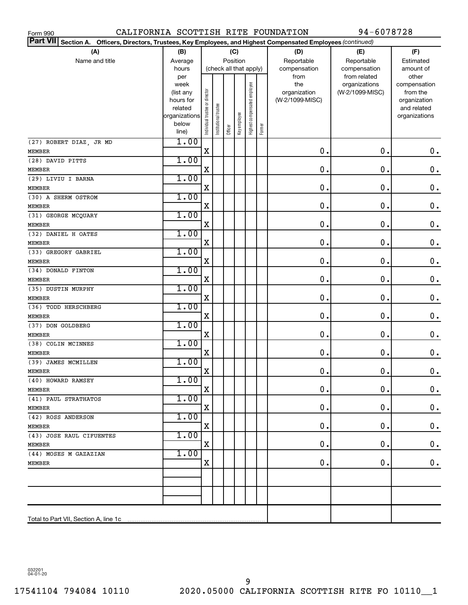| CALIFORNIA SCOTTISH RITE FOUNDATION<br>Form 990                                                                           |                |                                |                       |         |              |                              |        |                 | 94-6078728                    |                       |
|---------------------------------------------------------------------------------------------------------------------------|----------------|--------------------------------|-----------------------|---------|--------------|------------------------------|--------|-----------------|-------------------------------|-----------------------|
| <b>Part VII</b><br>Section A. Officers, Directors, Trustees, Key Employees, and Highest Compensated Employees (continued) |                |                                |                       |         |              |                              |        |                 |                               |                       |
| (A)                                                                                                                       | (B)            |                                |                       |         | (C)          |                              |        | (D)             | (E)                           | (F)                   |
| Name and title                                                                                                            | Average        |                                |                       |         | Position     |                              |        | Reportable      | Reportable                    | Estimated             |
|                                                                                                                           | hours          | (check all that apply)         |                       |         |              |                              |        | compensation    | compensation                  | amount of             |
|                                                                                                                           | per<br>week    |                                |                       |         |              |                              |        | from<br>the     | from related<br>organizations | other<br>compensation |
|                                                                                                                           | (list any      |                                |                       |         |              |                              |        | organization    | (W-2/1099-MISC)               | from the              |
|                                                                                                                           | hours for      |                                |                       |         |              |                              |        | (W-2/1099-MISC) |                               | organization          |
|                                                                                                                           | related        |                                |                       |         |              |                              |        |                 |                               | and related           |
|                                                                                                                           | organizations  |                                |                       |         |              |                              |        |                 |                               | organizations         |
|                                                                                                                           | below<br>line) | Individual trustee or director | Institutional trustee | Officer | Key employee | Highest compensated employee | Former |                 |                               |                       |
| (27) ROBERT DIAZ, JR MD                                                                                                   | 1.00           |                                |                       |         |              |                              |        |                 |                               |                       |
| <b>MEMBER</b>                                                                                                             |                | $\mathbf X$                    |                       |         |              |                              |        | $\mathbf 0$ .   | $\mathbf 0$ .                 | $\mathbf 0$ .         |
| (28) DAVID PITTS                                                                                                          | 1.00           |                                |                       |         |              |                              |        |                 |                               |                       |
| <b>MEMBER</b>                                                                                                             |                | X                              |                       |         |              |                              |        | $\mathbf 0$ .   | О.                            | $\mathbf 0$ .         |
| (29) LIVIU I BARNA                                                                                                        | 1.00           |                                |                       |         |              |                              |        |                 |                               |                       |
| <b>MEMBER</b>                                                                                                             |                | X                              |                       |         |              |                              |        | $\mathbf 0$ .   | О.                            | $\mathbf 0$ .         |
| (30) A SHERM OSTROM                                                                                                       | 1.00           |                                |                       |         |              |                              |        |                 |                               |                       |
| <b>MEMBER</b>                                                                                                             |                | X                              |                       |         |              |                              |        | $\mathbf 0$ .   | О.                            | $\mathbf 0$ .         |
| (31) GEORGE MCQUARY                                                                                                       | 1.00           | X                              |                       |         |              |                              |        | $\mathbf 0$ .   | О.                            | $\mathbf 0$ .         |
| <b>MEMBER</b>                                                                                                             | 1.00           |                                |                       |         |              |                              |        |                 |                               |                       |
| (32) DANIEL H OATES<br><b>MEMBER</b>                                                                                      |                | $\rm X$                        |                       |         |              |                              |        | $\mathbf 0$ .   | О.                            | $\mathbf 0$ .         |
| (33) GREGORY GABRIEL                                                                                                      | 1.00           |                                |                       |         |              |                              |        |                 |                               |                       |
| <b>MEMBER</b>                                                                                                             |                | X                              |                       |         |              |                              |        | $\mathbf 0$ .   | О.                            | $\mathbf 0$ .         |
| (34) DONALD FINTON                                                                                                        | 1.00           |                                |                       |         |              |                              |        |                 |                               |                       |
| <b>MEMBER</b>                                                                                                             |                | X                              |                       |         |              |                              |        | $\mathbf 0$ .   | О.                            | $\mathbf 0$ .         |
| (35) DUSTIN MURPHY                                                                                                        | 1.00           |                                |                       |         |              |                              |        |                 |                               |                       |
| MEMBER                                                                                                                    |                | X                              |                       |         |              |                              |        | $\mathbf 0$ .   | О.                            | $\mathbf 0$ .         |
| (36) TODD HERSCHBERG                                                                                                      | 1.00           |                                |                       |         |              |                              |        |                 |                               |                       |
| MEMBER                                                                                                                    |                | X                              |                       |         |              |                              |        | $\mathbf 0$ .   | О.                            | $\mathbf 0$ .         |
| (37) DON GOLDBERG                                                                                                         | 1.00           |                                |                       |         |              |                              |        |                 |                               |                       |
| <b>MEMBER</b>                                                                                                             |                | $\rm X$                        |                       |         |              |                              |        | $\mathbf 0$ .   | О.                            | $\mathbf 0$ .         |
| (38) COLIN MCINNES                                                                                                        | 1.00           |                                |                       |         |              |                              |        |                 |                               |                       |
| <b>MEMBER</b>                                                                                                             |                | X                              |                       |         |              |                              |        | $\mathbf 0$ .   | О.                            | $\boldsymbol{0}$ .    |
| (39) JAMES MCMILLEN                                                                                                       | 1.00           |                                |                       |         |              |                              |        |                 |                               |                       |
| MEMBER                                                                                                                    |                | A,                             |                       |         |              |                              |        | 0.              | $\mathbf 0$ .                 | $\mathbf 0$ .         |
| (40) HOWARD RAMSEY                                                                                                        | 1.00           |                                |                       |         |              |                              |        |                 |                               |                       |
| MEMBER                                                                                                                    |                | Χ                              |                       |         |              |                              |        | О.              | О.                            | $\mathbf 0$ .         |
| (41) PAUL STRATHATOS                                                                                                      | 1.00           |                                |                       |         |              |                              |        |                 |                               |                       |
| MEMBER                                                                                                                    |                | $\mathbf X$                    |                       |         |              |                              |        | О.              | О.                            | 0.                    |
| (42) ROSS ANDERSON                                                                                                        | 1.00           |                                |                       |         |              |                              |        |                 |                               |                       |
| MEMBER                                                                                                                    |                | $\mathbf X$                    |                       |         |              |                              |        | О.              | О.                            | $\mathbf 0$ .         |
| (43) JOSE RAUL CIFUENTES                                                                                                  | 1.00           |                                |                       |         |              |                              |        |                 |                               |                       |
| MEMBER                                                                                                                    |                | $\mathbf X$                    |                       |         |              |                              |        | О.              | О.                            | $\mathbf 0$ .         |
| (44) MOSES M GAZAZIAN                                                                                                     | 1.00           | X                              |                       |         |              |                              |        | О.              | О.                            | $\mathbf 0$ .         |
| MEMBER                                                                                                                    |                |                                |                       |         |              |                              |        |                 |                               |                       |
|                                                                                                                           |                |                                |                       |         |              |                              |        |                 |                               |                       |
|                                                                                                                           |                |                                |                       |         |              |                              |        |                 |                               |                       |
|                                                                                                                           |                |                                |                       |         |              |                              |        |                 |                               |                       |
| Total to Part VII, Section A, line 1c                                                                                     |                |                                |                       |         |              |                              |        |                 |                               |                       |
|                                                                                                                           |                |                                |                       |         |              |                              |        |                 |                               |                       |

032201 04-01-20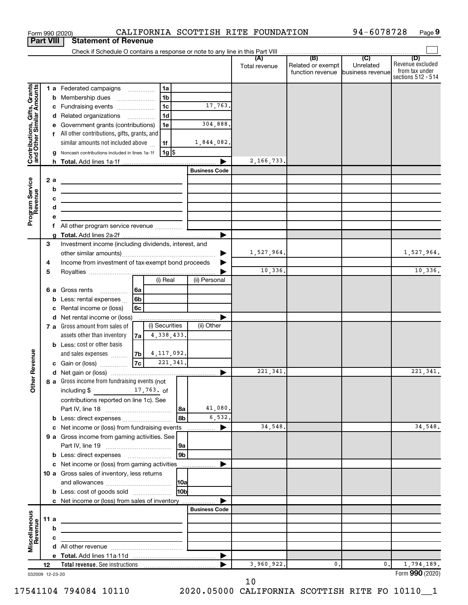|                                                           |    |          | Form 990 (2020)                                                                                                                                                                                                                      |          |                |            |                           | CALIFORNIA SCOTTISH RITE FOUNDATION |                                                        | 94-6078728     | Page 9                                                          |
|-----------------------------------------------------------|----|----------|--------------------------------------------------------------------------------------------------------------------------------------------------------------------------------------------------------------------------------------|----------|----------------|------------|---------------------------|-------------------------------------|--------------------------------------------------------|----------------|-----------------------------------------------------------------|
| <b>Part VIII</b>                                          |    |          | <b>Statement of Revenue</b>                                                                                                                                                                                                          |          |                |            |                           |                                     |                                                        |                |                                                                 |
|                                                           |    |          |                                                                                                                                                                                                                                      |          |                |            |                           |                                     |                                                        |                |                                                                 |
|                                                           |    |          |                                                                                                                                                                                                                                      |          |                |            |                           | Total revenue                       | Related or exempt<br>function revenue business revenue | Unrelated      | (D)<br>Revenue excluded<br>from tax under<br>sections 512 - 514 |
|                                                           |    |          | 1 a Federated campaigns                                                                                                                                                                                                              |          | 1a             |            |                           |                                     |                                                        |                |                                                                 |
| Contributions, Gifts, Grants<br>and Other Similar Amounts |    |          | <b>b</b> Membership dues<br>$\ldots \ldots \ldots \ldots \ldots$                                                                                                                                                                     |          | 1 <sub>b</sub> |            |                           |                                     |                                                        |                |                                                                 |
|                                                           |    |          | c Fundraising events                                                                                                                                                                                                                 |          | 1c             |            | 17,763.                   |                                     |                                                        |                |                                                                 |
|                                                           |    |          | d Related organizations                                                                                                                                                                                                              |          | 1 <sub>d</sub> |            |                           |                                     |                                                        |                |                                                                 |
|                                                           |    |          | e Government grants (contributions)                                                                                                                                                                                                  |          | 1e             |            | 304,888.                  |                                     |                                                        |                |                                                                 |
|                                                           |    |          | f All other contributions, gifts, grants, and                                                                                                                                                                                        |          |                |            |                           |                                     |                                                        |                |                                                                 |
|                                                           |    |          | similar amounts not included above                                                                                                                                                                                                   |          | 1f             |            | 1,844,082.                |                                     |                                                        |                |                                                                 |
|                                                           |    |          | Noncash contributions included in lines 1a-1f                                                                                                                                                                                        |          | 1g  \$         |            |                           |                                     |                                                        |                |                                                                 |
|                                                           |    |          |                                                                                                                                                                                                                                      |          |                |            | ▶<br><b>Business Code</b> | 2,166,733.                          |                                                        |                |                                                                 |
|                                                           |    |          |                                                                                                                                                                                                                                      |          |                |            |                           |                                     |                                                        |                |                                                                 |
| Program Service<br>Revenue                                |    | 2 a<br>b |                                                                                                                                                                                                                                      |          |                |            |                           |                                     |                                                        |                |                                                                 |
|                                                           |    | c        | <u>state and the state of the state of the state of the state of the state of the state of the state of the state of the state of the state of the state of the state of the state of the state of the state of the state of the</u> |          |                |            |                           |                                     |                                                        |                |                                                                 |
|                                                           |    | d        | the control of the control of the control of the control of the control of                                                                                                                                                           |          |                |            |                           |                                     |                                                        |                |                                                                 |
|                                                           |    |          |                                                                                                                                                                                                                                      |          |                |            |                           |                                     |                                                        |                |                                                                 |
|                                                           |    | f        | All other program service revenue                                                                                                                                                                                                    |          |                |            |                           |                                     |                                                        |                |                                                                 |
|                                                           |    |          |                                                                                                                                                                                                                                      |          |                |            | ▶                         |                                     |                                                        |                |                                                                 |
|                                                           | 3  |          | Investment income (including dividends, interest, and                                                                                                                                                                                |          |                |            |                           |                                     |                                                        |                |                                                                 |
|                                                           |    |          |                                                                                                                                                                                                                                      |          |                |            |                           | 1,527,964.                          |                                                        |                | 1,527,964.                                                      |
|                                                           | 4  |          | Income from investment of tax-exempt bond proceeds                                                                                                                                                                                   |          |                |            |                           |                                     |                                                        |                |                                                                 |
|                                                           | 5  |          |                                                                                                                                                                                                                                      |          |                |            |                           | 10,336.                             |                                                        |                | 10,336.                                                         |
|                                                           |    |          |                                                                                                                                                                                                                                      |          | (i) Real       |            | (ii) Personal             |                                     |                                                        |                |                                                                 |
|                                                           |    |          | <b>6 a</b> Gross rents                                                                                                                                                                                                               | ∣6a      |                |            |                           |                                     |                                                        |                |                                                                 |
|                                                           |    | b<br>c   | Less: rental expenses<br>Rental income or (loss)                                                                                                                                                                                     | 6b<br>6с |                |            |                           |                                     |                                                        |                |                                                                 |
|                                                           |    |          | d Net rental income or (loss)                                                                                                                                                                                                        |          |                |            |                           |                                     |                                                        |                |                                                                 |
|                                                           |    |          | 7 a Gross amount from sales of                                                                                                                                                                                                       |          | (i) Securities |            | (ii) Other                |                                     |                                                        |                |                                                                 |
|                                                           |    |          | assets other than inventory                                                                                                                                                                                                          | 7a       | 4,338,433.     |            |                           |                                     |                                                        |                |                                                                 |
|                                                           |    |          | <b>b</b> Less: cost or other basis                                                                                                                                                                                                   |          |                |            |                           |                                     |                                                        |                |                                                                 |
|                                                           |    |          | and sales expenses                                                                                                                                                                                                                   | 7b       | 4, 117, 092.   |            |                           |                                     |                                                        |                |                                                                 |
| evenue                                                    |    |          | c Gain or (loss)                                                                                                                                                                                                                     | 7c       | 221, 341.      |            |                           |                                     |                                                        |                |                                                                 |
|                                                           |    |          |                                                                                                                                                                                                                                      |          |                |            |                           | 221, 341.                           |                                                        |                | 221, 341.                                                       |
| Other F                                                   |    |          | 8 a Gross income from fundraising events (not                                                                                                                                                                                        |          |                |            |                           |                                     |                                                        |                |                                                                 |
|                                                           |    |          | including \$<br>$17,763.$ of                                                                                                                                                                                                         |          |                |            |                           |                                     |                                                        |                |                                                                 |
|                                                           |    |          | contributions reported on line 1c). See                                                                                                                                                                                              |          |                |            |                           |                                     |                                                        |                |                                                                 |
|                                                           |    |          |                                                                                                                                                                                                                                      |          |                | l8a<br>8b  | 41,080.<br>6,532.         |                                     |                                                        |                |                                                                 |
|                                                           |    |          | <b>b</b> Less: direct expenses                                                                                                                                                                                                       |          |                |            |                           | 34,548.                             |                                                        |                | 34,548.                                                         |
|                                                           |    |          | 9 a Gross income from gaming activities. See                                                                                                                                                                                         |          |                |            |                           |                                     |                                                        |                |                                                                 |
|                                                           |    |          |                                                                                                                                                                                                                                      |          |                | 9a         |                           |                                     |                                                        |                |                                                                 |
|                                                           |    |          |                                                                                                                                                                                                                                      |          |                | l 9b       |                           |                                     |                                                        |                |                                                                 |
|                                                           |    |          |                                                                                                                                                                                                                                      |          |                |            |                           |                                     |                                                        |                |                                                                 |
|                                                           |    |          | 10 a Gross sales of inventory, less returns                                                                                                                                                                                          |          |                |            |                           |                                     |                                                        |                |                                                                 |
|                                                           |    |          |                                                                                                                                                                                                                                      |          |                |            |                           |                                     |                                                        |                |                                                                 |
|                                                           |    |          | <b>b</b> Less: cost of goods sold                                                                                                                                                                                                    |          |                | <b>HOb</b> |                           |                                     |                                                        |                |                                                                 |
|                                                           |    |          | c Net income or (loss) from sales of inventory                                                                                                                                                                                       |          |                |            | ▶                         |                                     |                                                        |                |                                                                 |
|                                                           |    |          |                                                                                                                                                                                                                                      |          |                |            | <b>Business Code</b>      |                                     |                                                        |                |                                                                 |
| Miscellaneous<br>Revenue                                  |    | 11a      | <u> 1989 - Johann Stein, mars an deus an deus Amerikaansk kommunister (</u>                                                                                                                                                          |          |                |            |                           |                                     |                                                        |                |                                                                 |
|                                                           |    | b<br>с   |                                                                                                                                                                                                                                      |          |                |            |                           |                                     |                                                        |                |                                                                 |
|                                                           |    |          | <u> 1989 - Johann Stein, mars an deus Amerikaansk kommunister (</u>                                                                                                                                                                  |          |                |            |                           |                                     |                                                        |                |                                                                 |
|                                                           |    |          |                                                                                                                                                                                                                                      |          |                |            |                           |                                     |                                                        |                |                                                                 |
|                                                           | 12 |          |                                                                                                                                                                                                                                      |          |                |            |                           | 3,960,922.                          | 0.                                                     | $\mathbf{0}$ . | 1,794,189.                                                      |
| 032009 12-23-20                                           |    |          |                                                                                                                                                                                                                                      |          |                |            |                           |                                     |                                                        |                | Form 990 (2020)                                                 |

10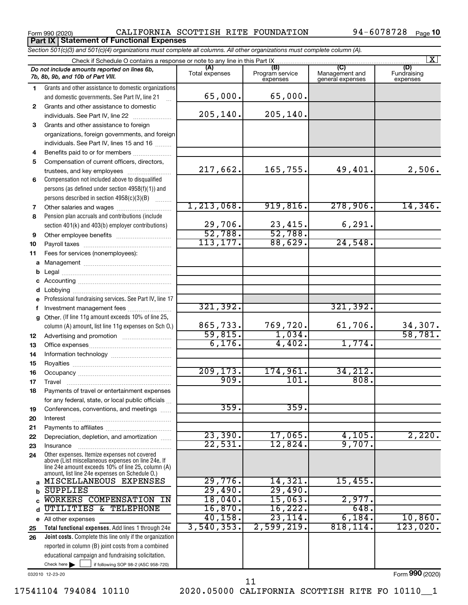Form 990 (2020) CALIFORNIA SCOTTISH RITE FOUNDATION 94-6078728 Page **Part IX Statement of Functional Expenses**

|              | Section 501(c)(3) and 501(c)(4) organizations must complete all columns. All other organizations must complete column (A).                                 |                    |                                    |                                    |                                |
|--------------|------------------------------------------------------------------------------------------------------------------------------------------------------------|--------------------|------------------------------------|------------------------------------|--------------------------------|
|              | Check if Schedule O contains a response or note to any line in this Part IX                                                                                | (A)                |                                    | (C)                                | $\overline{\mathbf{x}}$        |
|              | Do not include amounts reported on lines 6b,<br>7b, 8b, 9b, and 10b of Part VIII.                                                                          | Total expenses     | (B)<br>Program service<br>expenses | Management and<br>general expenses | (D)<br>Fundraising<br>expenses |
| 1.           | Grants and other assistance to domestic organizations                                                                                                      |                    |                                    |                                    |                                |
|              | and domestic governments. See Part IV, line 21                                                                                                             | 65,000.            | 65,000.                            |                                    |                                |
| $\mathbf{2}$ | Grants and other assistance to domestic                                                                                                                    |                    |                                    |                                    |                                |
|              | individuals. See Part IV, line 22                                                                                                                          | 205, 140.          | 205, 140.                          |                                    |                                |
| 3            | Grants and other assistance to foreign                                                                                                                     |                    |                                    |                                    |                                |
|              | organizations, foreign governments, and foreign                                                                                                            |                    |                                    |                                    |                                |
|              | individuals. See Part IV, lines 15 and 16                                                                                                                  |                    |                                    |                                    |                                |
| 4            | Benefits paid to or for members                                                                                                                            |                    |                                    |                                    |                                |
| 5            | Compensation of current officers, directors,                                                                                                               |                    |                                    |                                    |                                |
|              | trustees, and key employees                                                                                                                                | 217,662.           | 165,755.                           | 49,401.                            | 2,506.                         |
| 6            | Compensation not included above to disqualified                                                                                                            |                    |                                    |                                    |                                |
|              | persons (as defined under section 4958(f)(1)) and                                                                                                          |                    |                                    |                                    |                                |
|              | persons described in section 4958(c)(3)(B)                                                                                                                 |                    |                                    |                                    |                                |
| 7            |                                                                                                                                                            | 1, 213, 068.       | 919,816.                           | 278,906.                           | 14,346.                        |
| 8            | Pension plan accruals and contributions (include                                                                                                           |                    |                                    |                                    |                                |
|              | section 401(k) and 403(b) employer contributions)                                                                                                          | 29,706.<br>52,788. | $\frac{23,415}{52,788}$            | 6, 291.                            |                                |
| 9            |                                                                                                                                                            |                    |                                    |                                    |                                |
| 10           |                                                                                                                                                            | 113, 177.          | 88,629.                            | 24,548.                            |                                |
| 11           | Fees for services (nonemployees):                                                                                                                          |                    |                                    |                                    |                                |
| а            |                                                                                                                                                            |                    |                                    |                                    |                                |
| b            |                                                                                                                                                            |                    |                                    |                                    |                                |
|              |                                                                                                                                                            |                    |                                    |                                    |                                |
| d            |                                                                                                                                                            |                    |                                    |                                    |                                |
|              | Professional fundraising services. See Part IV, line 17                                                                                                    |                    |                                    |                                    |                                |
| f            | Investment management fees                                                                                                                                 | 321, 392.          |                                    | 321,392.                           |                                |
| g            | Other. (If line 11g amount exceeds 10% of line 25,                                                                                                         | 865,733.           |                                    |                                    |                                |
|              | column (A) amount, list line 11g expenses on Sch O.)                                                                                                       | 59,815.            | 769,720.<br>1,034.                 | 61,706.                            | 34,307.<br>58,781.             |
| 12           |                                                                                                                                                            | 6,176.             | 4,402.                             | 1,774.                             |                                |
| 13           |                                                                                                                                                            |                    |                                    |                                    |                                |
| 14           |                                                                                                                                                            |                    |                                    |                                    |                                |
| 15           |                                                                                                                                                            | 209, 173.          | 174,961.                           | 34,212.                            |                                |
| 16           |                                                                                                                                                            | 909.               | 101.                               | 808.                               |                                |
| 17           |                                                                                                                                                            |                    |                                    |                                    |                                |
|              | Payments of travel or entertainment expenses                                                                                                               |                    |                                    |                                    |                                |
|              | for any federal, state, or local public officials                                                                                                          | 359.               | 359.                               |                                    |                                |
| 19           | Conferences, conventions, and meetings                                                                                                                     |                    |                                    |                                    |                                |
| 20           | Interest                                                                                                                                                   |                    |                                    |                                    |                                |
| 21<br>22     | Depreciation, depletion, and amortization                                                                                                                  | 23,390.            | 17,065.                            | 4,105.                             | 2,220.                         |
| 23           | Insurance                                                                                                                                                  | 22,531.            | 12,824.                            | 9,707.                             |                                |
| 24           | Other expenses. Itemize expenses not covered                                                                                                               |                    |                                    |                                    |                                |
|              | above (List miscellaneous expenses on line 24e. If<br>line 24e amount exceeds 10% of line 25, column (A)<br>amount, list line 24e expenses on Schedule O.) |                    |                                    |                                    |                                |
| a            | MISCELLANEOUS EXPENSES                                                                                                                                     | 29,776.            | 14,321.                            | 15,455.                            |                                |
| b            | <b>SUPPLIES</b>                                                                                                                                            | 29,490.            | 29,490.                            |                                    |                                |
|              | WORKERS COMPENSATION IN                                                                                                                                    | 18,040.            | 15,063.                            | 2,977.                             |                                |
| d            | UTILITIES & TELEPHONE                                                                                                                                      | 16,870.            | 16,222.                            | 648.                               |                                |
|              | e All other expenses                                                                                                                                       | 40, 158.           | 23,114.                            | 6,184.                             | 10,860.                        |
| 25           | Total functional expenses. Add lines 1 through 24e                                                                                                         | 3,540,353.         | 2,599,219.                         | 818, 114.                          | 123,020.                       |
| 26           | <b>Joint costs.</b> Complete this line only if the organization                                                                                            |                    |                                    |                                    |                                |
|              | reported in column (B) joint costs from a combined                                                                                                         |                    |                                    |                                    |                                |
|              | educational campaign and fundraising solicitation.                                                                                                         |                    |                                    |                                    |                                |
|              | Check here $\blacktriangleright$<br>if following SOP 98-2 (ASC 958-720)                                                                                    |                    |                                    |                                    |                                |

032010 12-23-20

Form (2020) **990**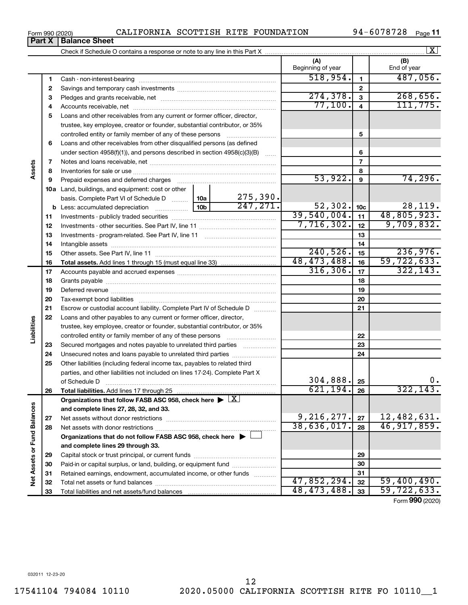**28**

Net Assets or Fund Balances

**2 3** Pledges and grants receivable, net ~~~~~~~~~~~~~~~~~~~~~ **4** Accounts receivable, net ~~~~~~~~~~~~~~~~~~~~~~~~~~ **5** Loans and other receivables from any current or former officer, director, **6 7 8 9 10 a** Land, buildings, and equipment: cost or other **11 12** Investments - other securities. See Part IV, line 11 ~~~~~~~~~~~~~~ **13** Investments - program-related. See Part IV, line 11 ~~~~~~~~~~~~~ **14** Intangible assets ~~~~~~~~~~~~~~~~~~~~~~~~~~~~~~ **15 16 17 18 19 20 21 22 23 24 25 26 27 2 3 4 5 6 7 8 9 10c 11 12 13 14 15 16 17 18 19 20 21 22 23 24 25 26 b** Less: accumulated depreciation  $\ldots$  [10b basis. Complete Part VI of Schedule D  $\frac{1}{10}$  10a **Total assets.**  Add lines 1 through 15 (must equal line 33) **Total liabilities.**  Add lines 17 through 25 Organizations that follow FASB ASC 958, check here  $\blacktriangleright \boxed{\text{X}}$ **and complete lines 27, 28, 32, and 33. 27 Net Assets or Fund Balances** Savings and temporary cash investments ~~~~~~~~~~~~~~~~~~ trustee, key employee, creator or founder, substantial contributor, or 35% controlled entity or family member of any of these persons  $\ldots$ ........................ Loans and other receivables from other disqualified persons (as defined under section 4958(f)(1)), and persons described in section  $4958(c)(3)(B)$  ...... Notes and loans receivable, net ~~~~~~~~~~~~~~~~~~~~~~~ Inventories for sale or use ~~~~~~~~~~~~~~~~~~~~~~~~~~ Prepaid expenses and deferred charges ~~~~~~~~~~~~~~~~~~ Investments - publicly traded securities ~~~~~~~~~~~~~~~~~~~ Other assets. See Part IV, line 11 ~~~~~~~~~~~~~~~~~~~~~~ Accounts payable and accrued expenses ~~~~~~~~~~~~~~~~~~ Grants payable ~~~~~~~~~~~~~~~~~~~~~~~~~~~~~~~ Deferred revenue ~~~~~~~~~~~~~~~~~~~~~~~~~~~~~~ Tax-exempt bond liabilities ~~~~~~~~~~~~~~~~~~~~~~~~~ Escrow or custodial account liability. Complete Part IV of Schedule D ........... Loans and other payables to any current or former officer, director, trustee, key employee, creator or founder, substantial contributor, or 35% controlled entity or family member of any of these persons ~~~~~~~~~ Secured mortgages and notes payable to unrelated third parties  $\ldots$ ................. Unsecured notes and loans payable to unrelated third parties Other liabilities (including federal income tax, payables to related third parties, and other liabilities not included on lines 17-24). Complete Part X of Schedule D ~~~~~~~~~~~~~~~~~~~~~~~~~~~~~~~ Net assets without donor restrictions ~~~~~~~~~~~~~~~~~~~~  $274,378.$  3 268,656. 77,100. 111,775. 53,922. 74,296. 275,390.  $\overline{247,271.}$  52,302.  $\overline{10c}$  28,119. 39,540,004. 48,805,923. 7,716,302. 9,709,832.  $240,526$ .  $15$  236,976. 48,473,488. 59,722,633.  $316,306.$   $17$   $322,143.$ 304,888.  $621, 194. |26$  322, 143  $9,216,277.$   $27 \mid 12,482,631.$ 

**Organizations that do not follow FASB ASC 958, check here** | †

Net assets with donor restrictions ~~~~~~~~~~~~~~~~~~~~~~

Capital stock or trust principal, or current funds ~~~~~~~~~~~~~~~ Paid-in or capital surplus, or land, building, or equipment fund ....................... Retained earnings, endowment, accumulated income, or other funds ............ Total net assets or fund balances ~~~~~~~~~~~~~~~~~~~~~~

**and complete lines 29 through 33.**

Total liabilities and net assets/fund balances

Form 990 (2020) CALIFORNIA SCOTTISH RITE FOUNDATION 94-6078728 Page

Check if Schedule O contains a response or note to any line in this Part X

Cash - non-interest-bearing ~~~~~~~~~~~~~~~~~~~~~~~~~

94-6078728 <sub>Page</sub> 11

**(A) (B)**

Beginning of year | | End of year

**1**

 $518,954.$  1 487,056.

**28**

38,636,017. 46,917,859.

 $47,852,294.$   $32$  | 59,400,490. 48,473,488. 59,722,633.

Form (2020) **990**

**1**

**Assets**

**Liabilities**

 $\boxed{\text{X}}$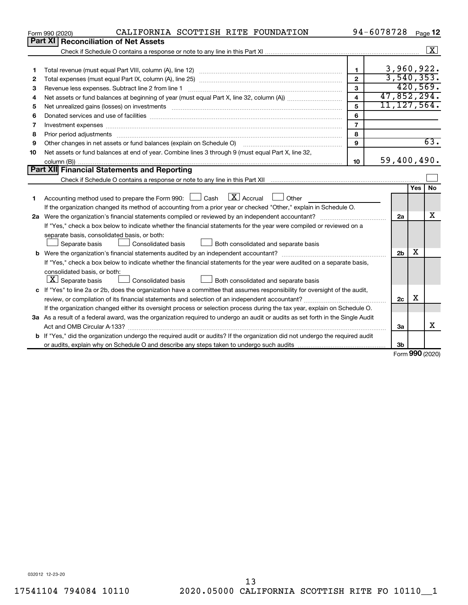|    | CALIFORNIA SCOTTISH RITE FOUNDATION<br>Form 990 (2020)                                                                                                                                                                         |                         | 94-6078728     |     | Page 12              |
|----|--------------------------------------------------------------------------------------------------------------------------------------------------------------------------------------------------------------------------------|-------------------------|----------------|-----|----------------------|
|    | Part XI<br><b>Reconciliation of Net Assets</b>                                                                                                                                                                                 |                         |                |     |                      |
|    |                                                                                                                                                                                                                                |                         |                |     | $\boxed{\textbf{X}}$ |
|    |                                                                                                                                                                                                                                |                         |                |     |                      |
| 1  |                                                                                                                                                                                                                                | $\mathbf{1}$            |                |     | 3,960,922.           |
| 2  |                                                                                                                                                                                                                                | $\mathbf{2}$            |                |     | 3,540,353.           |
| з  | Revenue less expenses. Subtract line 2 from line 1                                                                                                                                                                             | 3                       |                |     | 420,569.             |
| 4  |                                                                                                                                                                                                                                | $\overline{\mathbf{4}}$ |                |     | 47,852,294.          |
| 5  | Net unrealized gains (losses) on investments [11] non-manufactured manufactured manufactured manufactured manu                                                                                                                 | 5                       |                |     | 11, 127, 564.        |
| 6  |                                                                                                                                                                                                                                | 6                       |                |     |                      |
| 7  | Investment expenses www.communication.com/www.communication.com/www.communication.com/www.com                                                                                                                                  | $\overline{7}$          |                |     |                      |
| 8  | Prior period adjustments material contents and content of the content of the content of the content of the content of the content of the content of the content of the content of the content of the content of the content of | 8                       |                |     |                      |
| 9  | Other changes in net assets or fund balances (explain on Schedule O)                                                                                                                                                           | 9                       |                |     | 63.                  |
| 10 | Net assets or fund balances at end of year. Combine lines 3 through 9 (must equal Part X, line 32,                                                                                                                             |                         |                |     |                      |
|    |                                                                                                                                                                                                                                | 10                      |                |     | 59,400,490.          |
|    | Part XII Financial Statements and Reporting                                                                                                                                                                                    |                         |                |     |                      |
|    |                                                                                                                                                                                                                                |                         |                |     |                      |
|    |                                                                                                                                                                                                                                |                         |                | Yes | <b>No</b>            |
| 1. | $\mathbf{X}$ Accrual<br>Accounting method used to prepare the Form 990: [130] Cash<br>$\Box$ Other                                                                                                                             |                         |                |     |                      |
|    | If the organization changed its method of accounting from a prior year or checked "Other," explain in Schedule O.                                                                                                              |                         |                |     |                      |
|    |                                                                                                                                                                                                                                |                         | 2a             |     | х                    |
|    | If "Yes," check a box below to indicate whether the financial statements for the year were compiled or reviewed on a                                                                                                           |                         |                |     |                      |
|    | separate basis, consolidated basis, or both:                                                                                                                                                                                   |                         |                |     |                      |
|    | Both consolidated and separate basis<br>Separate basis<br>Consolidated basis                                                                                                                                                   |                         |                |     |                      |
|    |                                                                                                                                                                                                                                |                         | 2 <sub>b</sub> | х   |                      |
|    | If "Yes," check a box below to indicate whether the financial statements for the year were audited on a separate basis,                                                                                                        |                         |                |     |                      |
|    | consolidated basis, or both:                                                                                                                                                                                                   |                         |                |     |                      |
|    | $ \mathbf{X} $ Separate basis<br><b>Consolidated basis</b><br>Both consolidated and separate basis                                                                                                                             |                         |                |     |                      |
|    | c If "Yes" to line 2a or 2b, does the organization have a committee that assumes responsibility for oversight of the audit,                                                                                                    |                         |                |     |                      |
|    |                                                                                                                                                                                                                                |                         | 2c             | х   |                      |
|    | If the organization changed either its oversight process or selection process during the tax year, explain on Schedule O.                                                                                                      |                         |                |     |                      |
|    | 3a As a result of a federal award, was the organization required to undergo an audit or audits as set forth in the Single Audit                                                                                                |                         |                |     |                      |
|    |                                                                                                                                                                                                                                |                         | 3a             |     | x                    |
|    | <b>b</b> If "Yes," did the organization undergo the required audit or audits? If the organization did not undergo the required audit                                                                                           |                         |                |     |                      |
|    |                                                                                                                                                                                                                                |                         | 3b             |     |                      |
|    |                                                                                                                                                                                                                                |                         |                |     | $000 - 1$            |

Form (2020) **990**

032012 12-23-20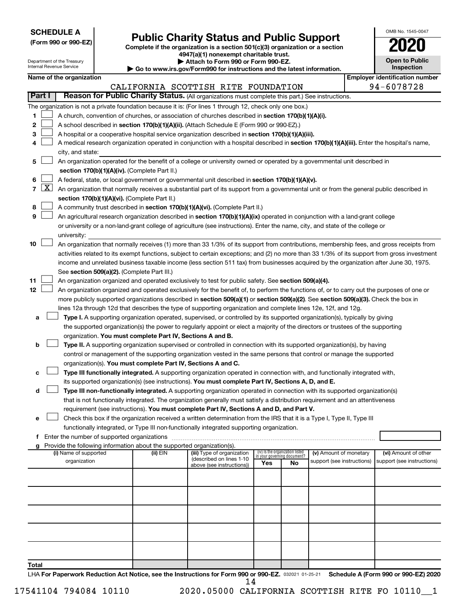| <b>SCHEDULE A</b> |  |
|-------------------|--|
|-------------------|--|

# Form 990 or 990-EZ) **Public Charity Status and Public Support**<br>
Complete if the organization is a section 501(c)(3) organization or a section<br> **2020**

**4947(a)(1) nonexempt charitable trust.**

| OMB No. 1545-0047 |
|-------------------|
| 2020              |
| Onen to Public    |

|       | Department of the Treasury<br>Attach to Form 990 or Form 990-EZ.<br>Internal Revenue Service<br>Go to www.irs.gov/Form990 for instructions and the latest information. |                          |  |                                                                        |                                                                                                                                                                                                                                 | <b>Open to Public</b><br>Inspection                            |    |                            |  |                                       |
|-------|------------------------------------------------------------------------------------------------------------------------------------------------------------------------|--------------------------|--|------------------------------------------------------------------------|---------------------------------------------------------------------------------------------------------------------------------------------------------------------------------------------------------------------------------|----------------------------------------------------------------|----|----------------------------|--|---------------------------------------|
|       |                                                                                                                                                                        | Name of the organization |  |                                                                        |                                                                                                                                                                                                                                 |                                                                |    |                            |  | <b>Employer identification number</b> |
|       |                                                                                                                                                                        |                          |  |                                                                        | CALIFORNIA SCOTTISH RITE FOUNDATION                                                                                                                                                                                             |                                                                |    |                            |  | 94-6078728                            |
|       | <b>Part I</b>                                                                                                                                                          |                          |  |                                                                        | Reason for Public Charity Status. (All organizations must complete this part.) See instructions.                                                                                                                                |                                                                |    |                            |  |                                       |
|       |                                                                                                                                                                        |                          |  |                                                                        | The organization is not a private foundation because it is: (For lines 1 through 12, check only one box.)                                                                                                                       |                                                                |    |                            |  |                                       |
| 1     |                                                                                                                                                                        |                          |  |                                                                        | A church, convention of churches, or association of churches described in section 170(b)(1)(A)(i).                                                                                                                              |                                                                |    |                            |  |                                       |
| 2     |                                                                                                                                                                        |                          |  |                                                                        | A school described in section 170(b)(1)(A)(ii). (Attach Schedule E (Form 990 or 990-EZ).)                                                                                                                                       |                                                                |    |                            |  |                                       |
| 3     |                                                                                                                                                                        |                          |  |                                                                        | A hospital or a cooperative hospital service organization described in section 170(b)(1)(A)(iii).                                                                                                                               |                                                                |    |                            |  |                                       |
| 4     |                                                                                                                                                                        |                          |  |                                                                        | A medical research organization operated in conjunction with a hospital described in section 170(b)(1)(A)(iii). Enter the hospital's name,                                                                                      |                                                                |    |                            |  |                                       |
|       |                                                                                                                                                                        | city, and state:         |  |                                                                        |                                                                                                                                                                                                                                 |                                                                |    |                            |  |                                       |
| 5     |                                                                                                                                                                        |                          |  |                                                                        | An organization operated for the benefit of a college or university owned or operated by a governmental unit described in                                                                                                       |                                                                |    |                            |  |                                       |
|       |                                                                                                                                                                        |                          |  | section 170(b)(1)(A)(iv). (Complete Part II.)                          |                                                                                                                                                                                                                                 |                                                                |    |                            |  |                                       |
| 6     | 7   X                                                                                                                                                                  |                          |  |                                                                        | A federal, state, or local government or governmental unit described in section 170(b)(1)(A)(v).                                                                                                                                |                                                                |    |                            |  |                                       |
|       |                                                                                                                                                                        |                          |  | section 170(b)(1)(A)(vi). (Complete Part II.)                          | An organization that normally receives a substantial part of its support from a governmental unit or from the general public described in                                                                                       |                                                                |    |                            |  |                                       |
| 8     |                                                                                                                                                                        |                          |  |                                                                        | A community trust described in section 170(b)(1)(A)(vi). (Complete Part II.)                                                                                                                                                    |                                                                |    |                            |  |                                       |
| 9     |                                                                                                                                                                        |                          |  |                                                                        | An agricultural research organization described in section 170(b)(1)(A)(ix) operated in conjunction with a land-grant college                                                                                                   |                                                                |    |                            |  |                                       |
|       |                                                                                                                                                                        |                          |  |                                                                        | or university or a non-land-grant college of agriculture (see instructions). Enter the name, city, and state of the college or                                                                                                  |                                                                |    |                            |  |                                       |
|       |                                                                                                                                                                        | university:              |  |                                                                        |                                                                                                                                                                                                                                 |                                                                |    |                            |  |                                       |
| 10    |                                                                                                                                                                        |                          |  |                                                                        | An organization that normally receives (1) more than 33 1/3% of its support from contributions, membership fees, and gross receipts from                                                                                        |                                                                |    |                            |  |                                       |
|       |                                                                                                                                                                        |                          |  |                                                                        | activities related to its exempt functions, subject to certain exceptions; and (2) no more than 33 1/3% of its support from gross investment                                                                                    |                                                                |    |                            |  |                                       |
|       |                                                                                                                                                                        |                          |  |                                                                        | income and unrelated business taxable income (less section 511 tax) from businesses acquired by the organization after June 30, 1975.                                                                                           |                                                                |    |                            |  |                                       |
|       |                                                                                                                                                                        |                          |  | See section 509(a)(2). (Complete Part III.)                            |                                                                                                                                                                                                                                 |                                                                |    |                            |  |                                       |
| 11    |                                                                                                                                                                        |                          |  |                                                                        | An organization organized and operated exclusively to test for public safety. See section 509(a)(4).                                                                                                                            |                                                                |    |                            |  |                                       |
| 12    |                                                                                                                                                                        |                          |  |                                                                        | An organization organized and operated exclusively for the benefit of, to perform the functions of, or to carry out the purposes of one or                                                                                      |                                                                |    |                            |  |                                       |
|       |                                                                                                                                                                        |                          |  |                                                                        | more publicly supported organizations described in section 509(a)(1) or section 509(a)(2). See section 509(a)(3). Check the box in                                                                                              |                                                                |    |                            |  |                                       |
|       |                                                                                                                                                                        |                          |  |                                                                        | lines 12a through 12d that describes the type of supporting organization and complete lines 12e, 12f, and 12g.                                                                                                                  |                                                                |    |                            |  |                                       |
| а     |                                                                                                                                                                        |                          |  |                                                                        | Type I. A supporting organization operated, supervised, or controlled by its supported organization(s), typically by giving                                                                                                     |                                                                |    |                            |  |                                       |
|       |                                                                                                                                                                        |                          |  |                                                                        | the supported organization(s) the power to regularly appoint or elect a majority of the directors or trustees of the supporting                                                                                                 |                                                                |    |                            |  |                                       |
|       |                                                                                                                                                                        |                          |  | organization. You must complete Part IV, Sections A and B.             |                                                                                                                                                                                                                                 |                                                                |    |                            |  |                                       |
| b     |                                                                                                                                                                        |                          |  |                                                                        | Type II. A supporting organization supervised or controlled in connection with its supported organization(s), by having                                                                                                         |                                                                |    |                            |  |                                       |
|       |                                                                                                                                                                        |                          |  |                                                                        | control or management of the supporting organization vested in the same persons that control or manage the supported                                                                                                            |                                                                |    |                            |  |                                       |
|       |                                                                                                                                                                        |                          |  | organization(s). You must complete Part IV, Sections A and C.          |                                                                                                                                                                                                                                 |                                                                |    |                            |  |                                       |
| с     |                                                                                                                                                                        |                          |  |                                                                        | Type III functionally integrated. A supporting organization operated in connection with, and functionally integrated with,                                                                                                      |                                                                |    |                            |  |                                       |
| d     |                                                                                                                                                                        |                          |  |                                                                        | its supported organization(s) (see instructions). You must complete Part IV, Sections A, D, and E.<br>Type III non-functionally integrated. A supporting organization operated in connection with its supported organization(s) |                                                                |    |                            |  |                                       |
|       |                                                                                                                                                                        |                          |  |                                                                        | that is not functionally integrated. The organization generally must satisfy a distribution requirement and an attentiveness                                                                                                    |                                                                |    |                            |  |                                       |
|       |                                                                                                                                                                        |                          |  |                                                                        | requirement (see instructions). You must complete Part IV, Sections A and D, and Part V.                                                                                                                                        |                                                                |    |                            |  |                                       |
| е     |                                                                                                                                                                        |                          |  |                                                                        | Check this box if the organization received a written determination from the IRS that it is a Type I, Type II, Type III                                                                                                         |                                                                |    |                            |  |                                       |
|       |                                                                                                                                                                        |                          |  |                                                                        | functionally integrated, or Type III non-functionally integrated supporting organization.                                                                                                                                       |                                                                |    |                            |  |                                       |
|       |                                                                                                                                                                        |                          |  |                                                                        |                                                                                                                                                                                                                                 |                                                                |    |                            |  |                                       |
|       |                                                                                                                                                                        |                          |  | Provide the following information about the supported organization(s). |                                                                                                                                                                                                                                 |                                                                |    |                            |  |                                       |
|       |                                                                                                                                                                        | (i) Name of supported    |  | (ii) EIN                                                               | (iii) Type of organization<br>(described on lines 1-10                                                                                                                                                                          | (iv) Is the organization listed<br>in your governing document? |    | (v) Amount of monetary     |  | (vi) Amount of other                  |
|       |                                                                                                                                                                        | organization             |  |                                                                        | above (see instructions))                                                                                                                                                                                                       | Yes                                                            | No | support (see instructions) |  | support (see instructions)            |
|       |                                                                                                                                                                        |                          |  |                                                                        |                                                                                                                                                                                                                                 |                                                                |    |                            |  |                                       |
|       |                                                                                                                                                                        |                          |  |                                                                        |                                                                                                                                                                                                                                 |                                                                |    |                            |  |                                       |
|       |                                                                                                                                                                        |                          |  |                                                                        |                                                                                                                                                                                                                                 |                                                                |    |                            |  |                                       |
|       |                                                                                                                                                                        |                          |  |                                                                        |                                                                                                                                                                                                                                 |                                                                |    |                            |  |                                       |
|       |                                                                                                                                                                        |                          |  |                                                                        |                                                                                                                                                                                                                                 |                                                                |    |                            |  |                                       |
|       |                                                                                                                                                                        |                          |  |                                                                        |                                                                                                                                                                                                                                 |                                                                |    |                            |  |                                       |
|       |                                                                                                                                                                        |                          |  |                                                                        |                                                                                                                                                                                                                                 |                                                                |    |                            |  |                                       |
| Total |                                                                                                                                                                        |                          |  |                                                                        |                                                                                                                                                                                                                                 |                                                                |    |                            |  |                                       |

LHA For Paperwork Reduction Act Notice, see the Instructions for Form 990 or 990-EZ. 032021 01-25-21 Schedule A (Form 990 or 990-EZ) 2020 14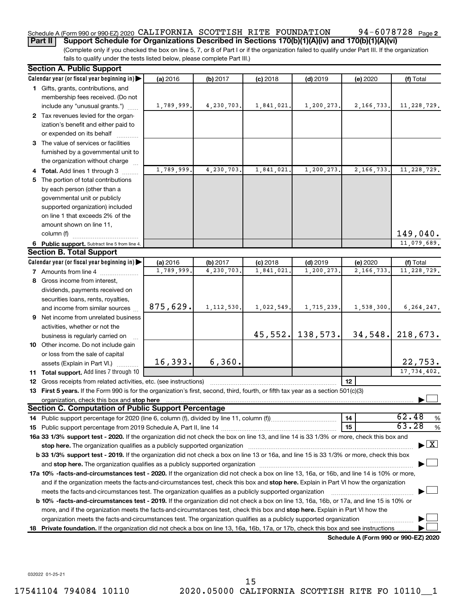# Schedule A (Form 990 or 990-EZ) 2020 CALIFORNIA SCOTTISH RITE FOUNDATION 94-6078728  $\,$  Page

94-6078728 Page 2

**Part II Support Schedule for Organizations Described in Sections 170(b)(1)(A)(iv) and 170(b)(1)(A)(vi)**

(Complete only if you checked the box on line 5, 7, or 8 of Part I or if the organization failed to qualify under Part III. If the organization fails to qualify under the tests listed below, please complete Part III.)

| <b>Section A. Public Support</b>                                                                                                                                                                                               |            |              |            |            |                                      |                                    |
|--------------------------------------------------------------------------------------------------------------------------------------------------------------------------------------------------------------------------------|------------|--------------|------------|------------|--------------------------------------|------------------------------------|
| Calendar year (or fiscal year beginning in)                                                                                                                                                                                    | (a) 2016   | (b) 2017     | $(c)$ 2018 | $(d)$ 2019 | (e) 2020                             | (f) Total                          |
| 1 Gifts, grants, contributions, and                                                                                                                                                                                            |            |              |            |            |                                      |                                    |
| membership fees received. (Do not                                                                                                                                                                                              |            |              |            |            |                                      |                                    |
| include any "unusual grants.")                                                                                                                                                                                                 | 1,789,999. | 4,230,703.   | 1,841,021. | 1,200,273. | 2,166,733.                           | 11, 228, 729.                      |
| 2 Tax revenues levied for the organ-                                                                                                                                                                                           |            |              |            |            |                                      |                                    |
| ization's benefit and either paid to                                                                                                                                                                                           |            |              |            |            |                                      |                                    |
| or expended on its behalf                                                                                                                                                                                                      |            |              |            |            |                                      |                                    |
| 3 The value of services or facilities                                                                                                                                                                                          |            |              |            |            |                                      |                                    |
| furnished by a governmental unit to                                                                                                                                                                                            |            |              |            |            |                                      |                                    |
| the organization without charge                                                                                                                                                                                                |            |              |            |            |                                      |                                    |
| 4 Total. Add lines 1 through 3                                                                                                                                                                                                 | 1,789,999  | 4,230,703.   | 1,841,021  | 1,200,273. | 2,166,733.                           | 11, 228, 729.                      |
| 5 The portion of total contributions                                                                                                                                                                                           |            |              |            |            |                                      |                                    |
| by each person (other than a                                                                                                                                                                                                   |            |              |            |            |                                      |                                    |
| governmental unit or publicly                                                                                                                                                                                                  |            |              |            |            |                                      |                                    |
| supported organization) included                                                                                                                                                                                               |            |              |            |            |                                      |                                    |
| on line 1 that exceeds 2% of the                                                                                                                                                                                               |            |              |            |            |                                      |                                    |
| amount shown on line 11,                                                                                                                                                                                                       |            |              |            |            |                                      |                                    |
| column (f)                                                                                                                                                                                                                     |            |              |            |            |                                      | 149,040.                           |
| 6 Public support. Subtract line 5 from line 4.                                                                                                                                                                                 |            |              |            |            |                                      | 11,079,689.                        |
| <b>Section B. Total Support</b>                                                                                                                                                                                                |            |              |            |            |                                      |                                    |
| Calendar year (or fiscal year beginning in)                                                                                                                                                                                    | (a) 2016   | (b) 2017     | $(c)$ 2018 | $(d)$ 2019 | (e) 2020                             | (f) Total                          |
| <b>7</b> Amounts from line 4                                                                                                                                                                                                   | 1,789,999  | 4,230,703.   | 1,841,021  | 1,200,273  | 2,166,733.                           | 11, 228, 729.                      |
| 8 Gross income from interest,                                                                                                                                                                                                  |            |              |            |            |                                      |                                    |
| dividends, payments received on                                                                                                                                                                                                |            |              |            |            |                                      |                                    |
| securities loans, rents, royalties,                                                                                                                                                                                            |            |              |            |            |                                      |                                    |
| and income from similar sources                                                                                                                                                                                                | 875,629.   | 1, 112, 530. | 1,022,549. | 1,715,239. | 1,538,300.                           | 6, 264, 247.                       |
| 9 Net income from unrelated business                                                                                                                                                                                           |            |              |            |            |                                      |                                    |
| activities, whether or not the                                                                                                                                                                                                 |            |              | 45,552.    | 138,573.   | 34,548.                              | 218,673.                           |
| business is regularly carried on                                                                                                                                                                                               |            |              |            |            |                                      |                                    |
| 10 Other income. Do not include gain                                                                                                                                                                                           |            |              |            |            |                                      |                                    |
| or loss from the sale of capital                                                                                                                                                                                               | 16, 393.   | 6, 360.      |            |            |                                      | 22,753.                            |
| assets (Explain in Part VI.)                                                                                                                                                                                                   |            |              |            |            |                                      | 17,734,402.                        |
| 11 Total support. Add lines 7 through 10                                                                                                                                                                                       |            |              |            |            | 12                                   |                                    |
| <b>12</b> Gross receipts from related activities, etc. (see instructions)                                                                                                                                                      |            |              |            |            |                                      |                                    |
| 13 First 5 years. If the Form 990 is for the organization's first, second, third, fourth, or fifth tax year as a section 501(c)(3)                                                                                             |            |              |            |            |                                      |                                    |
| <b>Section C. Computation of Public Support Percentage</b>                                                                                                                                                                     |            |              |            |            |                                      |                                    |
|                                                                                                                                                                                                                                |            |              |            |            | 14                                   | 62.48<br>%                         |
|                                                                                                                                                                                                                                |            |              |            |            | 15                                   | 63.28<br>%                         |
| 16a 33 1/3% support test - 2020. If the organization did not check the box on line 13, and line 14 is 33 1/3% or more, check this box and                                                                                      |            |              |            |            |                                      |                                    |
| stop here. The organization qualifies as a publicly supported organization manufaction manufacture or the organization manufacture or the organization manufacture or the organization manufacture or the state of the state o |            |              |            |            |                                      | $\blacktriangleright$ $\mathbf{X}$ |
| b 33 1/3% support test - 2019. If the organization did not check a box on line 13 or 16a, and line 15 is 33 1/3% or more, check this box                                                                                       |            |              |            |            |                                      |                                    |
|                                                                                                                                                                                                                                |            |              |            |            |                                      |                                    |
| 17a 10% -facts-and-circumstances test - 2020. If the organization did not check a box on line 13, 16a, or 16b, and line 14 is 10% or more,                                                                                     |            |              |            |            |                                      |                                    |
| and if the organization meets the facts-and-circumstances test, check this box and stop here. Explain in Part VI how the organization                                                                                          |            |              |            |            |                                      |                                    |
| meets the facts-and-circumstances test. The organization qualifies as a publicly supported organization                                                                                                                        |            |              |            |            |                                      |                                    |
| <b>b 10%</b> -facts-and-circumstances test - 2019. If the organization did not check a box on line 13, 16a, 16b, or 17a, and line 15 is 10% or                                                                                 |            |              |            |            |                                      |                                    |
| more, and if the organization meets the facts-and-circumstances test, check this box and <b>stop here.</b> Explain in Part VI how the                                                                                          |            |              |            |            |                                      |                                    |
| organization meets the facts-and-circumstances test. The organization qualifies as a publicly supported organization                                                                                                           |            |              |            |            |                                      |                                    |
| 18 Private foundation. If the organization did not check a box on line 13, 16a, 16b, 17a, or 17b, check this box and see instructions.                                                                                         |            |              |            |            |                                      |                                    |
|                                                                                                                                                                                                                                |            |              |            |            | Schedule A (Form 990 or 990-EZ) 2020 |                                    |

032022 01-25-21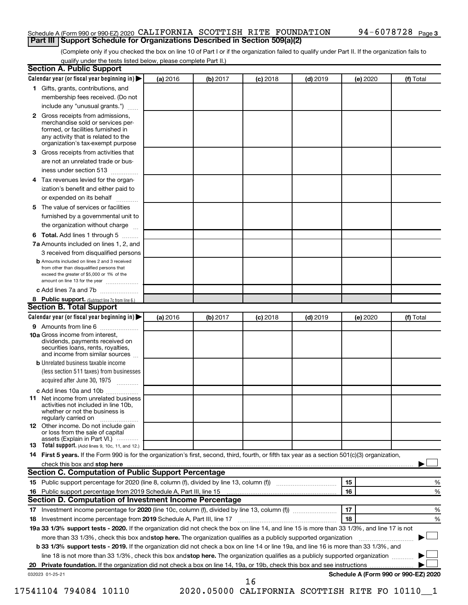#### Schedule A (Form 990 or 990-EZ) 2020 CALIFORNIA SCOTTISH RITE FOUNDATION 94-6078728  $\,$  Page **Part III Support Schedule for Organizations Described in Section 509(a)(2)**

(Complete only if you checked the box on line 10 of Part I or if the organization failed to qualify under Part II. If the organization fails to qualify under the tests listed below, please complete Part II.)

|    | Calendar year (or fiscal year beginning in)                                                                                                                                                                                    | (a) 2016 | (b) 2017 | $(c)$ 2018 | $(d)$ 2019 | (e) 2020 | (f) Total        |
|----|--------------------------------------------------------------------------------------------------------------------------------------------------------------------------------------------------------------------------------|----------|----------|------------|------------|----------|------------------|
|    | 1 Gifts, grants, contributions, and                                                                                                                                                                                            |          |          |            |            |          |                  |
|    | membership fees received. (Do not                                                                                                                                                                                              |          |          |            |            |          |                  |
|    | include any "unusual grants.")                                                                                                                                                                                                 |          |          |            |            |          |                  |
|    | 2 Gross receipts from admissions,<br>merchandise sold or services per-<br>formed, or facilities furnished in<br>any activity that is related to the                                                                            |          |          |            |            |          |                  |
|    | organization's tax-exempt purpose                                                                                                                                                                                              |          |          |            |            |          |                  |
| 3. | Gross receipts from activities that                                                                                                                                                                                            |          |          |            |            |          |                  |
|    | are not an unrelated trade or bus-                                                                                                                                                                                             |          |          |            |            |          |                  |
|    | iness under section 513                                                                                                                                                                                                        |          |          |            |            |          |                  |
| 4  | Tax revenues levied for the organ-                                                                                                                                                                                             |          |          |            |            |          |                  |
|    | ization's benefit and either paid to<br>or expended on its behalf<br>.                                                                                                                                                         |          |          |            |            |          |                  |
| 5. | The value of services or facilities                                                                                                                                                                                            |          |          |            |            |          |                  |
|    | furnished by a governmental unit to<br>the organization without charge                                                                                                                                                         |          |          |            |            |          |                  |
|    |                                                                                                                                                                                                                                |          |          |            |            |          |                  |
| 6  | Total. Add lines 1 through 5                                                                                                                                                                                                   |          |          |            |            |          |                  |
|    | 7a Amounts included on lines 1, 2, and                                                                                                                                                                                         |          |          |            |            |          |                  |
|    | 3 received from disqualified persons<br><b>b</b> Amounts included on lines 2 and 3 received                                                                                                                                    |          |          |            |            |          |                  |
|    | from other than disqualified persons that<br>exceed the greater of \$5,000 or 1% of the<br>amount on line 13 for the year                                                                                                      |          |          |            |            |          |                  |
|    | c Add lines 7a and 7b                                                                                                                                                                                                          |          |          |            |            |          |                  |
|    | 8 Public support. (Subtract line 7c from line 6.)                                                                                                                                                                              |          |          |            |            |          |                  |
|    | <b>Section B. Total Support</b>                                                                                                                                                                                                |          |          |            |            |          |                  |
|    | Calendar year (or fiscal year beginning in)                                                                                                                                                                                    | (a) 2016 | (b) 2017 | $(c)$ 2018 | $(d)$ 2019 | (e) 2020 | (f) Total        |
|    | <b>9</b> Amounts from line 6                                                                                                                                                                                                   |          |          |            |            |          |                  |
|    | <b>10a</b> Gross income from interest,<br>dividends, payments received on<br>securities loans, rents, royalties,                                                                                                               |          |          |            |            |          |                  |
|    | and income from similar sources                                                                                                                                                                                                |          |          |            |            |          |                  |
|    | <b>b</b> Unrelated business taxable income                                                                                                                                                                                     |          |          |            |            |          |                  |
|    | (less section 511 taxes) from businesses                                                                                                                                                                                       |          |          |            |            |          |                  |
|    | acquired after June 30, 1975 [[11, 11, 11, 11]                                                                                                                                                                                 |          |          |            |            |          |                  |
|    | c Add lines 10a and 10b<br>Net income from unrelated business<br>activities not included in line 10b.<br>whether or not the business is                                                                                        |          |          |            |            |          |                  |
| 11 | regularly carried on<br><b>12</b> Other income. Do not include gain<br>or loss from the sale of capital                                                                                                                        |          |          |            |            |          |                  |
|    | assets (Explain in Part VI.)<br><b>13</b> Total support. (Add lines 9, 10c, 11, and 12.)                                                                                                                                       |          |          |            |            |          |                  |
|    |                                                                                                                                                                                                                                |          |          |            |            |          |                  |
|    | 14 First 5 years. If the Form 990 is for the organization's first, second, third, fourth, or fifth tax year as a section 501(c)(3) organization,                                                                               |          |          |            |            |          |                  |
|    | check this box and stop here measurement and the contract of the state of the contract of the state of the contract of the contract of the contract of the contract of the contract of the contract of the contract of the con |          |          |            |            |          |                  |
|    | Section C. Computation of Public Support Percentage                                                                                                                                                                            |          |          |            |            | 15       |                  |
|    |                                                                                                                                                                                                                                |          |          |            |            | 16       |                  |
|    |                                                                                                                                                                                                                                |          |          |            |            |          |                  |
|    | Section D. Computation of Investment Income Percentage                                                                                                                                                                         |          |          |            |            |          |                  |
|    |                                                                                                                                                                                                                                |          |          |            |            | 17<br>18 |                  |
|    | 18 Investment income percentage from 2019 Schedule A, Part III, line 17                                                                                                                                                        |          |          |            |            |          |                  |
|    | 19a 33 1/3% support tests - 2020. If the organization did not check the box on line 14, and line 15 is more than 33 1/3%, and line 17 is not                                                                                   |          |          |            |            |          |                  |
|    | more than 33 1/3%, check this box and stop here. The organization qualifies as a publicly supported organization                                                                                                               |          |          |            |            |          |                  |
|    | b 33 1/3% support tests - 2019. If the organization did not check a box on line 14 or line 19a, and line 16 is more than 33 1/3%, and                                                                                          |          |          |            |            |          |                  |
|    | line 18 is not more than 33 1/3%, check this box and stop here. The organization qualifies as a publicly supported organization                                                                                                |          |          |            |            |          | %<br>%<br>%<br>% |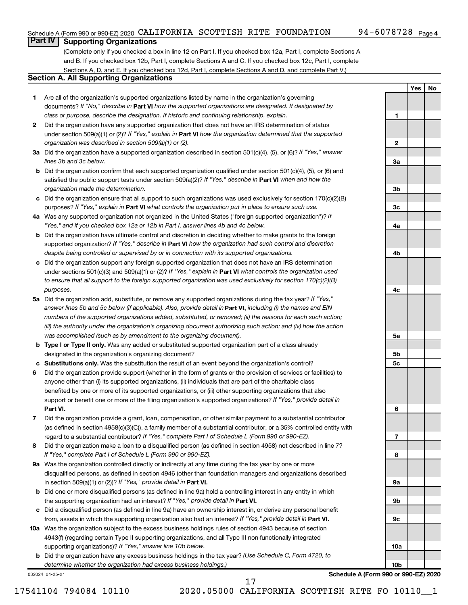**1**

**2**

**3a**

**3b**

**3c**

**4a**

**4b**

**4c**

**5a**

**5b 5c**

**6**

**7**

**8**

**9a**

**9b**

**9c**

**10a**

**10b**

**Yes No**

# **Part IV Supporting Organizations**

(Complete only if you checked a box in line 12 on Part I. If you checked box 12a, Part I, complete Sections A and B. If you checked box 12b, Part I, complete Sections A and C. If you checked box 12c, Part I, complete Sections A, D, and E. If you checked box 12d, Part I, complete Sections A and D, and complete Part V.)

## **Section A. All Supporting Organizations**

- **1** Are all of the organization's supported organizations listed by name in the organization's governing documents? If "No," describe in Part VI how the supported organizations are designated. If designated by *class or purpose, describe the designation. If historic and continuing relationship, explain.*
- **2** Did the organization have any supported organization that does not have an IRS determination of status under section 509(a)(1) or (2)? If "Yes," explain in Part **VI** how the organization determined that the supported *organization was described in section 509(a)(1) or (2).*
- **3a** Did the organization have a supported organization described in section 501(c)(4), (5), or (6)? If "Yes," answer *lines 3b and 3c below.*
- **b** Did the organization confirm that each supported organization qualified under section 501(c)(4), (5), or (6) and satisfied the public support tests under section 509(a)(2)? If "Yes," describe in Part VI when and how the *organization made the determination.*
- **c** Did the organization ensure that all support to such organizations was used exclusively for section 170(c)(2)(B) purposes? If "Yes," explain in Part VI what controls the organization put in place to ensure such use.
- **4 a** *If* Was any supported organization not organized in the United States ("foreign supported organization")? *"Yes," and if you checked box 12a or 12b in Part I, answer lines 4b and 4c below.*
- **b** Did the organization have ultimate control and discretion in deciding whether to make grants to the foreign supported organization? If "Yes," describe in Part VI how the organization had such control and discretion *despite being controlled or supervised by or in connection with its supported organizations.*
- **c** Did the organization support any foreign supported organization that does not have an IRS determination under sections 501(c)(3) and 509(a)(1) or (2)? If "Yes," explain in Part VI what controls the organization used *to ensure that all support to the foreign supported organization was used exclusively for section 170(c)(2)(B) purposes.*
- **5a** Did the organization add, substitute, or remove any supported organizations during the tax year? If "Yes," answer lines 5b and 5c below (if applicable). Also, provide detail in **Part VI,** including (i) the names and EIN *numbers of the supported organizations added, substituted, or removed; (ii) the reasons for each such action; (iii) the authority under the organization's organizing document authorizing such action; and (iv) how the action was accomplished (such as by amendment to the organizing document).*
- **b** Type I or Type II only. Was any added or substituted supported organization part of a class already designated in the organization's organizing document?
- **c Substitutions only.**  Was the substitution the result of an event beyond the organization's control?
- **6** Did the organization provide support (whether in the form of grants or the provision of services or facilities) to **Part VI.** support or benefit one or more of the filing organization's supported organizations? If "Yes," provide detail in anyone other than (i) its supported organizations, (ii) individuals that are part of the charitable class benefited by one or more of its supported organizations, or (iii) other supporting organizations that also
- **7** Did the organization provide a grant, loan, compensation, or other similar payment to a substantial contributor regard to a substantial contributor? If "Yes," complete Part I of Schedule L (Form 990 or 990-EZ). (as defined in section 4958(c)(3)(C)), a family member of a substantial contributor, or a 35% controlled entity with
- **8** Did the organization make a loan to a disqualified person (as defined in section 4958) not described in line 7? *If "Yes," complete Part I of Schedule L (Form 990 or 990-EZ).*
- **9 a** Was the organization controlled directly or indirectly at any time during the tax year by one or more in section 509(a)(1) or (2))? If "Yes," provide detail in **Part VI.** disqualified persons, as defined in section 4946 (other than foundation managers and organizations described
- **b** Did one or more disqualified persons (as defined in line 9a) hold a controlling interest in any entity in which the supporting organization had an interest? If "Yes," provide detail in Part VI.
- **c** Did a disqualified person (as defined in line 9a) have an ownership interest in, or derive any personal benefit from, assets in which the supporting organization also had an interest? If "Yes," provide detail in Part VI.
- **10 a** Was the organization subject to the excess business holdings rules of section 4943 because of section supporting organizations)? If "Yes," answer line 10b below. 4943(f) (regarding certain Type II supporting organizations, and all Type III non-functionally integrated
	- **b** Did the organization have any excess business holdings in the tax year? (Use Schedule C, Form 4720, to *determine whether the organization had excess business holdings.)*

032024 01-25-21

**Schedule A (Form 990 or 990-EZ) 2020**

17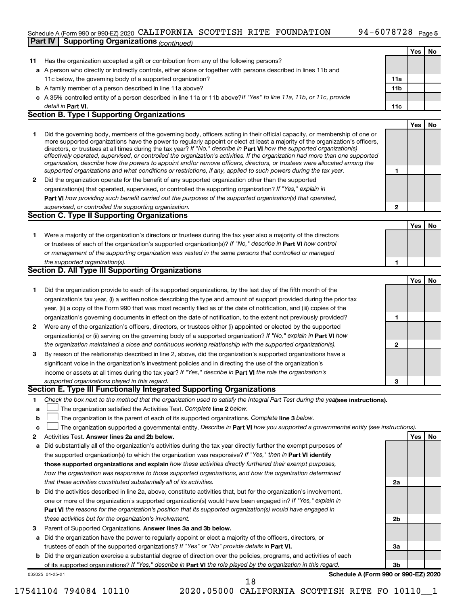### Schedule A (Form 990 or 990-EZ) 2020 CALIFORNIA SCOTTISH RITE FOUNDATION 94-6078728  $\,$  Page **Part IV | Supporting Organizations** *(continued)*

|    |                                                                                                                                                                                                                                                            |                 | Yes | No |
|----|------------------------------------------------------------------------------------------------------------------------------------------------------------------------------------------------------------------------------------------------------------|-----------------|-----|----|
| 11 | Has the organization accepted a gift or contribution from any of the following persons?                                                                                                                                                                    |                 |     |    |
|    | a A person who directly or indirectly controls, either alone or together with persons described in lines 11b and                                                                                                                                           |                 |     |    |
|    | 11c below, the governing body of a supported organization?                                                                                                                                                                                                 | 11a             |     |    |
|    | <b>b</b> A family member of a person described in line 11a above?                                                                                                                                                                                          | 11 <sub>b</sub> |     |    |
|    | c A 35% controlled entity of a person described in line 11a or 11b above? If "Yes" to line 11a, 11b, or 11c, provide                                                                                                                                       |                 |     |    |
|    | detail in <b>Part VI.</b>                                                                                                                                                                                                                                  | 11c             |     |    |
|    | <b>Section B. Type I Supporting Organizations</b>                                                                                                                                                                                                          |                 |     |    |
|    |                                                                                                                                                                                                                                                            |                 | Yes | No |
| 1  | Did the governing body, members of the governing body, officers acting in their official capacity, or membership of one or                                                                                                                                 |                 |     |    |
|    | more supported organizations have the power to regularly appoint or elect at least a majority of the organization's officers,                                                                                                                              |                 |     |    |
|    | directors, or trustees at all times during the tax year? If "No," describe in Part VI how the supported organization(s)                                                                                                                                    |                 |     |    |
|    | effectively operated, supervised, or controlled the organization's activities. If the organization had more than one supported<br>organization, describe how the powers to appoint and/or remove officers, directors, or trustees were allocated among the |                 |     |    |
|    | supported organizations and what conditions or restrictions, if any, applied to such powers during the tax year.                                                                                                                                           | 1               |     |    |
| 2  | Did the organization operate for the benefit of any supported organization other than the supported                                                                                                                                                        |                 |     |    |
|    | organization(s) that operated, supervised, or controlled the supporting organization? If "Yes," explain in                                                                                                                                                 |                 |     |    |
|    | Part VI how providing such benefit carried out the purposes of the supported organization(s) that operated,                                                                                                                                                |                 |     |    |
|    | supervised, or controlled the supporting organization.                                                                                                                                                                                                     | 2               |     |    |
|    | <b>Section C. Type II Supporting Organizations</b>                                                                                                                                                                                                         |                 |     |    |
|    |                                                                                                                                                                                                                                                            |                 | Yes | No |
| 1. | Were a majority of the organization's directors or trustees during the tax year also a majority of the directors                                                                                                                                           |                 |     |    |
|    | or trustees of each of the organization's supported organization(s)? If "No," describe in Part VI how control                                                                                                                                              |                 |     |    |
|    | or management of the supporting organization was vested in the same persons that controlled or managed                                                                                                                                                     |                 |     |    |
|    | the supported organization(s).                                                                                                                                                                                                                             | 1               |     |    |
|    | <b>Section D. All Type III Supporting Organizations</b>                                                                                                                                                                                                    |                 |     |    |
|    |                                                                                                                                                                                                                                                            |                 | Yes | No |
| 1  | Did the organization provide to each of its supported organizations, by the last day of the fifth month of the                                                                                                                                             |                 |     |    |
|    | organization's tax year, (i) a written notice describing the type and amount of support provided during the prior tax                                                                                                                                      |                 |     |    |
|    | year, (ii) a copy of the Form 990 that was most recently filed as of the date of notification, and (iii) copies of the                                                                                                                                     |                 |     |    |
|    | organization's governing documents in effect on the date of notification, to the extent not previously provided?                                                                                                                                           | 1               |     |    |
| 2  | Were any of the organization's officers, directors, or trustees either (i) appointed or elected by the supported                                                                                                                                           |                 |     |    |
|    | organization(s) or (ii) serving on the governing body of a supported organization? If "No," explain in Part VI how                                                                                                                                         |                 |     |    |
|    | the organization maintained a close and continuous working relationship with the supported organization(s).                                                                                                                                                | 2               |     |    |
| 3  | By reason of the relationship described in line 2, above, did the organization's supported organizations have a                                                                                                                                            |                 |     |    |
|    | significant voice in the organization's investment policies and in directing the use of the organization's                                                                                                                                                 |                 |     |    |
|    | income or assets at all times during the tax year? If "Yes," describe in Part VI the role the organization's                                                                                                                                               |                 |     |    |
|    | supported organizations played in this regard.                                                                                                                                                                                                             | З               |     |    |
|    | Section E. Type III Functionally Integrated Supporting Organizations                                                                                                                                                                                       |                 |     |    |
| 1  | Check the box next to the method that the organization used to satisfy the Integral Part Test during the yealsee instructions).                                                                                                                            |                 |     |    |
| a  | The organization satisfied the Activities Test. Complete line 2 below.                                                                                                                                                                                     |                 |     |    |
| b  | The organization is the parent of each of its supported organizations. Complete line 3 below.                                                                                                                                                              |                 |     |    |
| c  | The organization supported a governmental entity. Describe in Part VI how you supported a governmental entity (see instructions).                                                                                                                          |                 |     |    |
| 2  | Activities Test. Answer lines 2a and 2b below.                                                                                                                                                                                                             |                 | Yes | No |
| а  | Did substantially all of the organization's activities during the tax year directly further the exempt purposes of                                                                                                                                         |                 |     |    |
|    | the supported organization(s) to which the organization was responsive? If "Yes," then in Part VI identify                                                                                                                                                 |                 |     |    |
|    | those supported organizations and explain how these activities directly furthered their exempt purposes,                                                                                                                                                   |                 |     |    |
|    | how the organization was responsive to those supported organizations, and how the organization determined                                                                                                                                                  |                 |     |    |
|    | that these activities constituted substantially all of its activities.                                                                                                                                                                                     | 2a              |     |    |
| b  | Did the activities described in line 2a, above, constitute activities that, but for the organization's involvement,                                                                                                                                        |                 |     |    |
|    | one or more of the organization's supported organization(s) would have been engaged in? If "Yes," explain in                                                                                                                                               |                 |     |    |
|    | Part VI the reasons for the organization's position that its supported organization(s) would have engaged in                                                                                                                                               |                 |     |    |
|    | these activities but for the organization's involvement.                                                                                                                                                                                                   | 2b              |     |    |
| 3  | Parent of Supported Organizations. Answer lines 3a and 3b below.                                                                                                                                                                                           |                 |     |    |
| а  | Did the organization have the power to regularly appoint or elect a majority of the officers, directors, or                                                                                                                                                |                 |     |    |
|    | trustees of each of the supported organizations? If "Yes" or "No" provide details in Part VI.                                                                                                                                                              | За              |     |    |
|    | <b>b</b> Did the organization exercise a substantial degree of direction over the policies, programs, and activities of each                                                                                                                               |                 |     |    |
|    | of its supported organizations? If "Yes," describe in Part VI the role played by the organization in this regard.                                                                                                                                          | Зb              |     |    |
|    | Schedule A (Form 990 or 990-EZ) 2020<br>032025 01-25-21                                                                                                                                                                                                    |                 |     |    |
|    | 18                                                                                                                                                                                                                                                         |                 |     |    |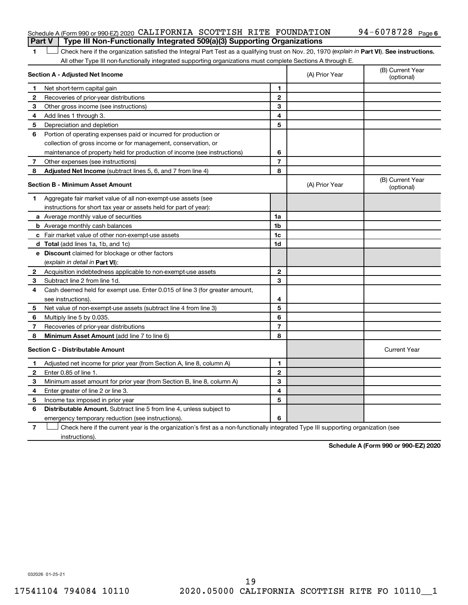#### Schedule A (Form 990 or 990-EZ) 2020 CALIFORNIA SCOTTISH RITE FOUNDATION 94-6078728  $\,$  Page **Part V Type III Non-Functionally Integrated 509(a)(3) Supporting Organizations**

1 **Letter See instructions.** Check here if the organization satisfied the Integral Part Test as a qualifying trust on Nov. 20, 1970 (*explain in* Part **VI**). See instructions. All other Type III non-functionally integrated supporting organizations must complete Sections A through E.

|              | Section A - Adjusted Net Income                                                                                                   | (A) Prior Year | (B) Current Year<br>(optional) |                                |
|--------------|-----------------------------------------------------------------------------------------------------------------------------------|----------------|--------------------------------|--------------------------------|
| 1            | Net short-term capital gain                                                                                                       | 1              |                                |                                |
| $\mathbf{2}$ | Recoveries of prior-year distributions                                                                                            | $\mathbf{2}$   |                                |                                |
| З            | Other gross income (see instructions)                                                                                             | 3              |                                |                                |
| 4            | Add lines 1 through 3.                                                                                                            | 4              |                                |                                |
| 5            | Depreciation and depletion                                                                                                        | 5              |                                |                                |
| 6            | Portion of operating expenses paid or incurred for production or                                                                  |                |                                |                                |
|              | collection of gross income or for management, conservation, or                                                                    |                |                                |                                |
|              | maintenance of property held for production of income (see instructions)                                                          | 6              |                                |                                |
| 7            | Other expenses (see instructions)                                                                                                 | $\overline{7}$ |                                |                                |
| 8            | Adjusted Net Income (subtract lines 5, 6, and 7 from line 4)                                                                      | 8              |                                |                                |
|              | <b>Section B - Minimum Asset Amount</b>                                                                                           |                | (A) Prior Year                 | (B) Current Year<br>(optional) |
| 1.           | Aggregate fair market value of all non-exempt-use assets (see                                                                     |                |                                |                                |
|              | instructions for short tax year or assets held for part of year):                                                                 |                |                                |                                |
|              | <b>a</b> Average monthly value of securities                                                                                      | 1a             |                                |                                |
|              | <b>b</b> Average monthly cash balances                                                                                            | 1 <sub>b</sub> |                                |                                |
|              | c Fair market value of other non-exempt-use assets                                                                                | 1c             |                                |                                |
|              | d Total (add lines 1a, 1b, and 1c)                                                                                                | 1d             |                                |                                |
|              | e Discount claimed for blockage or other factors                                                                                  |                |                                |                                |
|              | (explain in detail in <b>Part VI</b> ):                                                                                           |                |                                |                                |
| 2            | Acquisition indebtedness applicable to non-exempt-use assets                                                                      | 2              |                                |                                |
| 3            | Subtract line 2 from line 1d.                                                                                                     | 3              |                                |                                |
| 4            | Cash deemed held for exempt use. Enter 0.015 of line 3 (for greater amount,                                                       |                |                                |                                |
|              | see instructions).                                                                                                                | 4              |                                |                                |
| 5            | Net value of non-exempt-use assets (subtract line 4 from line 3)                                                                  | 5              |                                |                                |
| 6            | Multiply line 5 by 0.035.                                                                                                         | 6              |                                |                                |
| 7            | Recoveries of prior-year distributions                                                                                            | $\overline{7}$ |                                |                                |
| 8            | Minimum Asset Amount (add line 7 to line 6)                                                                                       | 8              |                                |                                |
|              | <b>Section C - Distributable Amount</b>                                                                                           |                |                                | <b>Current Year</b>            |
| 1.           | Adjusted net income for prior year (from Section A, line 8, column A)                                                             | 1              |                                |                                |
| 2            | Enter 0.85 of line 1.                                                                                                             | $\overline{2}$ |                                |                                |
| З            | Minimum asset amount for prior year (from Section B, line 8, column A)                                                            | 3              |                                |                                |
| 4            | Enter greater of line 2 or line 3.                                                                                                | 4              |                                |                                |
| 5            | Income tax imposed in prior year                                                                                                  | 5              |                                |                                |
| 6            | <b>Distributable Amount.</b> Subtract line 5 from line 4, unless subject to                                                       |                |                                |                                |
|              | emergency temporary reduction (see instructions).                                                                                 | 6              |                                |                                |
| 7            | Check here if the current year is the organization's first as a non-functionally integrated Type III supporting organization (see |                |                                |                                |

instructions).

**Schedule A (Form 990 or 990-EZ) 2020**

032026 01-25-21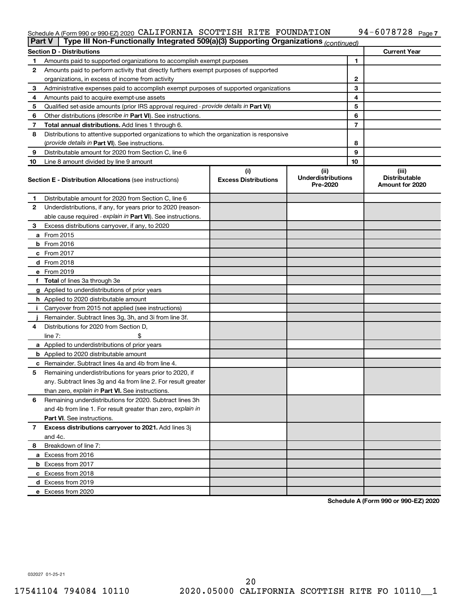#### Schedule A (Form 990 or 990-EZ) 2020 CALIFORNIA SCOTTISH RITE FOUNDATION 94--6078728 Page CALIFORNIA SCOTTISH RITE FOUNDATION 94-6078728

|    |                                                                                            | <b>Current Year</b><br><b>Section D - Distributions</b> |                                       |    |                                         |  |  |  |  |  |  |
|----|--------------------------------------------------------------------------------------------|---------------------------------------------------------|---------------------------------------|----|-----------------------------------------|--|--|--|--|--|--|
| 1  | Amounts paid to supported organizations to accomplish exempt purposes                      | 1                                                       |                                       |    |                                         |  |  |  |  |  |  |
| 2  | Amounts paid to perform activity that directly furthers exempt purposes of supported       |                                                         |                                       |    |                                         |  |  |  |  |  |  |
|    | organizations, in excess of income from activity                                           |                                                         |                                       | 2  |                                         |  |  |  |  |  |  |
| 3  | Administrative expenses paid to accomplish exempt purposes of supported organizations      |                                                         |                                       | 3  |                                         |  |  |  |  |  |  |
| 4  | Amounts paid to acquire exempt-use assets                                                  |                                                         |                                       | 4  |                                         |  |  |  |  |  |  |
| 5  | Qualified set-aside amounts (prior IRS approval required - provide details in Part VI)     |                                                         |                                       | 5  |                                         |  |  |  |  |  |  |
| 6  | Other distributions (describe in Part VI). See instructions.                               |                                                         |                                       | 6  |                                         |  |  |  |  |  |  |
| 7  | Total annual distributions. Add lines 1 through 6.                                         |                                                         |                                       | 7  |                                         |  |  |  |  |  |  |
| 8  | Distributions to attentive supported organizations to which the organization is responsive |                                                         |                                       |    |                                         |  |  |  |  |  |  |
|    | ( <i>provide details in Part VI</i> ). See instructions.                                   |                                                         |                                       | 8  |                                         |  |  |  |  |  |  |
| 9  | Distributable amount for 2020 from Section C, line 6                                       |                                                         |                                       | 9  |                                         |  |  |  |  |  |  |
| 10 | Line 8 amount divided by line 9 amount                                                     |                                                         |                                       | 10 |                                         |  |  |  |  |  |  |
|    |                                                                                            | (i)                                                     | (ii)                                  |    | (iii)                                   |  |  |  |  |  |  |
|    | <b>Section E - Distribution Allocations (see instructions)</b>                             | <b>Excess Distributions</b>                             | <b>Underdistributions</b><br>Pre-2020 |    | <b>Distributable</b><br>Amount for 2020 |  |  |  |  |  |  |
| 1  | Distributable amount for 2020 from Section C, line 6                                       |                                                         |                                       |    |                                         |  |  |  |  |  |  |
| 2  | Underdistributions, if any, for years prior to 2020 (reason-                               |                                                         |                                       |    |                                         |  |  |  |  |  |  |
|    | able cause required - explain in Part VI). See instructions.                               |                                                         |                                       |    |                                         |  |  |  |  |  |  |
| З  | Excess distributions carryover, if any, to 2020                                            |                                                         |                                       |    |                                         |  |  |  |  |  |  |
|    | a From 2015                                                                                |                                                         |                                       |    |                                         |  |  |  |  |  |  |
|    | $b$ From 2016                                                                              |                                                         |                                       |    |                                         |  |  |  |  |  |  |
|    | c From 2017                                                                                |                                                         |                                       |    |                                         |  |  |  |  |  |  |
|    | <b>d</b> From 2018                                                                         |                                                         |                                       |    |                                         |  |  |  |  |  |  |
|    | e From 2019                                                                                |                                                         |                                       |    |                                         |  |  |  |  |  |  |
|    | f Total of lines 3a through 3e                                                             |                                                         |                                       |    |                                         |  |  |  |  |  |  |
|    | g Applied to underdistributions of prior years                                             |                                                         |                                       |    |                                         |  |  |  |  |  |  |
|    | <b>h</b> Applied to 2020 distributable amount                                              |                                                         |                                       |    |                                         |  |  |  |  |  |  |
| Ť. | Carryover from 2015 not applied (see instructions)                                         |                                                         |                                       |    |                                         |  |  |  |  |  |  |
|    | Remainder. Subtract lines 3g, 3h, and 3i from line 3f.                                     |                                                         |                                       |    |                                         |  |  |  |  |  |  |
| 4  | Distributions for 2020 from Section D,                                                     |                                                         |                                       |    |                                         |  |  |  |  |  |  |
|    | line $7:$                                                                                  |                                                         |                                       |    |                                         |  |  |  |  |  |  |
|    | a Applied to underdistributions of prior years                                             |                                                         |                                       |    |                                         |  |  |  |  |  |  |
|    | <b>b</b> Applied to 2020 distributable amount                                              |                                                         |                                       |    |                                         |  |  |  |  |  |  |
|    | c Remainder. Subtract lines 4a and 4b from line 4.                                         |                                                         |                                       |    |                                         |  |  |  |  |  |  |
| 5  | Remaining underdistributions for years prior to 2020, if                                   |                                                         |                                       |    |                                         |  |  |  |  |  |  |
|    | any. Subtract lines 3g and 4a from line 2. For result greater                              |                                                         |                                       |    |                                         |  |  |  |  |  |  |
|    | than zero, explain in Part VI. See instructions.                                           |                                                         |                                       |    |                                         |  |  |  |  |  |  |
| 6  | Remaining underdistributions for 2020. Subtract lines 3h                                   |                                                         |                                       |    |                                         |  |  |  |  |  |  |
|    | and 4b from line 1. For result greater than zero, explain in                               |                                                         |                                       |    |                                         |  |  |  |  |  |  |
|    | <b>Part VI.</b> See instructions.                                                          |                                                         |                                       |    |                                         |  |  |  |  |  |  |
| 7  | Excess distributions carryover to 2021. Add lines 3j                                       |                                                         |                                       |    |                                         |  |  |  |  |  |  |
|    | and 4c.                                                                                    |                                                         |                                       |    |                                         |  |  |  |  |  |  |
| 8  | Breakdown of line 7:                                                                       |                                                         |                                       |    |                                         |  |  |  |  |  |  |
|    | a Excess from 2016                                                                         |                                                         |                                       |    |                                         |  |  |  |  |  |  |
|    | <b>b</b> Excess from 2017                                                                  |                                                         |                                       |    |                                         |  |  |  |  |  |  |
|    | c Excess from 2018                                                                         |                                                         |                                       |    |                                         |  |  |  |  |  |  |
|    | d Excess from 2019                                                                         |                                                         |                                       |    |                                         |  |  |  |  |  |  |
|    | e Excess from 2020                                                                         |                                                         |                                       |    |                                         |  |  |  |  |  |  |

**Schedule A (Form 990 or 990-EZ) 2020**

032027 01-25-21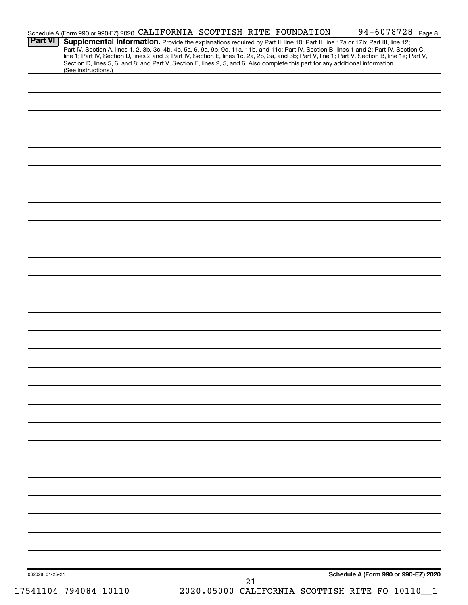|                 | Schedule A (Form 990 or 990-EZ) 2020 CALIFORNIA SCOTTISH RITE FOUNDATION                                                                                                                                                                                                                                                                                                                                                          |  |    |                                              | 94-6078728 Page 8                    |              |
|-----------------|-----------------------------------------------------------------------------------------------------------------------------------------------------------------------------------------------------------------------------------------------------------------------------------------------------------------------------------------------------------------------------------------------------------------------------------|--|----|----------------------------------------------|--------------------------------------|--------------|
| <b>Part VI</b>  | Supplemental Information. Provide the explanations required by Part II, line 10; Part II, line 17a or 17b; Part III, line 12;<br>Part IV, Section A, lines 1, 2, 3b, 3c, 4b, 4c, 5a, 6, 9a, 9b, 9c, 11a, 11b, and 11c; Part IV, Section B, lines 1 and 2; Part IV, Section C,<br>line 1; Part IV, Section D, lines 2 and 3; Part IV, Section E, lines 1c, 2a, 2b, 3a, and 3b; Part V, line 1; Part V, Section B, line 1e; Part V, |  |    |                                              |                                      |              |
|                 | Section D, lines 5, 6, and 8; and Part V, Section E, lines 2, 5, and 6. Also complete this part for any additional information.<br>(See instructions.)                                                                                                                                                                                                                                                                            |  |    |                                              |                                      |              |
|                 |                                                                                                                                                                                                                                                                                                                                                                                                                                   |  |    |                                              |                                      |              |
|                 |                                                                                                                                                                                                                                                                                                                                                                                                                                   |  |    |                                              |                                      |              |
|                 |                                                                                                                                                                                                                                                                                                                                                                                                                                   |  |    |                                              |                                      |              |
|                 |                                                                                                                                                                                                                                                                                                                                                                                                                                   |  |    |                                              |                                      |              |
|                 |                                                                                                                                                                                                                                                                                                                                                                                                                                   |  |    |                                              |                                      |              |
|                 |                                                                                                                                                                                                                                                                                                                                                                                                                                   |  |    |                                              |                                      |              |
|                 |                                                                                                                                                                                                                                                                                                                                                                                                                                   |  |    |                                              |                                      |              |
|                 |                                                                                                                                                                                                                                                                                                                                                                                                                                   |  |    |                                              |                                      |              |
|                 |                                                                                                                                                                                                                                                                                                                                                                                                                                   |  |    |                                              |                                      |              |
|                 |                                                                                                                                                                                                                                                                                                                                                                                                                                   |  |    |                                              |                                      |              |
|                 |                                                                                                                                                                                                                                                                                                                                                                                                                                   |  |    |                                              |                                      |              |
|                 |                                                                                                                                                                                                                                                                                                                                                                                                                                   |  |    |                                              |                                      |              |
|                 |                                                                                                                                                                                                                                                                                                                                                                                                                                   |  |    |                                              |                                      |              |
|                 |                                                                                                                                                                                                                                                                                                                                                                                                                                   |  |    |                                              |                                      |              |
|                 |                                                                                                                                                                                                                                                                                                                                                                                                                                   |  |    |                                              |                                      |              |
|                 |                                                                                                                                                                                                                                                                                                                                                                                                                                   |  |    |                                              |                                      |              |
|                 |                                                                                                                                                                                                                                                                                                                                                                                                                                   |  |    |                                              |                                      |              |
|                 |                                                                                                                                                                                                                                                                                                                                                                                                                                   |  |    |                                              |                                      |              |
|                 |                                                                                                                                                                                                                                                                                                                                                                                                                                   |  |    |                                              |                                      |              |
|                 |                                                                                                                                                                                                                                                                                                                                                                                                                                   |  |    |                                              |                                      |              |
|                 |                                                                                                                                                                                                                                                                                                                                                                                                                                   |  |    |                                              |                                      |              |
|                 |                                                                                                                                                                                                                                                                                                                                                                                                                                   |  |    |                                              |                                      |              |
|                 |                                                                                                                                                                                                                                                                                                                                                                                                                                   |  |    |                                              |                                      |              |
|                 |                                                                                                                                                                                                                                                                                                                                                                                                                                   |  |    |                                              |                                      |              |
|                 |                                                                                                                                                                                                                                                                                                                                                                                                                                   |  |    |                                              |                                      |              |
|                 |                                                                                                                                                                                                                                                                                                                                                                                                                                   |  |    |                                              |                                      |              |
|                 |                                                                                                                                                                                                                                                                                                                                                                                                                                   |  |    |                                              |                                      |              |
|                 |                                                                                                                                                                                                                                                                                                                                                                                                                                   |  |    |                                              |                                      |              |
|                 |                                                                                                                                                                                                                                                                                                                                                                                                                                   |  |    |                                              |                                      |              |
|                 |                                                                                                                                                                                                                                                                                                                                                                                                                                   |  |    |                                              |                                      |              |
|                 |                                                                                                                                                                                                                                                                                                                                                                                                                                   |  |    |                                              |                                      |              |
|                 |                                                                                                                                                                                                                                                                                                                                                                                                                                   |  |    |                                              |                                      |              |
|                 |                                                                                                                                                                                                                                                                                                                                                                                                                                   |  |    |                                              |                                      |              |
| 032028 01-25-21 |                                                                                                                                                                                                                                                                                                                                                                                                                                   |  | 21 |                                              | Schedule A (Form 990 or 990-EZ) 2020 |              |
|                 | 17541104 794084 10110                                                                                                                                                                                                                                                                                                                                                                                                             |  |    | 2020.05000 CALIFORNIA SCOTTISH RITE FO 10110 |                                      | $\mathbf{1}$ |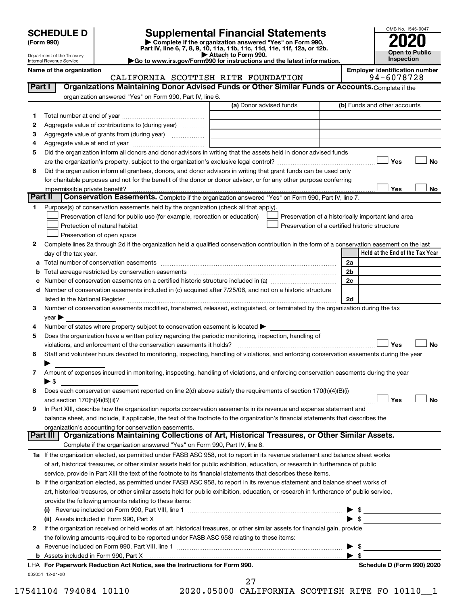| <b>SCHEDULE D</b> |  |
|-------------------|--|
|-------------------|--|

| (Form 990) |
|------------|
|            |

# **SCHEDULE D Supplemental Financial Statements**<br> **Form 990 2020**<br> **Part IV** line 6.7.8.9.10, 11a, 11b, 11d, 11d, 11d, 11d, 11d, 12a, 0r, 12b

**(Form 990) | Complete if the organization answered "Yes" on Form 990, Part IV, line 6, 7, 8, 9, 10, 11a, 11b, 11c, 11d, 11e, 11f, 12a, or 12b.**

**| Attach to Form 990. |Go to www.irs.gov/Form990 for instructions and the latest information.**



Department of the Treasury Internal Revenue Service

Name of the organization<br>CALIFORNIA SCOTTISH RITE FOUNDATION 94-6078728 CALIFORNIA SCOTTISH RITE FOUNDATION

| Part I  | Organizations Maintaining Donor Advised Funds or Other Similar Funds or Accounts. Complete if the                                                                                                                                                                                                                                                                  |                         |                                                    |                                 |
|---------|--------------------------------------------------------------------------------------------------------------------------------------------------------------------------------------------------------------------------------------------------------------------------------------------------------------------------------------------------------------------|-------------------------|----------------------------------------------------|---------------------------------|
|         | organization answered "Yes" on Form 990, Part IV, line 6.                                                                                                                                                                                                                                                                                                          |                         |                                                    |                                 |
|         |                                                                                                                                                                                                                                                                                                                                                                    | (a) Donor advised funds |                                                    | (b) Funds and other accounts    |
| 1.      |                                                                                                                                                                                                                                                                                                                                                                    |                         |                                                    |                                 |
| 2       | Aggregate value of contributions to (during year)                                                                                                                                                                                                                                                                                                                  |                         |                                                    |                                 |
| 3       | Aggregate value of grants from (during year)                                                                                                                                                                                                                                                                                                                       |                         |                                                    |                                 |
| 4       |                                                                                                                                                                                                                                                                                                                                                                    |                         |                                                    |                                 |
| 5       | Did the organization inform all donors and donor advisors in writing that the assets held in donor advised funds                                                                                                                                                                                                                                                   |                         |                                                    |                                 |
|         |                                                                                                                                                                                                                                                                                                                                                                    |                         |                                                    | Yes<br>No                       |
| 6       | Did the organization inform all grantees, donors, and donor advisors in writing that grant funds can be used only                                                                                                                                                                                                                                                  |                         |                                                    |                                 |
|         | for charitable purposes and not for the benefit of the donor or donor advisor, or for any other purpose conferring                                                                                                                                                                                                                                                 |                         |                                                    |                                 |
|         | impermissible private benefit?                                                                                                                                                                                                                                                                                                                                     |                         |                                                    | Yes<br>No                       |
| Part II | Conservation Easements. Complete if the organization answered "Yes" on Form 990, Part IV, line 7.                                                                                                                                                                                                                                                                  |                         |                                                    |                                 |
| 1.      | Purpose(s) of conservation easements held by the organization (check all that apply).                                                                                                                                                                                                                                                                              |                         |                                                    |                                 |
|         | Preservation of land for public use (for example, recreation or education)                                                                                                                                                                                                                                                                                         |                         | Preservation of a historically important land area |                                 |
|         | Protection of natural habitat                                                                                                                                                                                                                                                                                                                                      |                         | Preservation of a certified historic structure     |                                 |
|         | Preservation of open space                                                                                                                                                                                                                                                                                                                                         |                         |                                                    |                                 |
| 2       | Complete lines 2a through 2d if the organization held a qualified conservation contribution in the form of a conservation easement on the last                                                                                                                                                                                                                     |                         |                                                    |                                 |
|         | day of the tax year.                                                                                                                                                                                                                                                                                                                                               |                         |                                                    | Held at the End of the Tax Year |
|         |                                                                                                                                                                                                                                                                                                                                                                    |                         | 2a                                                 |                                 |
| b       | Total acreage restricted by conservation easements                                                                                                                                                                                                                                                                                                                 |                         | 2b                                                 |                                 |
| с       | Number of conservation easements on a certified historic structure included in (a) manufacture included in (a)                                                                                                                                                                                                                                                     |                         | 2c                                                 |                                 |
| d       | Number of conservation easements included in (c) acquired after 7/25/06, and not on a historic structure                                                                                                                                                                                                                                                           |                         | 2d                                                 |                                 |
| 3       | listed in the National Register [111] in the National Register [11] in the National Register [11] in the National Register [11] in the National Register [11] in the National Register [11] in the National Register [11] in t<br>Number of conservation easements modified, transferred, released, extinguished, or terminated by the organization during the tax |                         |                                                    |                                 |
|         | $year \blacktriangleright$                                                                                                                                                                                                                                                                                                                                         |                         |                                                    |                                 |
| 4       | Number of states where property subject to conservation easement is located >                                                                                                                                                                                                                                                                                      |                         |                                                    |                                 |
| 5       | Does the organization have a written policy regarding the periodic monitoring, inspection, handling of                                                                                                                                                                                                                                                             |                         |                                                    |                                 |
|         | violations, and enforcement of the conservation easements it holds?                                                                                                                                                                                                                                                                                                |                         |                                                    | Yes<br><b>No</b>                |
| 6       | Staff and volunteer hours devoted to monitoring, inspecting, handling of violations, and enforcing conservation easements during the year                                                                                                                                                                                                                          |                         |                                                    |                                 |
|         |                                                                                                                                                                                                                                                                                                                                                                    |                         |                                                    |                                 |
| 7       | Amount of expenses incurred in monitoring, inspecting, handling of violations, and enforcing conservation easements during the year                                                                                                                                                                                                                                |                         |                                                    |                                 |
|         | ▶ \$                                                                                                                                                                                                                                                                                                                                                               |                         |                                                    |                                 |
| 8       | Does each conservation easement reported on line 2(d) above satisfy the requirements of section 170(h)(4)(B)(i)                                                                                                                                                                                                                                                    |                         |                                                    |                                 |
|         |                                                                                                                                                                                                                                                                                                                                                                    |                         |                                                    | Yes<br>No                       |
| 9       | In Part XIII, describe how the organization reports conservation easements in its revenue and expense statement and                                                                                                                                                                                                                                                |                         |                                                    |                                 |
|         | balance sheet, and include, if applicable, the text of the footnote to the organization's financial statements that describes the                                                                                                                                                                                                                                  |                         |                                                    |                                 |
|         | organization's accounting for conservation easements.                                                                                                                                                                                                                                                                                                              |                         |                                                    |                                 |
|         | Organizations Maintaining Collections of Art, Historical Treasures, or Other Similar Assets.<br>Part III                                                                                                                                                                                                                                                           |                         |                                                    |                                 |
|         | Complete if the organization answered "Yes" on Form 990, Part IV, line 8.                                                                                                                                                                                                                                                                                          |                         |                                                    |                                 |
|         | 1a If the organization elected, as permitted under FASB ASC 958, not to report in its revenue statement and balance sheet works                                                                                                                                                                                                                                    |                         |                                                    |                                 |
|         | of art, historical treasures, or other similar assets held for public exhibition, education, or research in furtherance of public                                                                                                                                                                                                                                  |                         |                                                    |                                 |
|         | service, provide in Part XIII the text of the footnote to its financial statements that describes these items.                                                                                                                                                                                                                                                     |                         |                                                    |                                 |
| b       | If the organization elected, as permitted under FASB ASC 958, to report in its revenue statement and balance sheet works of                                                                                                                                                                                                                                        |                         |                                                    |                                 |
|         | art, historical treasures, or other similar assets held for public exhibition, education, or research in furtherance of public service,                                                                                                                                                                                                                            |                         |                                                    |                                 |
|         | provide the following amounts relating to these items:                                                                                                                                                                                                                                                                                                             |                         |                                                    |                                 |
|         |                                                                                                                                                                                                                                                                                                                                                                    |                         | - \$                                               |                                 |
|         | If the organization received or held works of art, historical treasures, or other similar assets for financial gain, provide                                                                                                                                                                                                                                       |                         |                                                    |                                 |
| 2       | the following amounts required to be reported under FASB ASC 958 relating to these items:                                                                                                                                                                                                                                                                          |                         |                                                    |                                 |
| а       |                                                                                                                                                                                                                                                                                                                                                                    |                         | - \$                                               |                                 |
|         |                                                                                                                                                                                                                                                                                                                                                                    |                         | $\blacktriangleright$ \$                           |                                 |
|         | LHA For Paperwork Reduction Act Notice, see the Instructions for Form 990.                                                                                                                                                                                                                                                                                         |                         |                                                    | Schedule D (Form 990) 2020      |
|         | 032051 12-01-20                                                                                                                                                                                                                                                                                                                                                    |                         |                                                    |                                 |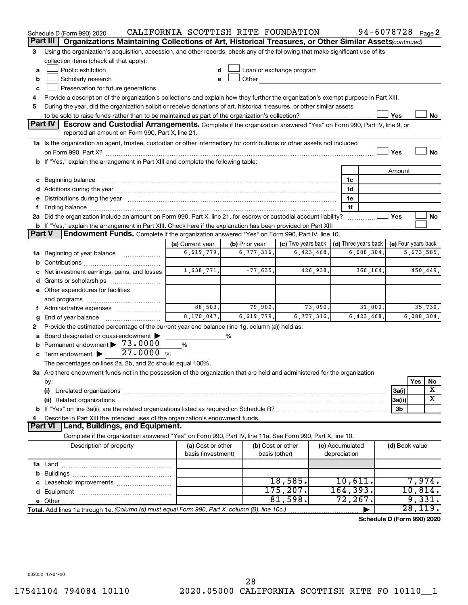|               | Schedule D (Form 990) 2020                                                                                                                                                                                                     | CALIFORNIA SCOTTISH RITE FOUNDATION |                |               |                          |  |                 | 94-6078728 Page 2          |                     |            |                       |
|---------------|--------------------------------------------------------------------------------------------------------------------------------------------------------------------------------------------------------------------------------|-------------------------------------|----------------|---------------|--------------------------|--|-----------------|----------------------------|---------------------|------------|-----------------------|
|               | Part III<br>Organizations Maintaining Collections of Art, Historical Treasures, or Other Similar Assets (continued)                                                                                                            |                                     |                |               |                          |  |                 |                            |                     |            |                       |
| З             | Using the organization's acquisition, accession, and other records, check any of the following that make significant use of its                                                                                                |                                     |                |               |                          |  |                 |                            |                     |            |                       |
|               | collection items (check all that apply):                                                                                                                                                                                       |                                     |                |               |                          |  |                 |                            |                     |            |                       |
| a             | Public exhibition                                                                                                                                                                                                              |                                     |                |               | Loan or exchange program |  |                 |                            |                     |            |                       |
| b             | Scholarly research                                                                                                                                                                                                             |                                     | Other          |               |                          |  |                 |                            |                     |            |                       |
| c             | Preservation for future generations                                                                                                                                                                                            |                                     |                |               |                          |  |                 |                            |                     |            |                       |
| 4             | Provide a description of the organization's collections and explain how they further the organization's exempt purpose in Part XIII.                                                                                           |                                     |                |               |                          |  |                 |                            |                     |            |                       |
| 5             | During the year, did the organization solicit or receive donations of art, historical treasures, or other similar assets                                                                                                       |                                     |                |               |                          |  |                 |                            |                     |            |                       |
|               |                                                                                                                                                                                                                                |                                     |                |               |                          |  |                 |                            | Yes                 |            | No                    |
|               | <b>Part IV</b><br><b>Escrow and Custodial Arrangements.</b> Complete if the organization answered "Yes" on Form 990, Part IV, line 9, or<br>reported an amount on Form 990, Part X, line 21.                                   |                                     |                |               |                          |  |                 |                            |                     |            |                       |
|               | 1a Is the organization an agent, trustee, custodian or other intermediary for contributions or other assets not included                                                                                                       |                                     |                |               |                          |  |                 |                            |                     |            |                       |
|               |                                                                                                                                                                                                                                |                                     |                |               |                          |  |                 |                            | Yes                 |            | No                    |
|               | b If "Yes," explain the arrangement in Part XIII and complete the following table:                                                                                                                                             |                                     |                |               |                          |  |                 |                            |                     |            |                       |
|               |                                                                                                                                                                                                                                |                                     |                |               |                          |  |                 |                            | Amount              |            |                       |
|               |                                                                                                                                                                                                                                |                                     |                |               |                          |  | 1c              |                            |                     |            |                       |
|               |                                                                                                                                                                                                                                |                                     |                |               |                          |  | 1d              |                            |                     |            |                       |
|               | e Distributions during the year manufactured and continuum and contact the year manufactured and contact the year manufactured and contact the year manufactured and contact the year manufactured and contact the year manufa |                                     |                |               |                          |  | 1е              |                            |                     |            |                       |
|               |                                                                                                                                                                                                                                |                                     |                |               |                          |  | 1f              |                            |                     |            |                       |
|               | 2a Did the organization include an amount on Form 990, Part X, line 21, for escrow or custodial account liability?                                                                                                             |                                     |                |               |                          |  |                 |                            | Yes                 |            | No                    |
|               | <b>b</b> If "Yes," explain the arrangement in Part XIII. Check here if the explanation has been provided on Part XIII                                                                                                          |                                     |                |               |                          |  |                 |                            |                     |            |                       |
| <b>Part V</b> | Endowment Funds. Complete if the organization answered "Yes" on Form 990, Part IV, line 10.                                                                                                                                    |                                     |                |               |                          |  |                 |                            |                     |            |                       |
|               |                                                                                                                                                                                                                                | (a) Current year                    | (b) Prior year |               | (c) Two years back       |  |                 | (d) Three years back       | (e) Four years back |            |                       |
|               | <b>1a</b> Beginning of year balance                                                                                                                                                                                            | 6,619,779.                          | 6,777,316.     |               | 6,423,468.               |  |                 | 6,088,304                  |                     | 5,673,585. |                       |
|               |                                                                                                                                                                                                                                |                                     |                |               |                          |  |                 |                            |                     |            |                       |
|               | 1,638,771.<br>$-77,635.$<br>426,938.<br>366,164.<br>Net investment earnings, gains, and losses                                                                                                                                 |                                     |                |               |                          |  |                 |                            |                     | 450,449.   |                       |
|               |                                                                                                                                                                                                                                |                                     |                |               |                          |  |                 |                            |                     |            |                       |
|               | e Other expenditures for facilities                                                                                                                                                                                            |                                     |                |               |                          |  |                 |                            |                     |            |                       |
|               | and programs                                                                                                                                                                                                                   |                                     |                |               |                          |  |                 |                            |                     |            |                       |
|               | f Administrative expenses                                                                                                                                                                                                      | 88,503.                             | 79,902.        |               | 73,090.                  |  |                 | 31,000.                    |                     |            | 35,730.               |
| g             |                                                                                                                                                                                                                                | 8,170,047.                          | 6,619,779.     |               | 6,777,316.               |  |                 | 6,423,468.                 |                     | 6,088,304. |                       |
| 2             | Provide the estimated percentage of the current year end balance (line 1g, column (a)) held as:                                                                                                                                |                                     |                |               |                          |  |                 |                            |                     |            |                       |
|               | Board designated or quasi-endowment                                                                                                                                                                                            |                                     | %              |               |                          |  |                 |                            |                     |            |                       |
| b             | Permanent endowment > 73.0000<br>27.0000%                                                                                                                                                                                      | %                                   |                |               |                          |  |                 |                            |                     |            |                       |
|               | c Term endowment $\blacktriangleright$                                                                                                                                                                                         |                                     |                |               |                          |  |                 |                            |                     |            |                       |
|               | The percentages on lines 2a, 2b, and 2c should equal 100%.                                                                                                                                                                     |                                     |                |               |                          |  |                 |                            |                     |            |                       |
|               | 3a Are there endowment funds not in the possession of the organization that are held and administered for the organization                                                                                                     |                                     |                |               |                          |  |                 |                            |                     | Yes        |                       |
|               | by:<br>(i)                                                                                                                                                                                                                     |                                     |                |               |                          |  |                 |                            | 3a(i)               |            | No<br>X               |
|               |                                                                                                                                                                                                                                |                                     |                |               |                          |  |                 |                            | 3a(ii)              |            | $\overline{\text{X}}$ |
|               |                                                                                                                                                                                                                                |                                     |                |               |                          |  |                 |                            | 3b                  |            |                       |
|               | Describe in Part XIII the intended uses of the organization's endowment funds.                                                                                                                                                 |                                     |                |               |                          |  |                 |                            |                     |            |                       |
|               | Land, Buildings, and Equipment.<br><b>Part VI</b>                                                                                                                                                                              |                                     |                |               |                          |  |                 |                            |                     |            |                       |
|               | Complete if the organization answered "Yes" on Form 990, Part IV, line 11a. See Form 990, Part X, line 10.                                                                                                                     |                                     |                |               |                          |  |                 |                            |                     |            |                       |
|               | Description of property                                                                                                                                                                                                        | (a) Cost or other                   |                |               | (b) Cost or other        |  | (c) Accumulated |                            | (d) Book value      |            |                       |
|               |                                                                                                                                                                                                                                | basis (investment)                  |                | basis (other) |                          |  | depreciation    |                            |                     |            |                       |
|               |                                                                                                                                                                                                                                |                                     |                |               |                          |  |                 |                            |                     |            |                       |
|               |                                                                                                                                                                                                                                |                                     |                |               |                          |  |                 |                            |                     |            |                       |
|               |                                                                                                                                                                                                                                |                                     |                |               | 18,585.                  |  | 10,611.         |                            |                     | 7,974.     |                       |
|               |                                                                                                                                                                                                                                |                                     |                |               | 175, 207.                |  | 164, 393.       |                            |                     | 10,814.    |                       |
|               |                                                                                                                                                                                                                                |                                     |                |               | 81,598.                  |  | 72,267.         |                            |                     | 9,331.     |                       |
|               | Total. Add lines 1a through 1e. (Column (d) must equal Form 990, Part X, column (B), line 10c.)                                                                                                                                |                                     |                |               |                          |  |                 |                            |                     | 28,119.    |                       |
|               |                                                                                                                                                                                                                                |                                     |                |               |                          |  |                 | Schedule D (Form 990) 2020 |                     |            |                       |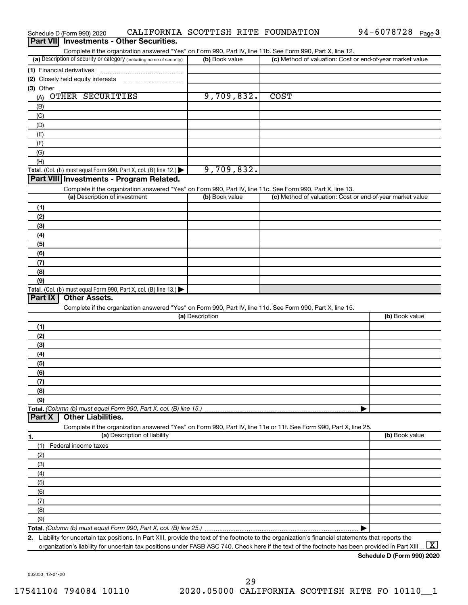|            | Part VII Investments - Other Securities.                                                                                                             |                 |                                                           |                     |
|------------|------------------------------------------------------------------------------------------------------------------------------------------------------|-----------------|-----------------------------------------------------------|---------------------|
|            | Complete if the organization answered "Yes" on Form 990, Part IV, line 11b. See Form 990, Part X, line 12.                                           |                 |                                                           |                     |
|            | (a) Description of security or category (including name of security)                                                                                 | (b) Book value  | (c) Method of valuation: Cost or end-of-year market value |                     |
|            | (1) Financial derivatives                                                                                                                            |                 |                                                           |                     |
| (3) Other  |                                                                                                                                                      |                 |                                                           |                     |
| (A)        | OTHER SECURITIES                                                                                                                                     | 9,709,832.      | <b>COST</b>                                               |                     |
| (B)        |                                                                                                                                                      |                 |                                                           |                     |
| (C)        |                                                                                                                                                      |                 |                                                           |                     |
| (D)        |                                                                                                                                                      |                 |                                                           |                     |
| (E)        |                                                                                                                                                      |                 |                                                           |                     |
| (F)        |                                                                                                                                                      |                 |                                                           |                     |
| (G)        |                                                                                                                                                      |                 |                                                           |                     |
| (H)        |                                                                                                                                                      |                 |                                                           |                     |
|            | Total. (Col. (b) must equal Form 990, Part X, col. (B) line 12.) $\blacktriangleright$                                                               | 9,709,832.      |                                                           |                     |
|            | Part VIII Investments - Program Related.                                                                                                             |                 |                                                           |                     |
|            | Complete if the organization answered "Yes" on Form 990, Part IV, line 11c. See Form 990, Part X, line 13.                                           |                 |                                                           |                     |
|            | (a) Description of investment                                                                                                                        | (b) Book value  | (c) Method of valuation: Cost or end-of-year market value |                     |
| (1)        |                                                                                                                                                      |                 |                                                           |                     |
| (2)        |                                                                                                                                                      |                 |                                                           |                     |
| (3)        |                                                                                                                                                      |                 |                                                           |                     |
| (4)        |                                                                                                                                                      |                 |                                                           |                     |
| (5)<br>(6) |                                                                                                                                                      |                 |                                                           |                     |
| (7)        |                                                                                                                                                      |                 |                                                           |                     |
| (8)        |                                                                                                                                                      |                 |                                                           |                     |
| (9)        |                                                                                                                                                      |                 |                                                           |                     |
|            | <b>Total.</b> (Col. (b) must equal Form 990, Part X, col. (B) line 13.)                                                                              |                 |                                                           |                     |
| Part IX    | <b>Other Assets.</b>                                                                                                                                 |                 |                                                           |                     |
|            | Complete if the organization answered "Yes" on Form 990, Part IV, line 11d. See Form 990, Part X, line 15.                                           |                 |                                                           |                     |
|            |                                                                                                                                                      | (a) Description |                                                           | (b) Book value      |
| (1)        |                                                                                                                                                      |                 |                                                           |                     |
| (2)        |                                                                                                                                                      |                 |                                                           |                     |
| (3)        |                                                                                                                                                      |                 |                                                           |                     |
| (4)        |                                                                                                                                                      |                 |                                                           |                     |
| (5)        |                                                                                                                                                      |                 |                                                           |                     |
| (6)        |                                                                                                                                                      |                 |                                                           |                     |
| (7)<br>(8) |                                                                                                                                                      |                 |                                                           |                     |
| (9)        |                                                                                                                                                      |                 |                                                           |                     |
|            |                                                                                                                                                      |                 |                                                           |                     |
| Part X     | <b>Other Liabilities.</b>                                                                                                                            |                 |                                                           |                     |
|            | Complete if the organization answered "Yes" on Form 990, Part IV, line 11e or 11f. See Form 990, Part X, line 25.                                    |                 |                                                           |                     |
| 1.         | (a) Description of liability                                                                                                                         |                 |                                                           | (b) Book value      |
| (1)        | Federal income taxes                                                                                                                                 |                 |                                                           |                     |
| (2)        |                                                                                                                                                      |                 |                                                           |                     |
| (3)        |                                                                                                                                                      |                 |                                                           |                     |
| (4)        |                                                                                                                                                      |                 |                                                           |                     |
| (5)        |                                                                                                                                                      |                 |                                                           |                     |
| (6)        |                                                                                                                                                      |                 |                                                           |                     |
| (7)        |                                                                                                                                                      |                 |                                                           |                     |
| (8)        |                                                                                                                                                      |                 |                                                           |                     |
| (9)        |                                                                                                                                                      |                 |                                                           |                     |
|            | 2. Liability for uncertain tax positions. In Part XIII, provide the text of the footnote to the organization's financial statements that reports the |                 |                                                           |                     |
|            | organization's liability for uncertain tax positions under FASB ASC 740. Check here if the text of the footnote has been provided in Part XIII.      |                 |                                                           | $\lfloor x \rfloor$ |

**Schedule D (Form 990) 2020**

# Schedule D (Form 990) 2020 CALIFORNIA SCOTTISH RITE FOUNDATION 94-6078728 <sub>Page</sub> 3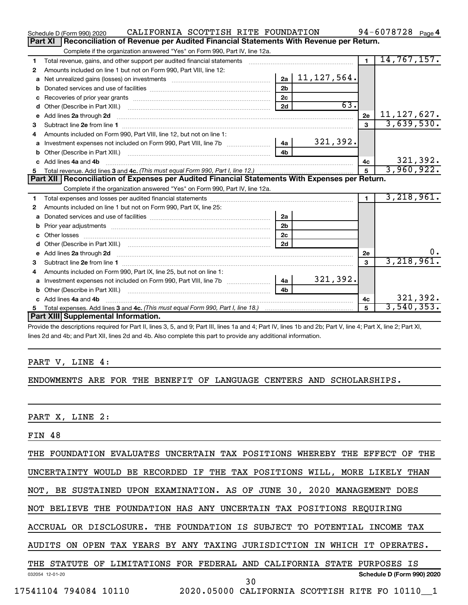|              | CALIFORNIA SCOTTISH RITE FOUNDATION<br>Schedule D (Form 990) 2020                                                                                                                                                                   |                |                         |                | 94-6078728 $_{Page 4}$ |  |  |  |  |  |
|--------------|-------------------------------------------------------------------------------------------------------------------------------------------------------------------------------------------------------------------------------------|----------------|-------------------------|----------------|------------------------|--|--|--|--|--|
|              | <b>Part XI</b><br>Reconciliation of Revenue per Audited Financial Statements With Revenue per Return.                                                                                                                               |                |                         |                |                        |  |  |  |  |  |
|              | Complete if the organization answered "Yes" on Form 990, Part IV, line 12a.                                                                                                                                                         |                |                         |                |                        |  |  |  |  |  |
| 1            | Total revenue, gains, and other support per audited financial statements                                                                                                                                                            |                |                         | $\overline{1}$ | 14, 767, 157.          |  |  |  |  |  |
| 2            | Amounts included on line 1 but not on Form 990, Part VIII, line 12:                                                                                                                                                                 |                |                         |                |                        |  |  |  |  |  |
| a            |                                                                                                                                                                                                                                     |                | $2a \mid 11, 127, 564.$ |                |                        |  |  |  |  |  |
| b            |                                                                                                                                                                                                                                     | 2 <sub>b</sub> |                         |                |                        |  |  |  |  |  |
| с            |                                                                                                                                                                                                                                     | 2 <sub>c</sub> |                         |                |                        |  |  |  |  |  |
| d            |                                                                                                                                                                                                                                     | 2d             | 63.                     |                |                        |  |  |  |  |  |
| $\mathbf{e}$ | Add lines 2a through 2d <b>continuum continuum contracts</b> and an analysis of the contract of the contract of the contract of the contract of the contract of the contract of the contract of the contract of the contract of the |                |                         | 2e             | 11, 127, 627.          |  |  |  |  |  |
| 3            |                                                                                                                                                                                                                                     |                |                         | $\mathbf{R}$   | 3,639,530.             |  |  |  |  |  |
| 4            | Amounts included on Form 990, Part VIII, line 12, but not on line 1:                                                                                                                                                                |                |                         |                |                        |  |  |  |  |  |
| a            |                                                                                                                                                                                                                                     |                | 321, 392.               |                |                        |  |  |  |  |  |
| b            |                                                                                                                                                                                                                                     | 4 <sub>b</sub> |                         |                |                        |  |  |  |  |  |
| c.           | Add lines 4a and 4b                                                                                                                                                                                                                 |                |                         | 4c             | 321,392.               |  |  |  |  |  |
|              |                                                                                                                                                                                                                                     |                |                         | $\overline{5}$ | 3,960,922.             |  |  |  |  |  |
|              |                                                                                                                                                                                                                                     |                |                         |                |                        |  |  |  |  |  |
|              | Part XII   Reconciliation of Expenses per Audited Financial Statements With Expenses per Return.                                                                                                                                    |                |                         |                |                        |  |  |  |  |  |
|              | Complete if the organization answered "Yes" on Form 990, Part IV, line 12a.                                                                                                                                                         |                |                         |                |                        |  |  |  |  |  |
| 1            |                                                                                                                                                                                                                                     |                |                         | $\blacksquare$ | 3,218,961.             |  |  |  |  |  |
| 2            | Amounts included on line 1 but not on Form 990, Part IX, line 25:                                                                                                                                                                   |                |                         |                |                        |  |  |  |  |  |
| a            |                                                                                                                                                                                                                                     | 2a             |                         |                |                        |  |  |  |  |  |
| b            |                                                                                                                                                                                                                                     | 2 <sub>b</sub> |                         |                |                        |  |  |  |  |  |
| c            |                                                                                                                                                                                                                                     | 2 <sub>c</sub> |                         |                |                        |  |  |  |  |  |
| d            |                                                                                                                                                                                                                                     | 2d             |                         |                |                        |  |  |  |  |  |
| е            | Add lines 2a through 2d <b>contained a contained a contained a contained a</b> contained a contained a contained a contained a contact a contact a contact a contact a contact a contact a contact a contact a contact a contact a  |                |                         | 2е             | $0 \cdot$              |  |  |  |  |  |
| З            |                                                                                                                                                                                                                                     |                |                         | 3              | 3,218,961.             |  |  |  |  |  |
| 4            | Amounts included on Form 990, Part IX, line 25, but not on line 1:                                                                                                                                                                  |                |                         |                |                        |  |  |  |  |  |
| a            |                                                                                                                                                                                                                                     | 4a             | 321,392.                |                |                        |  |  |  |  |  |
| b            |                                                                                                                                                                                                                                     | 4 <sub>b</sub> |                         |                |                        |  |  |  |  |  |
| c.           | Add lines 4a and 4b                                                                                                                                                                                                                 |                |                         | 4c             | 321,392.               |  |  |  |  |  |
|              | Part XIII Supplemental Information.                                                                                                                                                                                                 |                |                         | 5              | 3,540,353.             |  |  |  |  |  |

Provide the descriptions required for Part II, lines 3, 5, and 9; Part III, lines 1a and 4; Part IV, lines 1b and 2b; Part V, line 4; Part X, line 2; Part XI, lines 2d and 4b; and Part XII, lines 2d and 4b. Also complete this part to provide any additional information.

#### PART V, LINE 4:

### ENDOWMENTS ARE FOR THE BENEFIT OF LANGUAGE CENTERS AND SCHOLARSHIPS.

PART X, LINE 2:

FIN 48

THE FOUNDATION EVALUATES UNCERTAIN TAX POSITIONS WHEREBY THE EFFECT OF THE

UNCERTAINTY WOULD BE RECORDED IF THE TAX POSITIONS WILL, MORE LIKELY THAN

NOT, BE SUSTAINED UPON EXAMINATION. AS OF JUNE 30, 2020 MANAGEMENT DOES

NOT BELIEVE THE FOUNDATION HAS ANY UNCERTAIN TAX POSITIONS REQUIRING

ACCRUAL OR DISCLOSURE. THE FOUNDATION IS SUBJECT TO POTENTIAL INCOME TAX

AUDITS ON OPEN TAX YEARS BY ANY TAXING JURISDICTION IN WHICH IT OPERATES.

032054 12-01-20 **Schedule D (Form 990) 2020** THE STATUTE OF LIMITATIONS FOR FEDERAL AND CALIFORNIA STATE PURPOSES IS 30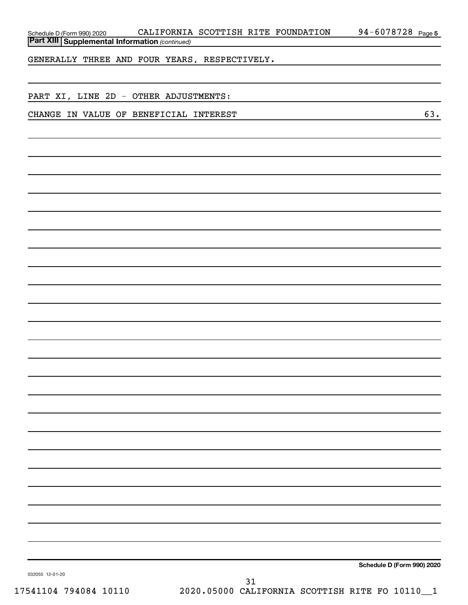| Schedule D (Form 990) 2020 |                                                       |  | CALIFORNIA SCOTTISH RITE FOUNDATION | 94-6078728 | Page 5 |
|----------------------------|-------------------------------------------------------|--|-------------------------------------|------------|--------|
|                            | <b>Part XIII Supplemental Information (continued)</b> |  |                                     |            |        |
|                            |                                                       |  |                                     |            |        |

GENERALLY THREE AND FOUR YEARS, RESPECTIVELY.

PART XI, LINE 2D - OTHER ADJUSTMENTS:

CHANGE IN VALUE OF BENEFICIAL INTEREST 63.

**Schedule D (Form 990) 2020**

032055 12-01-20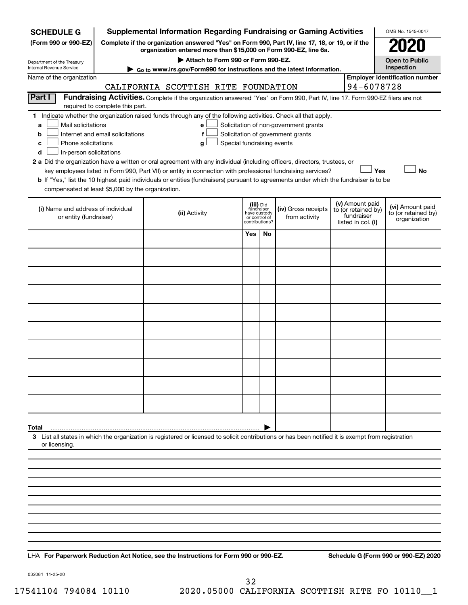| <b>SCHEDULE G</b>                                            |                                                                                                                                                                                    | <b>Supplemental Information Regarding Fundraising or Gaming Activities</b>                                                                                                                                                                           |                               |                                           |                                                                            |                                                                            | OMB No. 1545-0047                                       |  |  |  |
|--------------------------------------------------------------|------------------------------------------------------------------------------------------------------------------------------------------------------------------------------------|------------------------------------------------------------------------------------------------------------------------------------------------------------------------------------------------------------------------------------------------------|-------------------------------|-------------------------------------------|----------------------------------------------------------------------------|----------------------------------------------------------------------------|---------------------------------------------------------|--|--|--|
| (Form 990 or 990-EZ)                                         | Complete if the organization answered "Yes" on Form 990, Part IV, line 17, 18, or 19, or if the<br>organization entered more than \$15,000 on Form 990-EZ, line 6a.                |                                                                                                                                                                                                                                                      |                               |                                           |                                                                            |                                                                            |                                                         |  |  |  |
| Department of the Treasury                                   | Attach to Form 990 or Form 990-EZ.<br><b>Open to Public</b><br>Inspection                                                                                                          |                                                                                                                                                                                                                                                      |                               |                                           |                                                                            |                                                                            |                                                         |  |  |  |
| Internal Revenue Service                                     | ► Go to www.irs.gov/Form990 for instructions and the latest information.                                                                                                           |                                                                                                                                                                                                                                                      |                               |                                           |                                                                            |                                                                            |                                                         |  |  |  |
| Name of the organization                                     | <b>Employer identification number</b>                                                                                                                                              |                                                                                                                                                                                                                                                      |                               |                                           |                                                                            |                                                                            |                                                         |  |  |  |
| Part I                                                       | 94-6078728<br>CALIFORNIA SCOTTISH RITE FOUNDATION<br>Fundraising Activities. Complete if the organization answered "Yes" on Form 990, Part IV, line 17. Form 990-EZ filers are not |                                                                                                                                                                                                                                                      |                               |                                           |                                                                            |                                                                            |                                                         |  |  |  |
|                                                              | required to complete this part.                                                                                                                                                    |                                                                                                                                                                                                                                                      |                               |                                           |                                                                            |                                                                            |                                                         |  |  |  |
| Mail solicitations<br>a<br>b<br>Phone solicitations<br>с     | Internet and email solicitations                                                                                                                                                   | 1 Indicate whether the organization raised funds through any of the following activities. Check all that apply.<br>e<br>f<br>Special fundraising events<br>g                                                                                         |                               |                                           | Solicitation of non-government grants<br>Solicitation of government grants |                                                                            |                                                         |  |  |  |
| In-person solicitations<br>d                                 |                                                                                                                                                                                    |                                                                                                                                                                                                                                                      |                               |                                           |                                                                            |                                                                            |                                                         |  |  |  |
|                                                              |                                                                                                                                                                                    | 2 a Did the organization have a written or oral agreement with any individual (including officers, directors, trustees, or                                                                                                                           |                               |                                           |                                                                            |                                                                            | Yes<br><b>No</b>                                        |  |  |  |
|                                                              |                                                                                                                                                                                    | key employees listed in Form 990, Part VII) or entity in connection with professional fundraising services?<br>b If "Yes," list the 10 highest paid individuals or entities (fundraisers) pursuant to agreements under which the fundraiser is to be |                               |                                           |                                                                            |                                                                            |                                                         |  |  |  |
| compensated at least \$5,000 by the organization.            |                                                                                                                                                                                    |                                                                                                                                                                                                                                                      |                               |                                           |                                                                            |                                                                            |                                                         |  |  |  |
| (i) Name and address of individual<br>or entity (fundraiser) |                                                                                                                                                                                    | (ii) Activity                                                                                                                                                                                                                                        | have custody<br>or control of | (iii) Did<br>fundraiser<br>contributions? | (iv) Gross receipts<br>from activity                                       | (v) Amount paid<br>to (or retained by)<br>fundraiser<br>listed in col. (i) | (vi) Amount paid<br>to (or retained by)<br>organization |  |  |  |
|                                                              |                                                                                                                                                                                    |                                                                                                                                                                                                                                                      | Yes                           | No                                        |                                                                            |                                                                            |                                                         |  |  |  |
|                                                              |                                                                                                                                                                                    |                                                                                                                                                                                                                                                      |                               |                                           |                                                                            |                                                                            |                                                         |  |  |  |
|                                                              |                                                                                                                                                                                    |                                                                                                                                                                                                                                                      |                               |                                           |                                                                            |                                                                            |                                                         |  |  |  |
|                                                              |                                                                                                                                                                                    |                                                                                                                                                                                                                                                      |                               |                                           |                                                                            |                                                                            |                                                         |  |  |  |
|                                                              |                                                                                                                                                                                    |                                                                                                                                                                                                                                                      |                               |                                           |                                                                            |                                                                            |                                                         |  |  |  |
|                                                              |                                                                                                                                                                                    |                                                                                                                                                                                                                                                      |                               |                                           |                                                                            |                                                                            |                                                         |  |  |  |
|                                                              |                                                                                                                                                                                    |                                                                                                                                                                                                                                                      |                               |                                           |                                                                            |                                                                            |                                                         |  |  |  |
|                                                              |                                                                                                                                                                                    |                                                                                                                                                                                                                                                      |                               |                                           |                                                                            |                                                                            |                                                         |  |  |  |
|                                                              |                                                                                                                                                                                    |                                                                                                                                                                                                                                                      |                               |                                           |                                                                            |                                                                            |                                                         |  |  |  |
|                                                              |                                                                                                                                                                                    |                                                                                                                                                                                                                                                      |                               |                                           |                                                                            |                                                                            |                                                         |  |  |  |
| Total                                                        |                                                                                                                                                                                    |                                                                                                                                                                                                                                                      |                               |                                           |                                                                            |                                                                            |                                                         |  |  |  |
| or licensing.                                                |                                                                                                                                                                                    | 3 List all states in which the organization is registered or licensed to solicit contributions or has been notified it is exempt from registration                                                                                                   |                               |                                           |                                                                            |                                                                            |                                                         |  |  |  |
|                                                              |                                                                                                                                                                                    |                                                                                                                                                                                                                                                      |                               |                                           |                                                                            |                                                                            |                                                         |  |  |  |
|                                                              |                                                                                                                                                                                    |                                                                                                                                                                                                                                                      |                               |                                           |                                                                            |                                                                            |                                                         |  |  |  |
|                                                              |                                                                                                                                                                                    |                                                                                                                                                                                                                                                      |                               |                                           |                                                                            |                                                                            |                                                         |  |  |  |
|                                                              |                                                                                                                                                                                    |                                                                                                                                                                                                                                                      |                               |                                           |                                                                            |                                                                            |                                                         |  |  |  |
|                                                              |                                                                                                                                                                                    |                                                                                                                                                                                                                                                      |                               |                                           |                                                                            |                                                                            |                                                         |  |  |  |
|                                                              |                                                                                                                                                                                    |                                                                                                                                                                                                                                                      |                               |                                           |                                                                            |                                                                            |                                                         |  |  |  |
|                                                              |                                                                                                                                                                                    |                                                                                                                                                                                                                                                      |                               |                                           |                                                                            |                                                                            |                                                         |  |  |  |

**For Paperwork Reduction Act Notice, see the Instructions for Form 990 or 990-EZ. Schedule G (Form 990 or 990-EZ) 2020** LHA

032081 11-25-20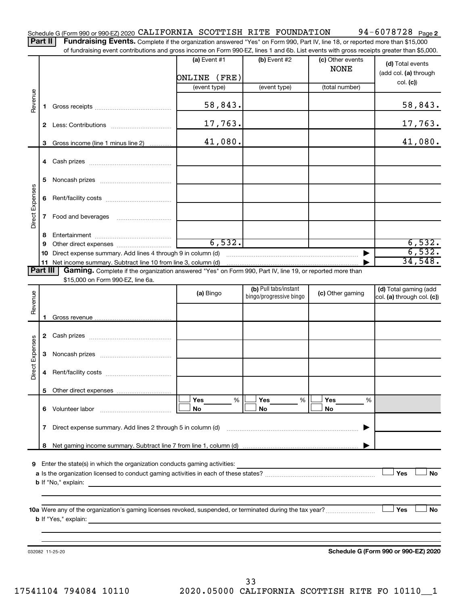Part II | Fundraising Events. Complete if the organization answered "Yes" on Form 990, Part IV, line 18, or reported more than \$15,000 of fundraising event contributions and gross income on Form 990-EZ, lines 1 and 6b. List events with gross receipts greater than \$5,000.

|                        |        | ה ומחסומוסות פעבות כטותווטמוטוס מווט קוטסס וווטטווכ טורו טוווו סטט־בב, וווכס דמווט טט. בוסג כעכותס אתור קוטסס וכככוטוס קוכמוכו מומרו 40,000. |                |                                                  |                                 |                                                     |
|------------------------|--------|----------------------------------------------------------------------------------------------------------------------------------------------|----------------|--------------------------------------------------|---------------------------------|-----------------------------------------------------|
|                        |        |                                                                                                                                              | (a) Event $#1$ | (b) Event $#2$                                   | (c) Other events<br><b>NONE</b> | (d) Total events<br>(add col. (a) through           |
|                        |        |                                                                                                                                              | ONLINE (FRE)   |                                                  |                                 | col. (c)                                            |
|                        |        |                                                                                                                                              | (event type)   | (event type)                                     | (total number)                  |                                                     |
| Revenue                |        |                                                                                                                                              | 58,843.        |                                                  |                                 | 58,843.                                             |
|                        |        |                                                                                                                                              | 17,763.        |                                                  |                                 | <u>17,763.</u>                                      |
|                        |        |                                                                                                                                              | 41,080.        |                                                  |                                 | 41,080.                                             |
|                        | 3      | Gross income (line 1 minus line 2)                                                                                                           |                |                                                  |                                 |                                                     |
|                        |        |                                                                                                                                              |                |                                                  |                                 |                                                     |
|                        | 5      |                                                                                                                                              |                |                                                  |                                 |                                                     |
|                        | 6      |                                                                                                                                              |                |                                                  |                                 |                                                     |
| Direct Expenses        | 7      | Food and beverages                                                                                                                           |                |                                                  |                                 |                                                     |
|                        |        |                                                                                                                                              |                |                                                  |                                 |                                                     |
|                        | 8<br>9 |                                                                                                                                              | 6,532.         |                                                  |                                 | 6,532.                                              |
|                        |        | 10 Direct expense summary. Add lines 4 through 9 in column (d)                                                                               |                |                                                  | $\blacktriangleright$           | 6,532.                                              |
|                        |        |                                                                                                                                              |                |                                                  |                                 | 34,548.                                             |
| Part III               |        | Gaming. Complete if the organization answered "Yes" on Form 990, Part IV, line 19, or reported more than                                     |                |                                                  |                                 |                                                     |
|                        |        | \$15,000 on Form 990-EZ, line 6a.                                                                                                            |                |                                                  |                                 |                                                     |
| Revenue                |        |                                                                                                                                              | (a) Bingo      | (b) Pull tabs/instant<br>bingo/progressive bingo | (c) Other gaming                | (d) Total gaming (add<br>col. (a) through col. (c)) |
|                        |        |                                                                                                                                              |                |                                                  |                                 |                                                     |
|                        |        |                                                                                                                                              |                |                                                  |                                 |                                                     |
|                        |        |                                                                                                                                              |                |                                                  |                                 |                                                     |
| <b>Direct Expenses</b> | 3      |                                                                                                                                              |                |                                                  |                                 |                                                     |
|                        | 4      |                                                                                                                                              |                |                                                  |                                 |                                                     |
|                        |        |                                                                                                                                              |                |                                                  |                                 |                                                     |
|                        | 6      | Volunteer labor                                                                                                                              | Yes<br>%<br>No | Yes<br>%<br>No                                   | Yes<br>%<br>No                  |                                                     |
|                        | 7      | Direct expense summary. Add lines 2 through 5 in column (d)                                                                                  |                |                                                  |                                 |                                                     |
|                        | 8      |                                                                                                                                              |                |                                                  |                                 |                                                     |
|                        |        |                                                                                                                                              |                |                                                  |                                 |                                                     |
| 9                      |        | Enter the state(s) in which the organization conducts gaming activities:                                                                     |                |                                                  |                                 | Yes<br>No                                           |
|                        |        | <b>b</b> If "No," explain:                                                                                                                   |                |                                                  |                                 |                                                     |
|                        |        | the control of the control of the control of the control of the control of the control of                                                    |                |                                                  |                                 |                                                     |
|                        |        |                                                                                                                                              |                |                                                  |                                 |                                                     |
|                        |        | <b>b</b> If "Yes," explain:                                                                                                                  |                |                                                  |                                 | Yes<br>No                                           |
|                        |        | <u> 1989 - Johann John Stein, mars and de British and de British and de British and de British and de British an</u>                         |                |                                                  |                                 |                                                     |
|                        |        |                                                                                                                                              |                |                                                  |                                 |                                                     |
|                        |        | 032082 11-25-20                                                                                                                              |                |                                                  |                                 | Schedule G (Form 990 or 990-EZ) 2020                |
|                        |        |                                                                                                                                              |                |                                                  |                                 |                                                     |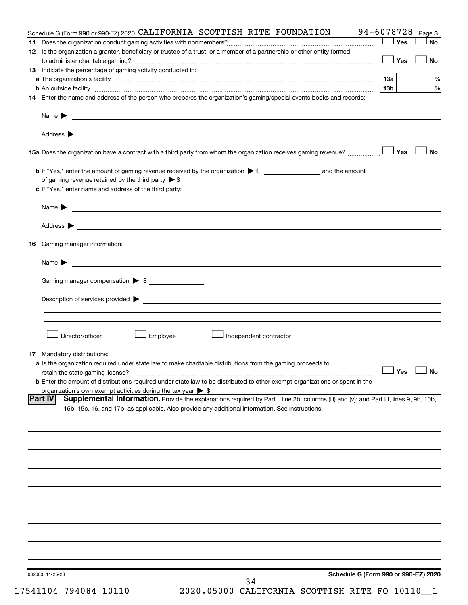|     | Schedule G (Form 990 or 990-EZ) 2020 CALIFORNIA SCOTTISH RITE FOUNDATION                                                                                                                                                                                     | 94-6078728      |     | Page 3                                       |
|-----|--------------------------------------------------------------------------------------------------------------------------------------------------------------------------------------------------------------------------------------------------------------|-----------------|-----|----------------------------------------------|
| 11. |                                                                                                                                                                                                                                                              | ∫ Yes           |     | <b>No</b>                                    |
|     | 12 Is the organization a grantor, beneficiary or trustee of a trust, or a member of a partnership or other entity formed                                                                                                                                     |                 | Yes | No                                           |
|     | 13 Indicate the percentage of gaming activity conducted in:                                                                                                                                                                                                  |                 |     |                                              |
|     |                                                                                                                                                                                                                                                              |                 |     | %                                            |
|     |                                                                                                                                                                                                                                                              | 13 <sub>b</sub> |     | $\%$                                         |
|     | 14 Enter the name and address of the person who prepares the organization's gaming/special events books and records:                                                                                                                                         |                 |     |                                              |
|     | Name $\blacktriangleright$<br><u> 1989 - Johann Barbara, martin amerikan basal dan berasal dan berasal dalam basal dan berasal dan berasal dan</u>                                                                                                           |                 |     |                                              |
|     |                                                                                                                                                                                                                                                              |                 |     |                                              |
|     |                                                                                                                                                                                                                                                              |                 |     | <b>No</b>                                    |
|     |                                                                                                                                                                                                                                                              |                 |     |                                              |
|     | of gaming revenue retained by the third party $\triangleright$ \$                                                                                                                                                                                            |                 |     |                                              |
|     | c If "Yes," enter name and address of the third party:                                                                                                                                                                                                       |                 |     |                                              |
|     | <u> 1980 - Johann Barbara, martin amerikan basal dan berasal dalam basal dalam basal dalam basal dalam basal dala</u><br>Name $\blacktriangleright$                                                                                                          |                 |     |                                              |
|     |                                                                                                                                                                                                                                                              |                 |     |                                              |
| 16  | Gaming manager information:                                                                                                                                                                                                                                  |                 |     |                                              |
|     | <u> 1989 - Johann Harry Harry Harry Harry Harry Harry Harry Harry Harry Harry Harry Harry Harry Harry Harry Harry</u><br>Name $\blacktriangleright$                                                                                                          |                 |     |                                              |
|     | Gaming manager compensation > \$                                                                                                                                                                                                                             |                 |     |                                              |
|     |                                                                                                                                                                                                                                                              |                 |     |                                              |
|     |                                                                                                                                                                                                                                                              |                 |     |                                              |
|     |                                                                                                                                                                                                                                                              |                 |     |                                              |
|     | Director/officer<br>Employee<br>Independent contractor                                                                                                                                                                                                       |                 |     |                                              |
|     | <b>17</b> Mandatory distributions:                                                                                                                                                                                                                           |                 |     |                                              |
|     | <b>a</b> Is the organization required under state law to make charitable distributions from the gaming proceeds to                                                                                                                                           |                 |     |                                              |
|     |                                                                                                                                                                                                                                                              |                 |     | $\mathbin{\sqcup}$ Yes $\mathbin{\sqcup}$ No |
|     | <b>b</b> Enter the amount of distributions required under state law to be distributed to other exempt organizations or spent in the                                                                                                                          |                 |     |                                              |
|     | organization's own exempt activities during the tax year $\triangleright$ \$                                                                                                                                                                                 |                 |     |                                              |
|     | <b>Part IV</b><br>Supplemental Information. Provide the explanations required by Part I, line 2b, columns (iii) and (v); and Part III, lines 9, 9b, 10b,<br>15b, 15c, 16, and 17b, as applicable. Also provide any additional information. See instructions. |                 |     |                                              |
|     |                                                                                                                                                                                                                                                              |                 |     |                                              |
|     |                                                                                                                                                                                                                                                              |                 |     |                                              |
|     |                                                                                                                                                                                                                                                              |                 |     |                                              |
|     |                                                                                                                                                                                                                                                              |                 |     |                                              |
|     |                                                                                                                                                                                                                                                              |                 |     |                                              |
|     |                                                                                                                                                                                                                                                              |                 |     |                                              |
|     |                                                                                                                                                                                                                                                              |                 |     |                                              |
|     |                                                                                                                                                                                                                                                              |                 |     |                                              |
|     |                                                                                                                                                                                                                                                              |                 |     |                                              |
|     |                                                                                                                                                                                                                                                              |                 |     |                                              |
|     | Schedule G (Form 990 or 990-EZ) 2020<br>032083 11-25-20<br>34                                                                                                                                                                                                |                 |     |                                              |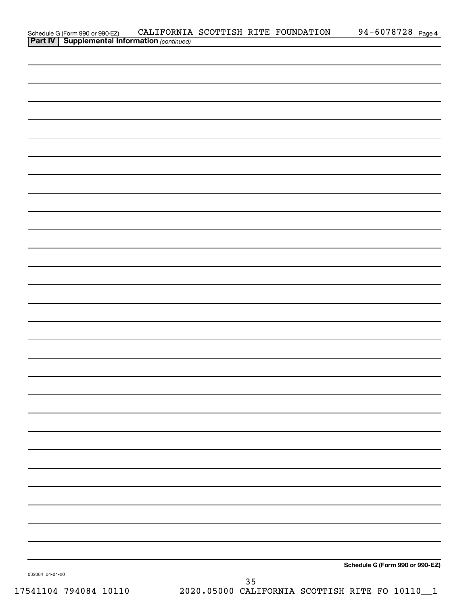| Schedule G (Form 990 or 990-EZ) CALIFORNIA<br><b>Part IV   Supplemental Information</b> (continued) |  | CALIFORNIA SCOTTISH RITE FOUNDATION | 94-6078728 Page 4               |  |
|-----------------------------------------------------------------------------------------------------|--|-------------------------------------|---------------------------------|--|
|                                                                                                     |  |                                     |                                 |  |
|                                                                                                     |  |                                     |                                 |  |
|                                                                                                     |  |                                     |                                 |  |
|                                                                                                     |  |                                     |                                 |  |
|                                                                                                     |  |                                     |                                 |  |
|                                                                                                     |  |                                     |                                 |  |
|                                                                                                     |  |                                     |                                 |  |
|                                                                                                     |  |                                     |                                 |  |
|                                                                                                     |  |                                     |                                 |  |
|                                                                                                     |  |                                     |                                 |  |
|                                                                                                     |  |                                     |                                 |  |
|                                                                                                     |  |                                     |                                 |  |
|                                                                                                     |  |                                     |                                 |  |
|                                                                                                     |  |                                     |                                 |  |
|                                                                                                     |  |                                     |                                 |  |
|                                                                                                     |  |                                     |                                 |  |
|                                                                                                     |  |                                     |                                 |  |
|                                                                                                     |  |                                     |                                 |  |
|                                                                                                     |  |                                     |                                 |  |
|                                                                                                     |  |                                     |                                 |  |
|                                                                                                     |  |                                     |                                 |  |
|                                                                                                     |  |                                     |                                 |  |
|                                                                                                     |  |                                     |                                 |  |
|                                                                                                     |  |                                     |                                 |  |
|                                                                                                     |  |                                     |                                 |  |
|                                                                                                     |  |                                     |                                 |  |
|                                                                                                     |  |                                     |                                 |  |
|                                                                                                     |  |                                     |                                 |  |
|                                                                                                     |  |                                     |                                 |  |
|                                                                                                     |  |                                     |                                 |  |
|                                                                                                     |  |                                     |                                 |  |
|                                                                                                     |  |                                     |                                 |  |
|                                                                                                     |  |                                     |                                 |  |
|                                                                                                     |  |                                     |                                 |  |
|                                                                                                     |  |                                     |                                 |  |
|                                                                                                     |  |                                     |                                 |  |
|                                                                                                     |  |                                     |                                 |  |
|                                                                                                     |  |                                     |                                 |  |
|                                                                                                     |  |                                     |                                 |  |
|                                                                                                     |  |                                     |                                 |  |
|                                                                                                     |  |                                     |                                 |  |
|                                                                                                     |  |                                     |                                 |  |
|                                                                                                     |  |                                     |                                 |  |
|                                                                                                     |  |                                     |                                 |  |
|                                                                                                     |  |                                     |                                 |  |
|                                                                                                     |  |                                     |                                 |  |
|                                                                                                     |  |                                     |                                 |  |
|                                                                                                     |  |                                     |                                 |  |
|                                                                                                     |  |                                     |                                 |  |
|                                                                                                     |  |                                     |                                 |  |
|                                                                                                     |  |                                     |                                 |  |
|                                                                                                     |  |                                     |                                 |  |
|                                                                                                     |  |                                     | Schedule G (Form 990 or 990-EZ) |  |
| 032084 04-01-20                                                                                     |  |                                     |                                 |  |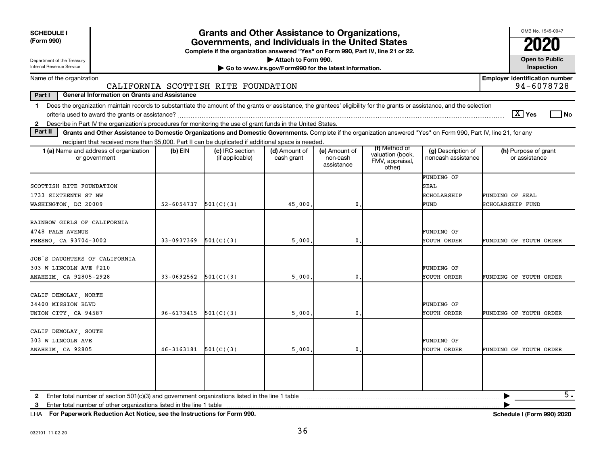| <b>SCHEDULE I</b><br>(Form 990)                                                                                                                                                                                                                                                                            | <b>Grants and Other Assistance to Organizations,</b><br>Governments, and Individuals in the United States | OMB No. 1545-0047                                                                |                                                                              |                                         |                                                                |                                           |                                                     |
|------------------------------------------------------------------------------------------------------------------------------------------------------------------------------------------------------------------------------------------------------------------------------------------------------------|-----------------------------------------------------------------------------------------------------------|----------------------------------------------------------------------------------|------------------------------------------------------------------------------|-----------------------------------------|----------------------------------------------------------------|-------------------------------------------|-----------------------------------------------------|
| Department of the Treasury<br>Internal Revenue Service                                                                                                                                                                                                                                                     |                                                                                                           | Complete if the organization answered "Yes" on Form 990, Part IV, line 21 or 22. | Attach to Form 990.<br>Go to www.irs.gov/Form990 for the latest information. |                                         |                                                                |                                           | <b>Open to Public</b><br>Inspection                 |
| Name of the organization                                                                                                                                                                                                                                                                                   |                                                                                                           | CALIFORNIA SCOTTISH RITE FOUNDATION                                              |                                                                              |                                         |                                                                |                                           | <b>Employer identification number</b><br>94-6078728 |
| Part I<br><b>General Information on Grants and Assistance</b>                                                                                                                                                                                                                                              |                                                                                                           |                                                                                  |                                                                              |                                         |                                                                |                                           |                                                     |
| Does the organization maintain records to substantiate the amount of the grants or assistance, the grantees' eligibility for the grants or assistance, and the selection<br>$\mathbf 1$<br>2 Describe in Part IV the organization's procedures for monitoring the use of grant funds in the United States. |                                                                                                           |                                                                                  |                                                                              |                                         |                                                                |                                           | $\lceil \text{X} \rceil$ Yes<br>l No                |
| Part II<br>Grants and Other Assistance to Domestic Organizations and Domestic Governments. Complete if the organization answered "Yes" on Form 990, Part IV, line 21, for any                                                                                                                              |                                                                                                           |                                                                                  |                                                                              |                                         |                                                                |                                           |                                                     |
| recipient that received more than \$5,000. Part II can be duplicated if additional space is needed.                                                                                                                                                                                                        |                                                                                                           |                                                                                  |                                                                              |                                         |                                                                |                                           |                                                     |
| <b>1 (a)</b> Name and address of organization<br>or government                                                                                                                                                                                                                                             | (b) EIN                                                                                                   | (c) IRC section<br>(if applicable)                                               | (d) Amount of<br>cash grant                                                  | (e) Amount of<br>non-cash<br>assistance | (f) Method of<br>valuation (book,<br>FMV, appraisal,<br>other) | (g) Description of<br>noncash assistance  | (h) Purpose of grant<br>or assistance               |
| SCOTTISH RITE FOUNDATION<br>1733 SIXTEENTH ST NW<br>WASHINGTON, DC 20009                                                                                                                                                                                                                                   | 52-6054737                                                                                                | 501(C)(3)                                                                        | 45,000.                                                                      | $\mathbf 0$                             |                                                                | FUNDING OF<br>SEAL<br>SCHOLARSHIP<br>FUND | FUNDING OF SEAL<br>SCHOLARSHIP FUND                 |
| RAINBOW GIRLS OF CALIFORNIA<br>4748 PALM AVENUE<br>FRESNO, CA 93704-3002                                                                                                                                                                                                                                   | 33-0937369                                                                                                | 501(C)(3)                                                                        | 5,000                                                                        | $\mathbf 0$                             |                                                                | FUNDING OF<br>YOUTH ORDER                 | FUNDING OF YOUTH ORDER                              |
| JOB'S DAUGHTERS OF CALIFORNIA<br>303 W LINCOLN AVE #210<br>ANAHEIM, CA 92805-2928                                                                                                                                                                                                                          | $33 - 0692562$                                                                                            | 501(C)(3)                                                                        | 5,000                                                                        | $\mathbf 0$                             |                                                                | FUNDING OF<br>YOUTH ORDER                 | FUNDING OF YOUTH ORDER                              |
| CALIF DEMOLAY, NORTH<br>34400 MISSION BLVD<br>UNION CITY, CA 94587                                                                                                                                                                                                                                         | 96-6173415                                                                                                | 501(C)(3)                                                                        | 5,000                                                                        | 0                                       |                                                                | FUNDING OF<br>YOUTH ORDER                 | FUNDING OF YOUTH ORDER                              |
| CALIF DEMOLAY SOUTH<br>303 W LINCOLN AVE<br>ANAHEIM, CA 92805                                                                                                                                                                                                                                              | 46-3163181                                                                                                | 501(C)(3)                                                                        | 5,000                                                                        | $\mathbf{0}$                            |                                                                | FUNDING OF<br>YOUTH ORDER                 | FUNDING OF YOUTH ORDER                              |
| Enter total number of other organizations listed in the line 1 table<br>3                                                                                                                                                                                                                                  |                                                                                                           |                                                                                  |                                                                              |                                         |                                                                |                                           | $\overline{5}$ .                                    |

**For Paperwork Reduction Act Notice, see the Instructions for Form 990. Schedule I (Form 990) 2020** LHA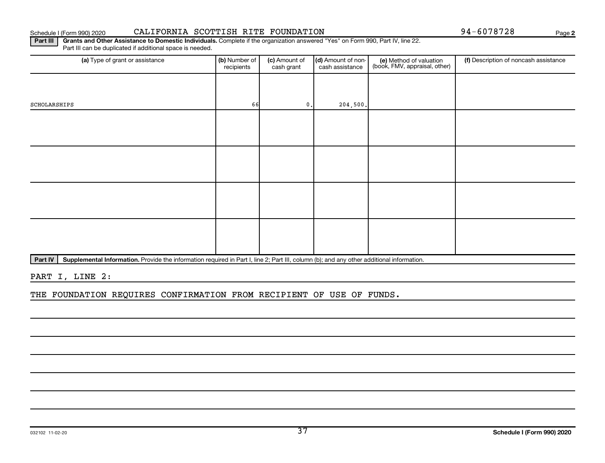#### Schedule I (Form 990) 2020 CALIFORNIA SCOTTISH RITE FOUNDATION 94-6078728 Page

**2**

Part III | Grants and Other Assistance to Domestic Individuals. Complete if the organization answered "Yes" on Form 990, Part IV, line 22. Part III can be duplicated if additional space is needed.

| (a) Type of grant or assistance | (b) Number of<br>recipients | (c) Amount of<br>cash grant | (d) Amount of non-<br>cash assistance | (e) Method of valuation<br>(book, FMV, appraisal, other) | (f) Description of noncash assistance |
|---------------------------------|-----------------------------|-----------------------------|---------------------------------------|----------------------------------------------------------|---------------------------------------|
|                                 |                             |                             |                                       |                                                          |                                       |
| SCHOLARSHIPS                    | 66                          | $0$ .                       | 204,500.                              |                                                          |                                       |
|                                 |                             |                             |                                       |                                                          |                                       |
|                                 |                             |                             |                                       |                                                          |                                       |
|                                 |                             |                             |                                       |                                                          |                                       |
|                                 |                             |                             |                                       |                                                          |                                       |
|                                 |                             |                             |                                       |                                                          |                                       |
|                                 |                             |                             |                                       |                                                          |                                       |
|                                 |                             |                             |                                       |                                                          |                                       |
|                                 |                             |                             |                                       |                                                          |                                       |

Part IV | Supplemental Information. Provide the information required in Part I, line 2; Part III, column (b); and any other additional information.

PART I, LINE 2:

THE FOUNDATION REQUIRES CONFIRMATION FROM RECIPIENT OF USE OF FUNDS.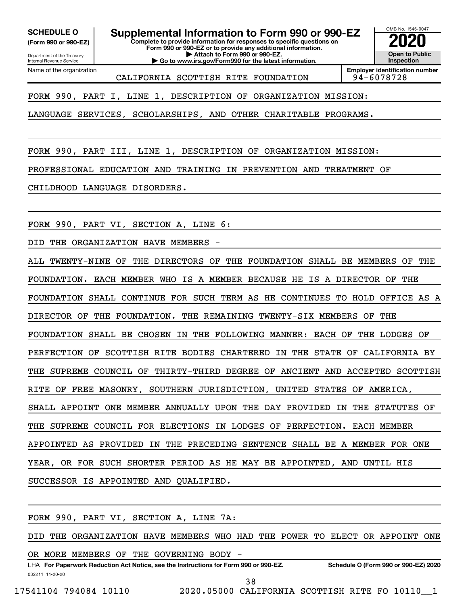**(Form 990 or 990-EZ)**

Department of the Treasury Internal Revenue Service Name of the organization

**Complete to provide information for responses to specific questions on Form 990 or 990-EZ or to provide any additional information. | Attach to Form 990 or 990-EZ. | Go to www.irs.gov/Form990 for the latest information. SCHEDULE O Supplemental Information to Form 990 or 990-EZ 2020**<br>(Form 990 or 990-EZ) Complete to provide information for responses to specific questions on



CALIFORNIA SCOTTISH RITE FOUNDATION 94-6078728

**Employer identification number**

FORM 990, PART I, LINE 1, DESCRIPTION OF ORGANIZATION MISSION:

LANGUAGE SERVICES, SCHOLARSHIPS, AND OTHER CHARITABLE PROGRAMS.

FORM 990, PART III, LINE 1, DESCRIPTION OF ORGANIZATION MISSION:

PROFESSIONAL EDUCATION AND TRAINING IN PREVENTION AND TREATMENT OF

CHILDHOOD LANGUAGE DISORDERS.

FORM 990, PART VI, SECTION A, LINE 6:

DID THE ORGANIZATION HAVE MEMBERS

ALL TWENTY-NINE OF THE DIRECTORS OF THE FOUNDATION SHALL BE MEMBERS OF THE FOUNDATION. EACH MEMBER WHO IS A MEMBER BECAUSE HE IS A DIRECTOR OF THE FOUNDATION SHALL CONTINUE FOR SUCH TERM AS HE CONTINUES TO HOLD OFFICE AS A DIRECTOR OF THE FOUNDATION. THE REMAINING TWENTY-SIX MEMBERS OF THE FOUNDATION SHALL BE CHOSEN IN THE FOLLOWING MANNER: EACH OF THE LODGES OF PERFECTION OF SCOTTISH RITE BODIES CHARTERED IN THE STATE OF CALIFORNIA BY THE SUPREME COUNCIL OF THIRTY-THIRD DEGREE OF ANCIENT AND ACCEPTED SCOTTISH RITE OF FREE MASONRY, SOUTHERN JURISDICTION, UNITED STATES OF AMERICA, SHALL APPOINT ONE MEMBER ANNUALLY UPON THE DAY PROVIDED IN THE STATUTES OF THE SUPREME COUNCIL FOR ELECTIONS IN LODGES OF PERFECTION. EACH MEMBER APPOINTED AS PROVIDED IN THE PRECEDING SENTENCE SHALL BE A MEMBER FOR ONE YEAR, OR FOR SUCH SHORTER PERIOD AS HE MAY BE APPOINTED, AND UNTIL HIS SUCCESSOR IS APPOINTED AND QUALIFIED.

FORM 990, PART VI, SECTION A, LINE 7A:

DID THE ORGANIZATION HAVE MEMBERS WHO HAD THE POWER TO ELECT OR APPOINT ONE

OR MORE MEMBERS OF THE GOVERNING BODY

032211 11-20-20 **For Paperwork Reduction Act Notice, see the Instructions for Form 990 or 990-EZ. Schedule O (Form 990 or 990-EZ) 2020** LHA 38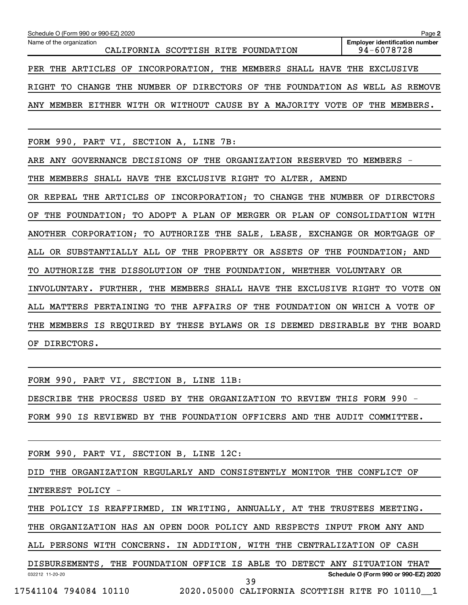| Schedule O (Form 990 or 990-EZ) 2020                                                    | Page 2                                              |
|-----------------------------------------------------------------------------------------|-----------------------------------------------------|
| Name of the organization<br>CALIFORNIA SCOTTISH RITE FOUNDATION                         | <b>Employer identification number</b><br>94-6078728 |
| THE ARTICLES OF INCORPORATION, THE MEMBERS SHALL HAVE THE EXCLUSIVE<br>PER              |                                                     |
| THE<br>NUMBER OF DIRECTORS OF<br>THE FOUNDATION AS WELL AS REMOVE<br>RIGHT<br>TO CHANGE |                                                     |
| ANY MEMBER EITHER WITH OR WITHOUT CAUSE BY A MAJORITY VOTE OF THE MEMBERS.              |                                                     |
| FORM 990, PART VI, SECTION A, LINE 7B:                                                  |                                                     |
| ARE ANY GOVERNANCE DECISIONS OF THE ORGANIZATION RESERVED TO MEMBERS -                  |                                                     |
| MEMBERS SHALL HAVE THE EXCLUSIVE RIGHT TO ALTER, AMEND<br>THE                           |                                                     |
| OR REPEAL THE ARTICLES OF INCORPORATION; TO CHANGE THE NUMBER OF DIRECTORS              |                                                     |
| THE FOUNDATION; TO ADOPT A PLAN OF MERGER OR PLAN OF CONSOLIDATION WITH<br>ОF           |                                                     |
| ANOTHER CORPORATION; TO AUTHORIZE THE SALE, LEASE, EXCHANGE OR MORTGAGE OF              |                                                     |
| ALL OR SUBSTANTIALLY ALL OF THE PROPERTY OR ASSETS OF THE FOUNDATION; AND               |                                                     |
| AUTHORIZE THE DISSOLUTION OF THE FOUNDATION, WHETHER VOLUNTARY OR<br>TO.                |                                                     |
| INVOLUNTARY. FURTHER, THE MEMBERS SHALL HAVE THE EXCLUSIVE RIGHT                        | TO VOTE ON                                          |
| ALL MATTERS PERTAINING TO<br>THE AFFAIRS OF<br>THE FOUNDATION ON WHICH A VOTE OF        |                                                     |
| MEMBERS IS REQUIRED BY THESE BYLAWS OR IS DEEMED DESIRABLE BY THE BOARD<br>THE          |                                                     |
| DIRECTORS.<br>ΟF                                                                        |                                                     |

DESCRIBE THE PROCESS USED BY THE ORGANIZATION TO REVIEW THIS FORM 990 - FORM 990 IS REVIEWED BY THE FOUNDATION OFFICERS AND THE AUDIT COMMITTEE.

FORM 990, PART VI, SECTION B, LINE 12C:

FORM 990, PART VI, SECTION B, LINE 11B:

DID THE ORGANIZATION REGULARLY AND CONSISTENTLY MONITOR THE CONFLICT OF INTEREST POLICY -

THE POLICY IS REAFFIRMED, IN WRITING, ANNUALLY, AT THE TRUSTEES MEETING.

THE ORGANIZATION HAS AN OPEN DOOR POLICY AND RESPECTS INPUT FROM ANY AND

ALL PERSONS WITH CONCERNS. IN ADDITION, WITH THE CENTRALIZATION OF CASH

032212 11-20-20 **Schedule O (Form 990 or 990-EZ) 2020** DISBURSEMENTS, THE FOUNDATION OFFICE IS ABLE TO DETECT ANY SITUATION THAT 39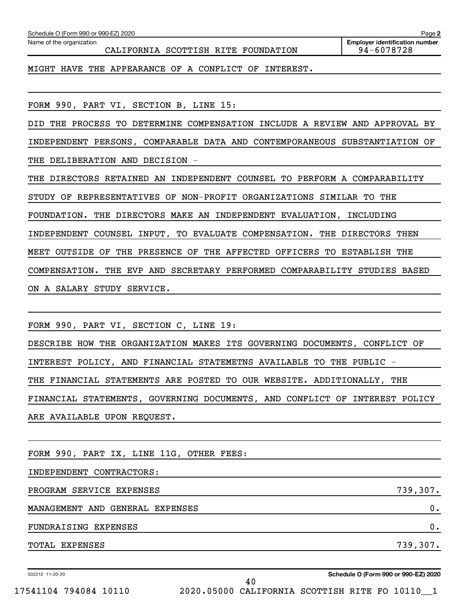| FORM 990, PART VI, SECTION B, LINE 15:                                     |
|----------------------------------------------------------------------------|
| DID THE PROCESS TO DETERMINE COMPENSATION INCLUDE A REVIEW AND APPROVAL BY |
| INDEPENDENT PERSONS, COMPARABLE DATA AND CONTEMPORANEOUS SUBSTANTIATION OF |
| THE DELIBERATION AND DECISION -                                            |
| THE DIRECTORS RETAINED AN INDEPENDENT COUNSEL TO PERFORM A COMPARABILITY   |
| STUDY OF REPRESENTATIVES OF NON-PROFIT ORGANIZATIONS SIMILAR TO THE        |
| FOUNDATION. THE DIRECTORS MAKE AN INDEPENDENT EVALUATION, INCLUDING        |
| INDEPENDENT COUNSEL INPUT, TO EVALUATE COMPENSATION. THE DIRECTORS THEN    |
| MEET OUTSIDE OF THE PRESENCE OF THE AFFECTED OFFICERS TO ESTABLISH THE     |
| COMPENSATION. THE EVP AND SECRETARY PERFORMED COMPARABILITY STUDIES BASED  |
| ON A SALARY STUDY SERVICE.                                                 |
|                                                                            |
| FORM 990, PART VI, SECTION C, LINE 19:                                     |
| DESCRIBE HOW THE ORGANIZATION MAKES ITS GOVERNING DOCUMENTS, CONFLICT OF   |
| INTEREST POLICY, AND FINANCIAL STATEMETNS AVAILABLE TO THE PUBLIC -        |
| THE FINANCIAL STATEMENTS ARE POSTED TO OUR WEBSITE. ADDITIONALLY, THE      |
| FINANCIAL STATEMENTS, GOVERNING DOCUMENTS, AND CONFLICT OF INTEREST POLICY |
| ARE AVAILABLE UPON REQUEST.                                                |
|                                                                            |
| FORM 990, PART IX, LINE 11G, OTHER FEES:                                   |
| INDEPENDENT CONTRACTORS:                                                   |
| 739,307.<br>PROGRAM SERVICE EXPENSES                                       |
| MANAGEMENT AND GENERAL EXPENSES<br>$\mathbf 0$ .                           |
| 0.<br>FUNDRAISING EXPENSES                                                 |
| 739,307.<br>TOTAL EXPENSES                                                 |
|                                                                            |

CALIFORNIA SCOTTISH RITE FOUNDATION

MIGHT HAVE THE APPEARANCE OF A CONFLICT OF INTEREST.

032212 11-20-20

**Schedule O (Form 990 or 990-EZ) 2020**

**2**

**Employer identification number**

Schedule O (Form 990 or 990-EZ) 2020

Name of the organization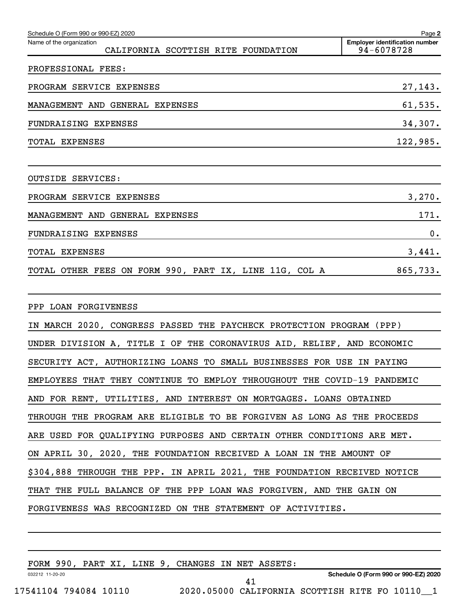| Schedule O (Form 990 or 990-EZ) 2020                                     | Page 2                                              |
|--------------------------------------------------------------------------|-----------------------------------------------------|
| Name of the organization<br>CALIFORNIA SCOTTISH RITE FOUNDATION          | <b>Employer identification number</b><br>94-6078728 |
| PROFESSIONAL FEES:                                                       |                                                     |
| PROGRAM SERVICE EXPENSES                                                 | 27,143.                                             |
| MANAGEMENT AND GENERAL EXPENSES                                          | 61,535.                                             |
| FUNDRAISING EXPENSES                                                     | 34,307.                                             |
| TOTAL EXPENSES                                                           | 122,985.                                            |
| OUTSIDE SERVICES:                                                        |                                                     |
| PROGRAM SERVICE EXPENSES                                                 | 3,270.                                              |
| MANAGEMENT AND GENERAL EXPENSES                                          | 171.                                                |
| FUNDRAISING EXPENSES                                                     | 0.                                                  |
| TOTAL EXPENSES                                                           | 3,441.                                              |
| TOTAL OTHER FEES ON FORM 990, PART IX, LINE 11G, COL A                   | 865,733.                                            |
| PPP LOAN FORGIVENESS                                                     |                                                     |
| IN MARCH 2020, CONGRESS PASSED THE PAYCHECK PROTECTION PROGRAM (PPP)     |                                                     |
| UNDER DIVISION A, TITLE I OF THE CORONAVIRUS AID, RELIEF, AND ECONOMIC   |                                                     |
| SECURITY ACT, AUTHORIZING LOANS TO SMALL BUSINESSES FOR USE IN PAYING    |                                                     |
| EMPLOYEES THAT THEY CONTINUE TO EMPLOY THROUGHOUT THE COVID-19 PANDEMIC  |                                                     |
| AND FOR RENT, UTILITIES, AND INTEREST ON MORTGAGES. LOANS OBTAINED       |                                                     |
| THROUGH THE PROGRAM ARE ELIGIBLE TO BE FORGIVEN AS LONG AS THE PROCEEDS  |                                                     |
| ARE USED FOR QUALIFYING PURPOSES AND CERTAIN OTHER CONDITIONS ARE MET.   |                                                     |
| ON APRIL 30, 2020, THE FOUNDATION RECEIVED A LOAN IN THE AMOUNT OF       |                                                     |
| \$304,888 THROUGH THE PPP. IN APRIL 2021, THE FOUNDATION RECEIVED NOTICE |                                                     |
| THAT THE FULL BALANCE OF THE PPP LOAN WAS FORGIVEN, AND THE GAIN ON      |                                                     |
| FORGIVENESS WAS RECOGNIZED ON THE STATEMENT OF ACTIVITIES.               |                                                     |
|                                                                          |                                                     |

FORM 990, PART YT ITNE 9, CHANGES IN NET ASSETS

|                       |                 |  |  | FORM 990, PART XI, LINE 9, CHANGES IN NET ASSETS: |  |                                                |  |                                      |  |
|-----------------------|-----------------|--|--|---------------------------------------------------|--|------------------------------------------------|--|--------------------------------------|--|
|                       | 032212 11-20-20 |  |  |                                                   |  |                                                |  | Schedule O (Form 990 or 990-EZ) 2020 |  |
|                       |                 |  |  |                                                   |  |                                                |  |                                      |  |
| 17541104 794084 10110 |                 |  |  |                                                   |  | 2020.05000 CALIFORNIA SCOTTISH RITE FO 10110 1 |  |                                      |  |